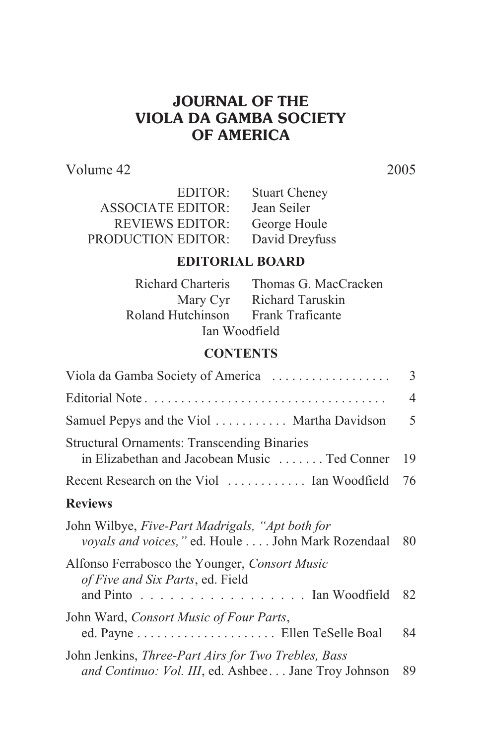# **JOURNAL OF THE VIOLA DA GAMBA SOCIETY OF AMERICA**

Volume 42 2005

| EDITOR:                   | <b>Stuart Cheney</b> |
|---------------------------|----------------------|
| <b>ASSOCIATE EDITOR:</b>  | Jean Seiler          |
| <b>REVIEWS EDITOR:</b>    | George Houle         |
| <b>PRODUCTION EDITOR:</b> | David Dreyfuss       |

# **EDITORIAL BOARD**

| Richard Charteris | Thomas G. MacCracken |
|-------------------|----------------------|
| Mary Cyr          | Richard Taruskin     |
| Roland Hutchinson | Frank Traficante     |
| Ian Woodfield     |                      |

## **CONTENTS**

| Viola da Gamba Society of America                                                                            | $\overline{3}$ |
|--------------------------------------------------------------------------------------------------------------|----------------|
|                                                                                                              | 4              |
| Samuel Pepys and the Viol  Martha Davidson                                                                   | 5              |
| <b>Structural Ornaments: Transcending Binaries</b><br>in Elizabethan and Jacobean Music  Ted Conner          | 19             |
| Recent Research on the Viol  Ian Woodfield                                                                   | 76             |
| <b>Reviews</b>                                                                                               |                |
| John Wilbye, Five-Part Madrigals, "Apt both for<br>voyals and voices," ed. Houle  John Mark Rozendaal        | 80             |
| Alfonso Ferrabosco the Younger, Consort Music<br>of Five and Six Parts, ed. Field<br>and Pinto Ian Woodfield | 82             |
| John Ward, Consort Music of Four Parts,                                                                      | 84             |
| John Jenkins, Three-Part Airs for Two Trebles, Bass<br>and Continuo: Vol. III, ed. Ashbee Jane Troy Johnson  | 89             |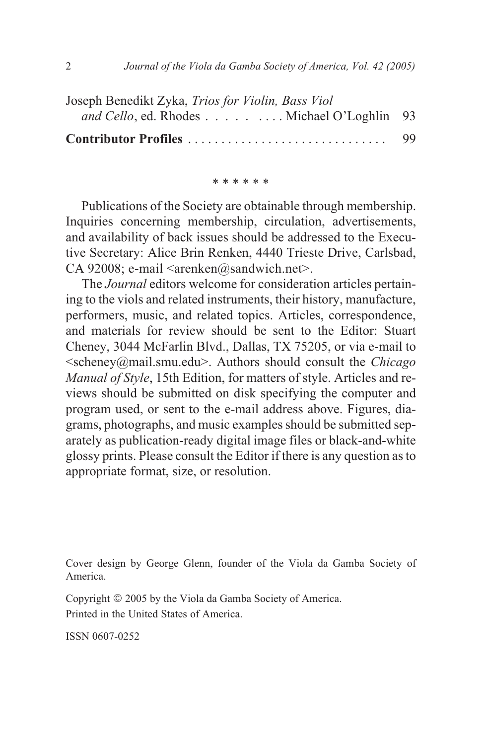| Joseph Benedikt Zyka, Trios for Violin, Bass Viol  |    |
|----------------------------------------------------|----|
| <i>and Cello</i> , ed. Rhodes Michael O'Loghlin 93 |    |
| Contributor Profiles                               | 99 |

\* \* \* \* \* \*

Publications of the Society are obtainable through membership. Inquiries concerning membership, circulation, advertisements, and availability of back issues should be addressed to the Executive Secretary: Alice Brin Renken, 4440 Trieste Drive, Carlsbad, CA 92008; e-mail <arenken@sandwich.net>.

The *Journal* editors welcome for consideration articles pertaining to the viols and related instruments, their history, manufacture, performers, music, and related topics. Articles, correspondence, and materials for review should be sent to the Editor: Stuart Cheney, 3044 McFarlin Blvd., Dallas, TX 75205, or via e-mail to <scheney@mail.smu.edu>. Authors should consult the *Chicago Manual of Style*, 15th Edition, for matters of style. Articles and reviews should be submitted on disk specifying the computer and program used, or sent to the e-mail address above. Figures, diagrams, photographs, and music examples should be submitted separately as publication-ready digital image files or black-and-white glossy prints. Please consult the Editor if there is any question as to appropriate format, size, or resolution.

Cover design by George Glenn, founder of the Viola da Gamba Society of America.

Copyright © 2005 by the Viola da Gamba Society of America. Printed in the United States of America.

ISSN 0607-0252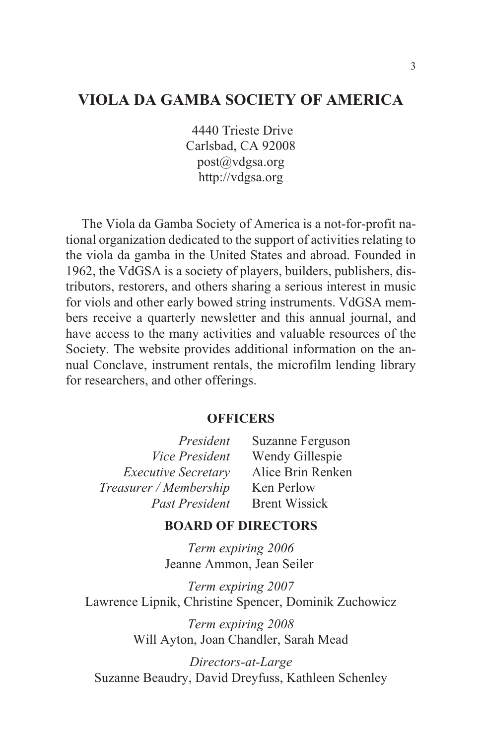# **VIOLA DA GAMBA SOCIETY OF AMERICA**

4440 Trieste Drive Carlsbad, CA 92008 post@vdgsa.org http://vdgsa.org

The Viola da Gamba Society of America is a not-for-profit national organization dedicated to the support of activities relating to the viola da gamba in the United States and abroad. Founded in 1962, the VdGSA is a society of players, builders, publishers, distributors, restorers, and others sharing a serious interest in music for viols and other early bowed string instruments. VdGSA members receive a quarterly newsletter and this annual journal, and have access to the many activities and valuable resources of the Society. The website provides additional information on the annual Conclave, instrument rentals, the microfilm lending library for researchers, and other offerings.

### **OFFICERS**

| President                  | Suzanne Ferguson     |
|----------------------------|----------------------|
| Vice President             | Wendy Gillespie      |
| <b>Executive Secretary</b> | Alice Brin Renken    |
| Treasurer / Membership     | Ken Perlow           |
| Past President             | <b>Brent Wissick</b> |

#### **BOARD OF DIRECTORS**

*Term expiring 2006* Jeanne Ammon, Jean Seiler

*Term expiring 2007* Lawrence Lipnik, Christine Spencer, Dominik Zuchowicz

> *Term expiring 2008* Will Ayton, Joan Chandler, Sarah Mead

*Directors-at-Large* Suzanne Beaudry, David Dreyfuss, Kathleen Schenley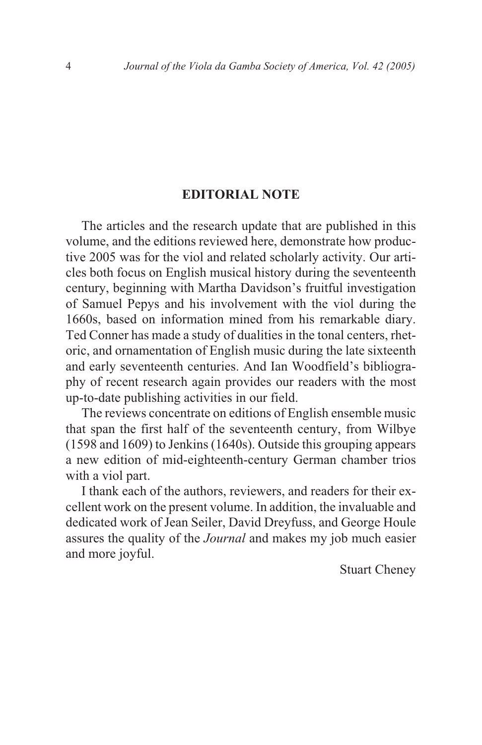#### **EDITORIAL NOTE**

The articles and the research update that are published in this volume, and the editions reviewed here, demonstrate how productive 2005 was for the viol and related scholarly activity. Our articles both focus on English musical history during the seventeenth century, beginning with Martha Davidson's fruitful investigation of Samuel Pepys and his involvement with the viol during the 1660s, based on information mined from his remarkable diary. Ted Conner has made a study of dualities in the tonal centers, rhetoric, and ornamentation of English music during the late sixteenth and early seventeenth centuries. And Ian Woodfield's bibliography of recent research again provides our readers with the most up-to-date publishing activities in our field.

The reviews concentrate on editions of English ensemble music that span the first half of the seventeenth century, from Wilbye (1598 and 1609) to Jenkins (1640s). Outside this grouping appears a new edition of mid-eighteenth-century German chamber trios with a viol part.

I thank each of the authors, reviewers, and readers for their excellent work on the present volume. In addition, the invaluable and dedicated work of Jean Seiler, David Dreyfuss, and George Houle assures the quality of the *Journal* and makes my job much easier and more joyful.

Stuart Cheney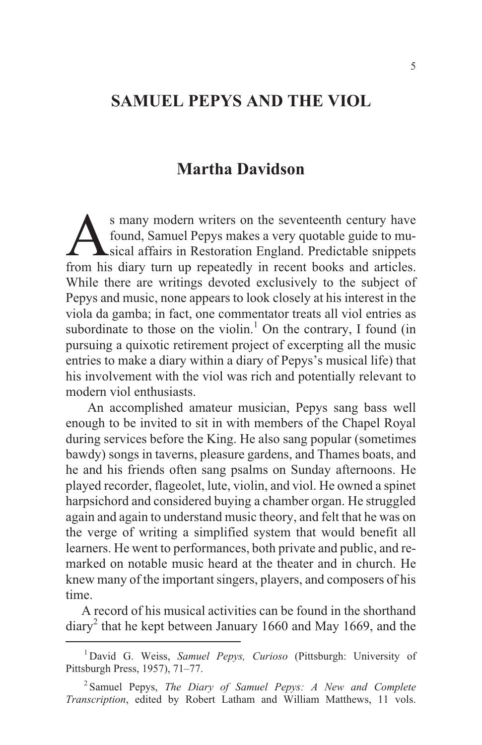# **SAMUEL PEPYS AND THE VIOL**

# **Martha Davidson**

S many modern writers on the seventeenth century have<br>found, Samuel Pepys makes a very quotable guide to mu-<br>sical affairs in Restoration England. Predictable snippets<br>from his diary turn up repeatedly in recent books and s many modern writers on the seventeenth century have found, Samuel Pepys makes a very quotable guide to musical affairs in Restoration England. Predictable snippets While there are writings devoted exclusively to the subject of Pepys and music, none appears to look closely at his interest in the viola da gamba; in fact, one commentator treats all viol entries as subordinate to those on the violin.<sup>1</sup> On the contrary, I found (in pursuing a quixotic retirement project of excerpting all the music entries to make a diary within a diary of Pepys's musical life) that his involvement with the viol was rich and potentially relevant to modern viol enthusiasts.

An accomplished amateur musician, Pepys sang bass well enough to be invited to sit in with members of the Chapel Royal during services before the King. He also sang popular (sometimes bawdy) songs in taverns, pleasure gardens, and Thames boats, and he and his friends often sang psalms on Sunday afternoons. He played recorder, flageolet, lute, violin, and viol. He owned a spinet harpsichord and considered buying a chamber organ. He struggled again and again to understand music theory, and felt that he was on the verge of writing a simplified system that would benefit all learners. He went to performances, both private and public, and remarked on notable music heard at the theater and in church. He knew many of the important singers, players, and composers of his time.

A record of his musical activities can be found in the shorthand diary<sup>2</sup> that he kept between January 1660 and May 1669, and the

<sup>1</sup> David G. Weiss, *Samuel Pepys, Curioso* (Pittsburgh: University of Pittsburgh Press, 1957), 71–77.

<sup>2</sup> Samuel Pepys, *The Diary of Samuel Pepys: A New and Complete Transcription*, edited by Robert Latham and William Matthews, 11 vols.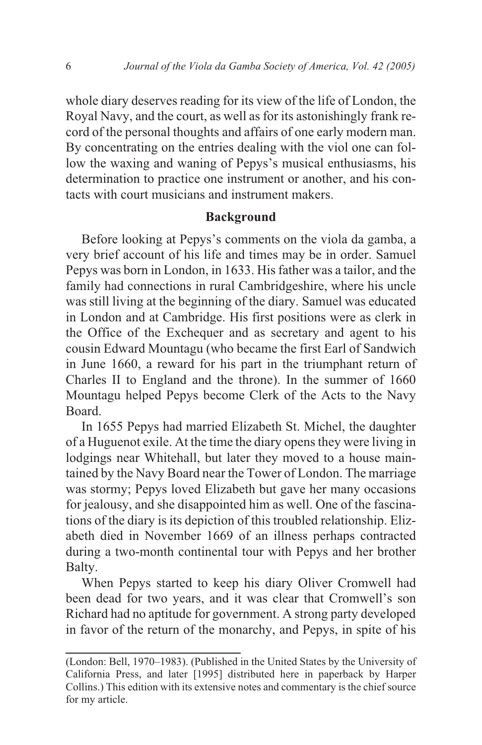whole diary deserves reading for its view of the life of London, the Royal Navy, and the court, as well as for its astonishingly frank record of the personal thoughts and affairs of one early modern man. By concentrating on the entries dealing with the viol one can follow the waxing and waning of Pepys's musical enthusiasms, his determination to practice one instrument or another, and his contacts with court musicians and instrument makers.

#### **Background**

Before looking at Pepys's comments on the viola da gamba, a very brief account of his life and times may be in order. Samuel Pepys was born in London, in 1633. His father was a tailor, and the family had connections in rural Cambridgeshire, where his uncle was still living at the beginning of the diary. Samuel was educated in London and at Cambridge. His first positions were as clerk in the Office of the Exchequer and as secretary and agent to his cousin Edward Mountagu (who became the first Earl of Sandwich in June 1660, a reward for his part in the triumphant return of Charles II to England and the throne). In the summer of 1660 Mountagu helped Pepys become Clerk of the Acts to the Navy Board.

In 1655 Pepys had married Elizabeth St. Michel, the daughter of a Huguenot exile. At the time the diary opens they were living in lodgings near Whitehall, but later they moved to a house maintained by the Navy Board near the Tower of London. The marriage was stormy; Pepys loved Elizabeth but gave her many occasions for jealousy, and she disappointed him as well. One of the fascinations of the diary is its depiction of this troubled relationship. Elizabeth died in November 1669 of an illness perhaps contracted during a two-month continental tour with Pepys and her brother Balty.

When Pepys started to keep his diary Oliver Cromwell had been dead for two years, and it was clear that Cromwell's son Richard had no aptitude for government. A strong party developed in favor of the return of the monarchy, and Pepys, in spite of his

<sup>(</sup>London: Bell, 1970–1983). (Published in the United States by the University of California Press, and later [1995] distributed here in paperback by Harper Collins.) This edition with its extensive notes and commentary is the chief source for my article.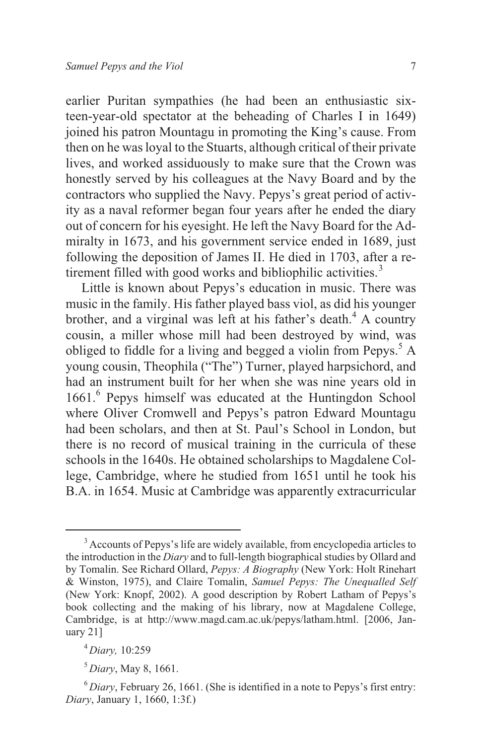earlier Puritan sympathies (he had been an enthusiastic sixteen-year-old spectator at the beheading of Charles I in 1649) joined his patron Mountagu in promoting the King's cause. From then on he was loyal to the Stuarts, although critical of their private lives, and worked assiduously to make sure that the Crown was honestly served by his colleagues at the Navy Board and by the contractors who supplied the Navy. Pepys's great period of activity as a naval reformer began four years after he ended the diary out of concern for his eyesight. He left the Navy Board for the Admiralty in 1673, and his government service ended in 1689, just following the deposition of James II. He died in 1703, after a retirement filled with good works and bibliophilic activities.<sup>3</sup>

Little is known about Pepys's education in music. There was music in the family. His father played bass viol, as did his younger brother, and a virginal was left at his father's death.<sup>4</sup> A country cousin, a miller whose mill had been destroyed by wind, was obliged to fiddle for a living and begged a violin from Pepys.<sup>5</sup> A young cousin, Theophila ("The") Turner, played harpsichord, and had an instrument built for her when she was nine years old in 1661.<sup>6</sup> Pepys himself was educated at the Huntingdon School where Oliver Cromwell and Pepys's patron Edward Mountagu had been scholars, and then at St. Paul's School in London, but there is no record of musical training in the curricula of these schools in the 1640s. He obtained scholarships to Magdalene College, Cambridge, where he studied from 1651 until he took his B.A. in 1654. Music at Cambridge was apparently extracurricular

<sup>&</sup>lt;sup>3</sup> Accounts of Pepys's life are widely available, from encyclopedia articles to the introduction in the *Diary* and to full-length biographical studies by Ollard and by Tomalin. See Richard Ollard, *Pepys: A Biography* (New York: Holt Rinehart & Winston, 1975), and Claire Tomalin, *Samuel Pepys: The Unequalled Self* (New York: Knopf, 2002). A good description by Robert Latham of Pepys's book collecting and the making of his library, now at Magdalene College, Cambridge, is at http://www.magd.cam.ac.uk/pepys/latham.html. [2006, January 21]

<sup>4</sup> *Diary,* 10:259

<sup>5</sup> *Diary*, May 8, 1661.

 $6$ *Diary*, February 26, 1661. (She is identified in a note to Pepys's first entry: *Diary*, January 1, 1660, 1:3f.)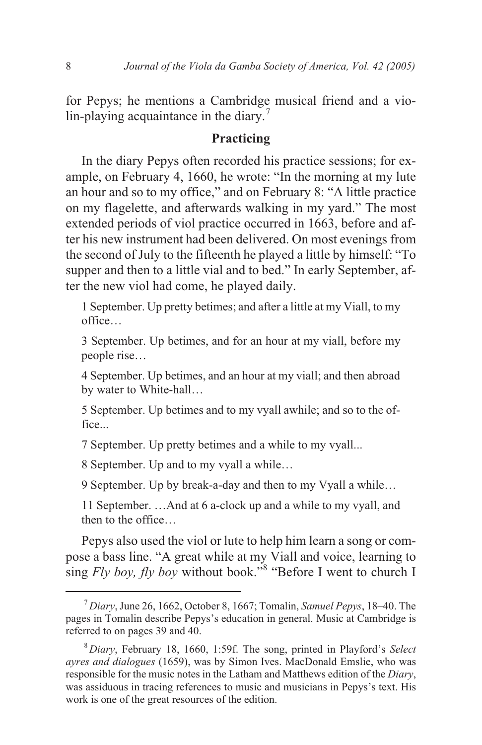for Pepys; he mentions a Cambridge musical friend and a violin-playing acquaintance in the diary.<sup>7</sup>

### **Practicing**

In the diary Pepys often recorded his practice sessions; for example, on February 4, 1660, he wrote: "In the morning at my lute an hour and so to my office," and on February 8: "A little practice on my flagelette, and afterwards walking in my yard." The most extended periods of viol practice occurred in 1663, before and after his new instrument had been delivered. On most evenings from the second of July to the fifteenth he played a little by himself: "To supper and then to a little vial and to bed." In early September, after the new viol had come, he played daily.

1 September. Up pretty betimes; and after a little at my Viall, to my office…

3 September. Up betimes, and for an hour at my viall, before my people rise…

4 September. Up betimes, and an hour at my viall; and then abroad by water to White-hall…

5 September. Up betimes and to my vyall awhile; and so to the office...

7 September. Up pretty betimes and a while to my vyall...

8 September. Up and to my vyall a while…

9 September. Up by break-a-day and then to my Vyall a while…

11 September. …And at 6 a-clock up and a while to my vyall, and then to the office…

Pepys also used the viol or lute to help him learn a song or compose a bass line. "A great while at my Viall and voice, learning to sing *Fly boy, fly boy* without book."<sup>8</sup> "Before I went to church I

<sup>7</sup> *Diary*, June 26, 1662, October 8, 1667; Tomalin, *Samuel Pepys*, 18–40. The pages in Tomalin describe Pepys's education in general. Music at Cambridge is referred to on pages 39 and 40.

<sup>8</sup> *Diary*, February 18, 1660, 1:59f. The song, printed in Playford's *Select ayres and dialogues* (1659), was by Simon Ives. MacDonald Emslie, who was responsible for the music notes in the Latham and Matthews edition of the *Diary*, was assiduous in tracing references to music and musicians in Pepys's text. His work is one of the great resources of the edition.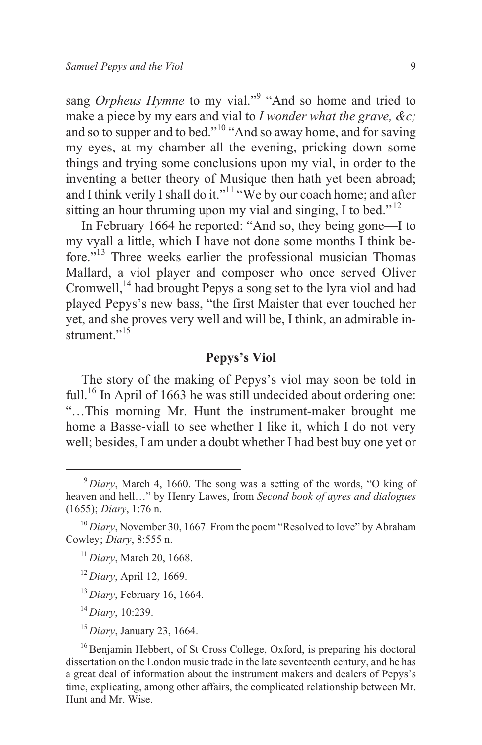sang *Orpheus Hymne* to my vial."<sup>9</sup> "And so home and tried to make a piece by my ears and vial to *I wonder what the grave, &c;* and so to supper and to bed."<sup>10</sup> "And so away home, and for saving my eyes, at my chamber all the evening, pricking down some things and trying some conclusions upon my vial, in order to the inventing a better theory of Musique then hath yet been abroad; and I think verily I shall do it."<sup>11</sup> "We by our coach home; and after sitting an hour thruming upon my vial and singing, I to bed."<sup>12</sup>

In February 1664 he reported: "And so, they being gone—I to my vyall a little, which I have not done some months I think before."<sup>13</sup> Three weeks earlier the professional musician Thomas Mallard, a viol player and composer who once served Oliver Cromwell,<sup>14</sup> had brought Pepys a song set to the lyra viol and had played Pepys's new bass, "the first Maister that ever touched her yet, and she proves very well and will be, I think, an admirable instrument."<sup>15</sup>

## **Pepys's Viol**

The story of the making of Pepys's viol may soon be told in full.<sup>16</sup> In April of 1663 he was still undecided about ordering one: "…This morning Mr. Hunt the instrument-maker brought me home a Basse-viall to see whether I like it, which I do not very well; besides, I am under a doubt whether I had best buy one yet or

<sup>13</sup> *Diary*, February 16, 1664.

<sup>9</sup> *Diary*, March 4, 1660. The song was a setting of the words, "O king of heaven and hell…" by Henry Lawes, from *Second book of ayres and dialogues* (1655); *Diary*, 1:76 n.

<sup>&</sup>lt;sup>10</sup> *Diary*, November 30, 1667. From the poem "Resolved to love" by Abraham Cowley; *Diary*, 8:555 n.

<sup>11</sup> *Diary*, March 20, 1668.

<sup>12</sup> *Diary*, April 12, 1669.

<sup>14</sup> *Diary*, 10:239.

<sup>15</sup> *Diary*, January 23, 1664.

<sup>&</sup>lt;sup>16</sup> Benjamin Hebbert, of St Cross College, Oxford, is preparing his doctoral dissertation on the London music trade in the late seventeenth century, and he has a great deal of information about the instrument makers and dealers of Pepys's time, explicating, among other affairs, the complicated relationship between Mr. Hunt and Mr. Wise.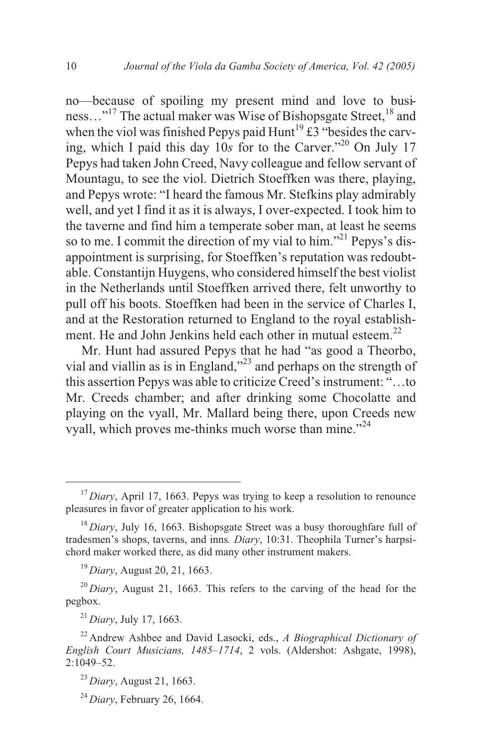no—because of spoiling my present mind and love to business..."<sup>17</sup> The actual maker was Wise of Bishopsgate Street,<sup>18</sup> and when the viol was finished Pepys paid Hunt<sup>19</sup> £3 "besides the carving, which I paid this day  $10s$  for to the Carver.<sup> $20$ </sup> On July 17 Pepys had taken John Creed, Navy colleague and fellow servant of Mountagu, to see the viol. Dietrich Stoeffken was there, playing, and Pepys wrote: "I heard the famous Mr. Stefkins play admirably well, and yet I find it as it is always, I over-expected. I took him to the taverne and find him a temperate sober man, at least he seems so to me. I commit the direction of my vial to him."<sup>21</sup> Pepys's disappointment is surprising, for Stoeffken's reputation was redoubtable. Constantijn Huygens, who considered himself the best violist in the Netherlands until Stoeffken arrived there, felt unworthy to pull off his boots. Stoeffken had been in the service of Charles I, and at the Restoration returned to England to the royal establishment. He and John Jenkins held each other in mutual esteem.<sup>22</sup>

Mr. Hunt had assured Pepys that he had "as good a Theorbo, vial and viallin as is in England,"<sup>23</sup> and perhaps on the strength of this assertion Pepys was able to criticize Creed's instrument: "…to Mr. Creeds chamber; and after drinking some Chocolatte and playing on the vyall, Mr. Mallard being there, upon Creeds new vyall, which proves me-thinks much worse than mine."<sup>24</sup>

<sup>19</sup> *Diary*, August 20, 21, 1663.

<sup>21</sup> *Diary*, July 17, 1663.

<sup>&</sup>lt;sup>17</sup> *Diary*, April 17, 1663. Pepys was trying to keep a resolution to renounce pleasures in favor of greater application to his work.

<sup>18</sup> *Diary*, July 16, 1663. Bishopsgate Street was a busy thoroughfare full of tradesmen's shops, taverns, and inns*. Diary*, 10:31. Theophila Turner's harpsichord maker worked there, as did many other instrument makers.

<sup>&</sup>lt;sup>20</sup> *Diary*, August 21, 1663. This refers to the carving of the head for the pegbox.

<sup>22</sup> Andrew Ashbee and David Lasocki, eds., *A Biographical Dictionary of English Court Musicians, 1485–1714*, 2 vols. (Aldershot: Ashgate, 1998), 2:1049–52.

<sup>23</sup> *Diary*, August 21, 1663.

<sup>24</sup> *Diary*, February 26, 1664.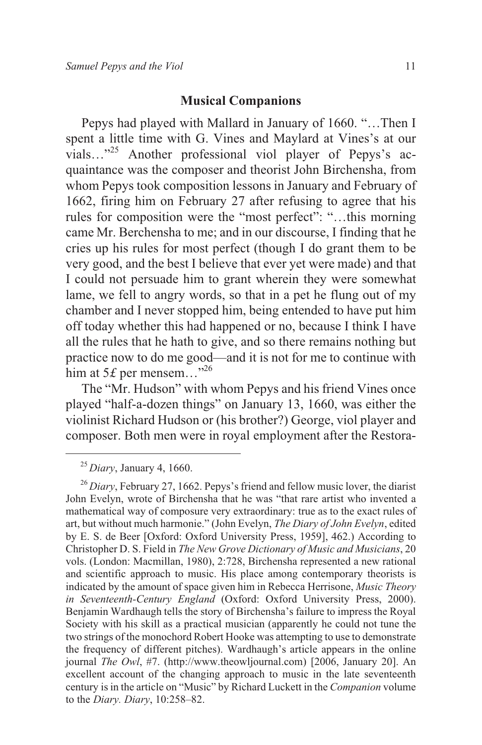#### **Musical Companions**

Pepys had played with Mallard in January of 1660. "…Then I spent a little time with G. Vines and Maylard at Vines's at our vials..."<sup>25</sup> Another professional viol player of Pepys's acquaintance was the composer and theorist John Birchensha, from whom Pepys took composition lessons in January and February of 1662, firing him on February 27 after refusing to agree that his rules for composition were the "most perfect": "…this morning came Mr. Berchensha to me; and in our discourse, I finding that he cries up his rules for most perfect (though I do grant them to be very good, and the best I believe that ever yet were made) and that I could not persuade him to grant wherein they were somewhat lame, we fell to angry words, so that in a pet he flung out of my chamber and I never stopped him, being entended to have put him off today whether this had happened or no, because I think I have all the rules that he hath to give, and so there remains nothing but practice now to do me good—and it is not for me to continue with him at  $5*f*$  per mensem...<sup>"26</sup>

The "Mr. Hudson" with whom Pepys and his friend Vines once played "half-a-dozen things" on January 13, 1660, was either the violinist Richard Hudson or (his brother?) George, viol player and composer. Both men were in royal employment after the Restora-

<sup>25</sup> *Diary*, January 4, 1660.

<sup>&</sup>lt;sup>26</sup> *Diary*, February 27, 1662. Pepys's friend and fellow music lover, the diarist John Evelyn, wrote of Birchensha that he was "that rare artist who invented a mathematical way of composure very extraordinary: true as to the exact rules of art, but without much harmonie." (John Evelyn, *The Diary of John Evelyn*, edited by E. S. de Beer [Oxford: Oxford University Press, 1959], 462.) According to Christopher D. S. Field in *The New Grove Dictionary of Music and Musicians*, 20 vols. (London: Macmillan, 1980), 2:728, Birchensha represented a new rational and scientific approach to music. His place among contemporary theorists is indicated by the amount of space given him in Rebecca Herrisone, *Music Theory in Seventeenth-Century England* (Oxford: Oxford University Press, 2000). Benjamin Wardhaugh tells the story of Birchensha's failure to impress the Royal Society with his skill as a practical musician (apparently he could not tune the two strings of the monochord Robert Hooke was attempting to use to demonstrate the frequency of different pitches). Wardhaugh's article appears in the online journal *The Owl*, #7. (http://www.theowljournal.com) [2006, January 20]. An excellent account of the changing approach to music in the late seventeenth century is in the article on "Music" by Richard Luckett in the *Companion* volume to the *Diary. Diary*, 10:258–82.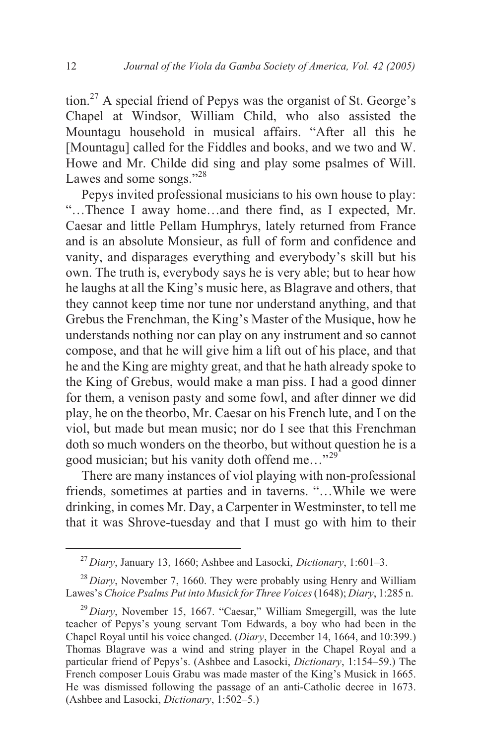tion.<sup>27</sup> A special friend of Pepys was the organist of St. George's Chapel at Windsor, William Child, who also assisted the Mountagu household in musical affairs. "After all this he [Mountagu] called for the Fiddles and books, and we two and W. Howe and Mr. Childe did sing and play some psalmes of Will. Lawes and some songs."<sup>28</sup>

Pepys invited professional musicians to his own house to play: "…Thence I away home…and there find, as I expected, Mr. Caesar and little Pellam Humphrys, lately returned from France and is an absolute Monsieur, as full of form and confidence and vanity, and disparages everything and everybody's skill but his own. The truth is, everybody says he is very able; but to hear how he laughs at all the King's music here, as Blagrave and others, that they cannot keep time nor tune nor understand anything, and that Grebus the Frenchman, the King's Master of the Musique, how he understands nothing nor can play on any instrument and so cannot compose, and that he will give him a lift out of his place, and that he and the King are mighty great, and that he hath already spoke to the King of Grebus, would make a man piss. I had a good dinner for them, a venison pasty and some fowl, and after dinner we did play, he on the theorbo, Mr. Caesar on his French lute, and I on the viol, but made but mean music; nor do I see that this Frenchman doth so much wonders on the theorbo, but without question he is a good musician; but his vanity doth offend me..."<sup>29</sup>

There are many instances of viol playing with non-professional friends, sometimes at parties and in taverns. "…While we were drinking, in comes Mr. Day, a Carpenter in Westminster, to tell me that it was Shrove-tuesday and that I must go with him to their

<sup>27</sup> *Diary*, January 13, 1660; Ashbee and Lasocki, *Dictionary*, 1:601–3.

<sup>&</sup>lt;sup>28</sup> *Diary*, November 7, 1660. They were probably using Henry and William Lawes's *Choice Psalms Put into Musick for Three Voices*(1648); *Diary*, 1:285 n.

<sup>&</sup>lt;sup>29</sup> *Diary*, November 15, 1667. "Caesar," William Smegergill, was the lute teacher of Pepys's young servant Tom Edwards, a boy who had been in the Chapel Royal until his voice changed. (*Diary*, December 14, 1664, and 10:399.) Thomas Blagrave was a wind and string player in the Chapel Royal and a particular friend of Pepys's. (Ashbee and Lasocki, *Dictionary*, 1:154–59.) The French composer Louis Grabu was made master of the King's Musick in 1665. He was dismissed following the passage of an anti-Catholic decree in 1673. (Ashbee and Lasocki, *Dictionary*, 1:502–5.)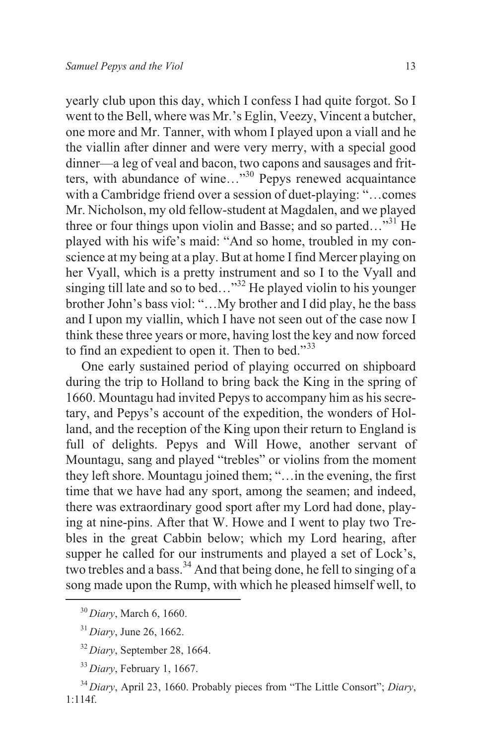yearly club upon this day, which I confess I had quite forgot. So I went to the Bell, where was Mr.'s Eglin, Veezy, Vincent a butcher, one more and Mr. Tanner, with whom I played upon a viall and he the viallin after dinner and were very merry, with a special good dinner—a leg of veal and bacon, two capons and sausages and fritters, with abundance of wine..."<sup>30</sup> Pepys renewed acquaintance with a Cambridge friend over a session of duet-playing: "…comes Mr. Nicholson, my old fellow-student at Magdalen, and we played three or four things upon violin and Basse; and so parted... $^{31}$  He played with his wife's maid: "And so home, troubled in my conscience at my being at a play. But at home I find Mercer playing on her Vyall, which is a pretty instrument and so I to the Vyall and singing till late and so to bed..."<sup>32</sup> He played violin to his younger brother John's bass viol: "…My brother and I did play, he the bass and I upon my viallin, which I have not seen out of the case now I think these three years or more, having lost the key and now forced to find an expedient to open it. Then to bed."<sup>33</sup>

One early sustained period of playing occurred on shipboard during the trip to Holland to bring back the King in the spring of 1660. Mountagu had invited Pepys to accompany him as his secretary, and Pepys's account of the expedition, the wonders of Holland, and the reception of the King upon their return to England is full of delights. Pepys and Will Howe, another servant of Mountagu, sang and played "trebles" or violins from the moment they left shore. Mountagu joined them; "…in the evening, the first time that we have had any sport, among the seamen; and indeed, there was extraordinary good sport after my Lord had done, playing at nine-pins. After that W. Howe and I went to play two Trebles in the great Cabbin below; which my Lord hearing, after supper he called for our instruments and played a set of Lock's, two trebles and a bass.<sup>34</sup> And that being done, he fell to singing of a song made upon the Rump, with which he pleased himself well, to

<sup>30</sup> *Diary*, March 6, 1660.

<sup>31</sup> *Diary*, June 26, 1662.

<sup>32</sup> *Diary*, September 28, 1664.

<sup>33</sup> *Diary*, February 1, 1667.

<sup>34</sup> *Diary*, April 23, 1660. Probably pieces from "The Little Consort"; *Diary*, 1:114f.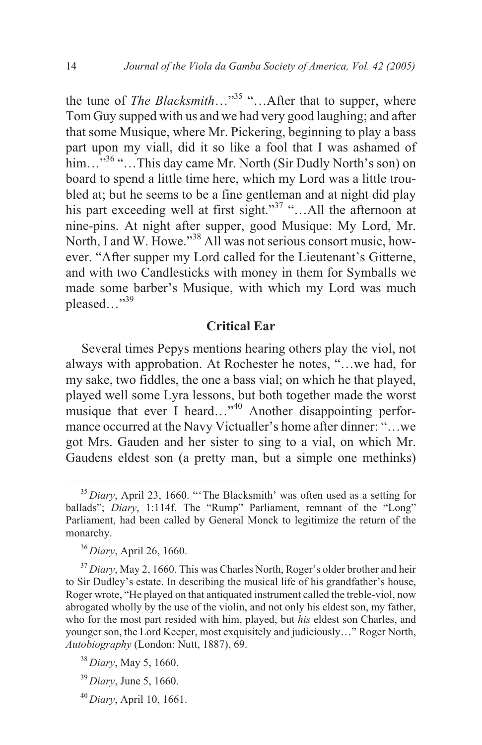the tune of *The Blacksmith*…"<sup>35</sup> "…After that to supper, where Tom Guy supped with us and we had very good laughing; and after that some Musique, where Mr. Pickering, beginning to play a bass part upon my viall, did it so like a fool that I was ashamed of him...<sup>"36</sup> "...This day came Mr. North (Sir Dudly North's son) on board to spend a little time here, which my Lord was a little troubled at; but he seems to be a fine gentleman and at night did play his part exceeding well at first sight."<sup>37</sup> "...All the afternoon at nine-pins. At night after supper, good Musique: My Lord, Mr. North, I and W. Howe."<sup>38</sup> All was not serious consort music, however. "After supper my Lord called for the Lieutenant's Gitterne, and with two Candlesticks with money in them for Symballs we made some barber's Musique, with which my Lord was much pleased $\ldots$ <sup>39</sup>

## **Critical Ear**

Several times Pepys mentions hearing others play the viol, not always with approbation. At Rochester he notes, "…we had, for my sake, two fiddles, the one a bass vial; on which he that played, played well some Lyra lessons, but both together made the worst musique that ever I heard..."<sup>40</sup> Another disappointing performance occurred at the Navy Victualler's home after dinner: "…we got Mrs. Gauden and her sister to sing to a vial, on which Mr. Gaudens eldest son (a pretty man, but a simple one methinks)

<sup>35</sup> *Diary*, April 23, 1660. "'The Blacksmith' was often used as a setting for ballads"; *Diary*, 1:114f. The "Rump" Parliament, remnant of the "Long" Parliament, had been called by General Monck to legitimize the return of the monarchy.

<sup>36</sup> *Diary*, April 26, 1660.

<sup>&</sup>lt;sup>37</sup> Diary, May 2, 1660. This was Charles North, Roger's older brother and heir to Sir Dudley's estate. In describing the musical life of his grandfather's house, Roger wrote, "He played on that antiquated instrument called the treble-viol, now abrogated wholly by the use of the violin, and not only his eldest son, my father, who for the most part resided with him, played, but *his* eldest son Charles, and younger son, the Lord Keeper, most exquisitely and judiciously…" Roger North, *Autobiography* (London: Nutt, 1887), 69.

<sup>38</sup> *Diary*, May 5, 1660.

<sup>39</sup> *Diary*, June 5, 1660.

<sup>40</sup> *Diary*, April 10, 1661.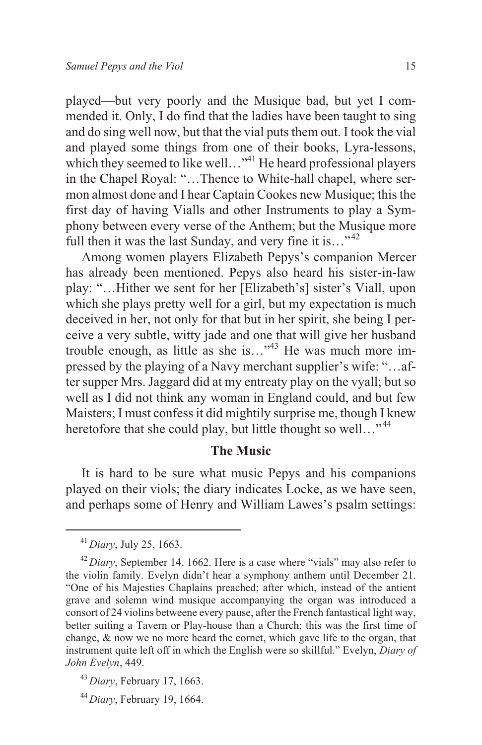played—but very poorly and the Musique bad, but yet I commended it. Only, I do find that the ladies have been taught to sing and do sing well now, but that the vial puts them out. I took the vial and played some things from one of their books, Lyra-lessons, which they seemed to like well..."<sup>41</sup> He heard professional players in the Chapel Royal: "…Thence to White-hall chapel, where sermon almost done and I hear Captain Cookes new Musique; this the first day of having Vialls and other Instruments to play a Symphony between every verse of the Anthem; but the Musique more full then it was the last Sunday, and very fine it is..."<sup>42</sup>

Among women players Elizabeth Pepys's companion Mercer has already been mentioned. Pepys also heard his sister-in-law play: "…Hither we sent for her [Elizabeth's] sister's Viall, upon which she plays pretty well for a girl, but my expectation is much deceived in her, not only for that but in her spirit, she being I perceive a very subtle, witty jade and one that will give her husband trouble enough, as little as she is..."<sup>43</sup> He was much more impressed by the playing of a Navy merchant supplier's wife: "…after supper Mrs. Jaggard did at my entreaty play on the vyall; but so well as I did not think any woman in England could, and but few Maisters; I must confess it did mightily surprise me, though I knew heretofore that she could play, but little thought so well..."<sup>44</sup>

#### **The Music**

It is hard to be sure what music Pepys and his companions played on their viols; the diary indicates Locke, as we have seen, and perhaps some of Henry and William Lawes's psalm settings:

<sup>41</sup> *Diary*, July 25, 1663.

<sup>&</sup>lt;sup>42</sup> *Diary*, September 14, 1662. Here is a case where "vials" may also refer to the violin family. Evelyn didn't hear a symphony anthem until December 21. "One of his Majesties Chaplains preached; after which, instead of the antient grave and solemn wind musique accompanying the organ was introduced a consort of 24 violins betweene every pause, after the French fantastical light way, better suiting a Tavern or Play-house than a Church; this was the first time of change, & now we no more heard the cornet, which gave life to the organ, that instrument quite left off in which the English were so skillful." Evelyn, *Diary of John Evelyn*, 449.

<sup>43</sup> *Diary*, February 17, 1663.

<sup>44</sup> *Diary*, February 19, 1664.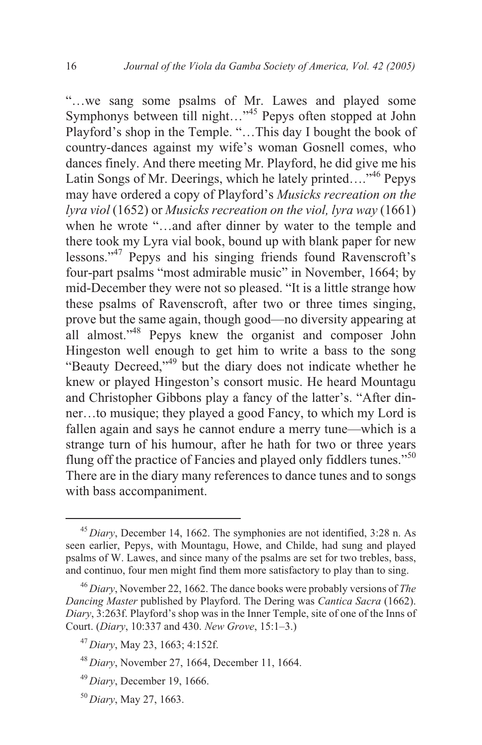"…we sang some psalms of Mr. Lawes and played some Symphonys between till night…"<sup>45</sup> Pepys often stopped at John Playford's shop in the Temple. "…This day I bought the book of country-dances against my wife's woman Gosnell comes, who dances finely. And there meeting Mr. Playford, he did give me his Latin Songs of Mr. Deerings, which he lately printed...."<sup>46</sup> Pepys may have ordered a copy of Playford's *Musicks recreation on the lyra viol* (1652) or *Musicks recreation on the viol, lyra way* (1661) when he wrote "…and after dinner by water to the temple and there took my Lyra vial book, bound up with blank paper for new lessons."<sup>47</sup> Pepys and his singing friends found Ravenscroft's four-part psalms "most admirable music" in November, 1664; by mid-December they were not so pleased. "It is a little strange how these psalms of Ravenscroft, after two or three times singing, prove but the same again, though good—no diversity appearing at all almost."<sup>48</sup> Pepys knew the organist and composer John Hingeston well enough to get him to write a bass to the song "Beauty Decreed,"<sup>49</sup> but the diary does not indicate whether he knew or played Hingeston's consort music. He heard Mountagu and Christopher Gibbons play a fancy of the latter's. "After dinner…to musique; they played a good Fancy, to which my Lord is fallen again and says he cannot endure a merry tune—which is a strange turn of his humour, after he hath for two or three years flung off the practice of Fancies and played only fiddlers tunes."<sup>50</sup> There are in the diary many references to dance tunes and to songs with bass accompaniment.

<sup>45</sup> *Diary*, December 14, 1662. The symphonies are not identified, 3:28 n. As seen earlier, Pepys, with Mountagu, Howe, and Childe, had sung and played psalms of W. Lawes, and since many of the psalms are set for two trebles, bass, and continuo, four men might find them more satisfactory to play than to sing.

<sup>46</sup> *Diary*, November 22, 1662. The dance books were probably versions of *The Dancing Master* published by Playford. The Dering was *Cantica Sacra* (1662). *Diary*, 3:263f. Playford's shop was in the Inner Temple, site of one of the Inns of Court. (*Diary*, 10:337 and 430. *New Grove*, 15:1–3.)

<sup>47</sup> *Diary*, May 23, 1663; 4:152f.

<sup>48</sup> *Diary*, November 27, 1664, December 11, 1664.

<sup>49</sup> *Diary*, December 19, 1666.

<sup>50</sup> *Diary*, May 27, 1663.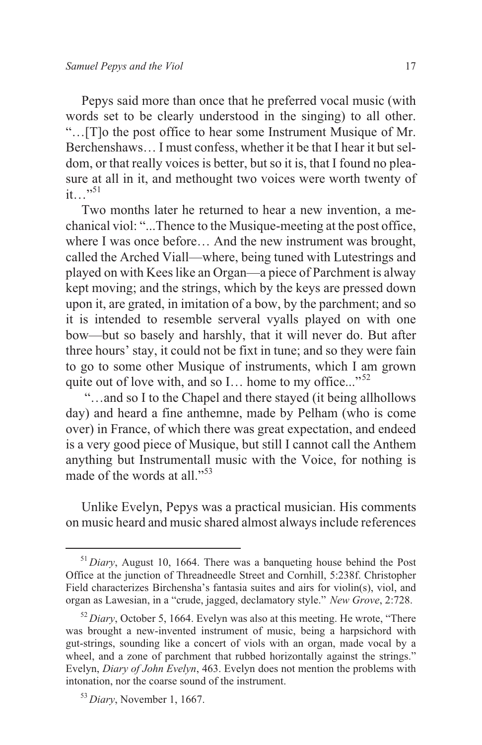Pepys said more than once that he preferred vocal music (with words set to be clearly understood in the singing) to all other. "…[T]o the post office to hear some Instrument Musique of Mr. Berchenshaws… I must confess, whether it be that I hear it but seldom, or that really voices is better, but so it is, that I found no pleasure at all in it, and methought two voices were worth twenty of  $it \rightarrow$   $\frac{1}{2}$ 

Two months later he returned to hear a new invention, a mechanical viol: "...Thence to the Musique-meeting at the post office, where I was once before... And the new instrument was brought, called the Arched Viall—where, being tuned with Lutestrings and played on with Kees like an Organ—a piece of Parchment is alway kept moving; and the strings, which by the keys are pressed down upon it, are grated, in imitation of a bow, by the parchment; and so it is intended to resemble serveral vyalls played on with one bow—but so basely and harshly, that it will never do. But after three hours' stay, it could not be fixt in tune; and so they were fain to go to some other Musique of instruments, which I am grown quite out of love with, and so I... home to my office..."<sup>52</sup>

"…and so I to the Chapel and there stayed (it being allhollows day) and heard a fine anthemne, made by Pelham (who is come over) in France, of which there was great expectation, and endeed is a very good piece of Musique, but still I cannot call the Anthem anything but Instrumentall music with the Voice, for nothing is made of the words at all."<sup>53</sup>

Unlike Evelyn, Pepys was a practical musician. His comments on music heard and music shared almost always include references

<sup>&</sup>lt;sup>51</sup> *Diary*, August 10, 1664. There was a banqueting house behind the Post Office at the junction of Threadneedle Street and Cornhill, 5:238f. Christopher Field characterizes Birchensha's fantasia suites and airs for violin(s), viol, and organ as Lawesian, in a "crude, jagged, declamatory style." *New Grove*, 2:728.

<sup>&</sup>lt;sup>52</sup> *Diary*, October 5, 1664. Evelyn was also at this meeting. He wrote, "There" was brought a new-invented instrument of music, being a harpsichord with gut-strings, sounding like a concert of viols with an organ, made vocal by a wheel, and a zone of parchment that rubbed horizontally against the strings." Evelyn, *Diary of John Evelyn*, 463. Evelyn does not mention the problems with intonation, nor the coarse sound of the instrument.

<sup>53</sup> *Diary*, November 1, 1667.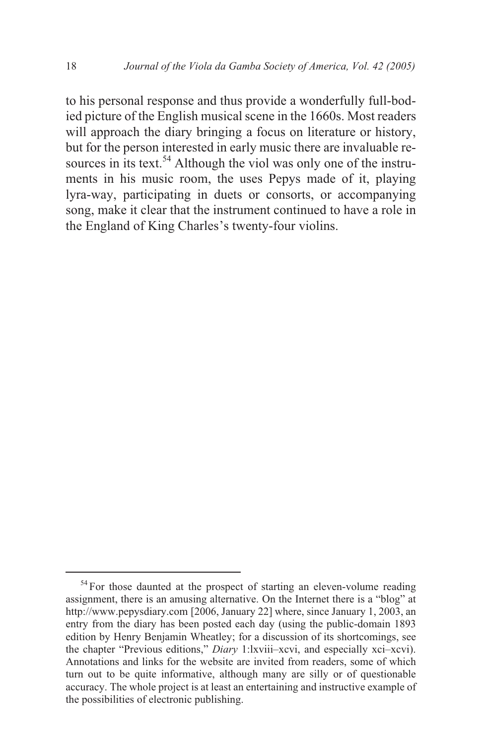to his personal response and thus provide a wonderfully full-bodied picture of the English musical scene in the 1660s. Most readers will approach the diary bringing a focus on literature or history, but for the person interested in early music there are invaluable resources in its text.<sup>54</sup> Although the viol was only one of the instruments in his music room, the uses Pepys made of it, playing lyra-way, participating in duets or consorts, or accompanying song, make it clear that the instrument continued to have a role in the England of King Charles's twenty-four violins.

<sup>&</sup>lt;sup>54</sup> For those daunted at the prospect of starting an eleven-volume reading assignment, there is an amusing alternative. On the Internet there is a "blog" at http://www.pepysdiary.com [2006, January 22] where, since January 1, 2003, an entry from the diary has been posted each day (using the public-domain 1893 edition by Henry Benjamin Wheatley; for a discussion of its shortcomings, see the chapter "Previous editions," *Diary* 1:lxviii–xcvi, and especially xci–xcvi). Annotations and links for the website are invited from readers, some of which turn out to be quite informative, although many are silly or of questionable accuracy. The whole project is at least an entertaining and instructive example of the possibilities of electronic publishing.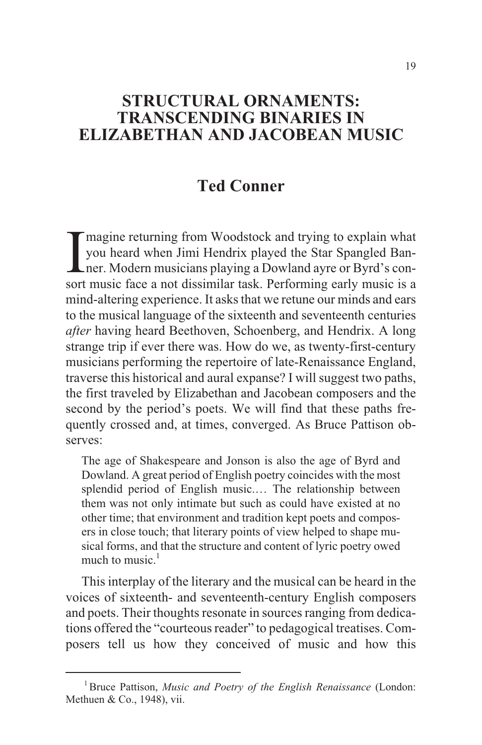# **STRUCTURAL ORNAMENTS: TRANSCENDING BINARIES IN ELIZABETHAN AND JACOBEAN MUSIC**

# **Ted Conner**

Imagine returning from Woodstock and trying to explain what you heard when Jimi Hendrix played the Star Spangled Ban-<br>ner. Modern musicians playing a Dowland ayre or Byrd's consort music face a not dissimilar task. Perform magine returning from Woodstock and trying to explain what you heard when Jimi Hendrix played the Star Spangled Banner. Modern musicians playing a Dowland ayre or Byrd's conmind-altering experience. It asks that we retune our minds and ears to the musical language of the sixteenth and seventeenth centuries *after* having heard Beethoven, Schoenberg, and Hendrix. A long strange trip if ever there was. How do we, as twenty-first-century musicians performing the repertoire of late-Renaissance England, traverse this historical and aural expanse? I will suggest two paths, the first traveled by Elizabethan and Jacobean composers and the second by the period's poets. We will find that these paths frequently crossed and, at times, converged. As Bruce Pattison observes:

The age of Shakespeare and Jonson is also the age of Byrd and Dowland. A great period of English poetry coincides with the most splendid period of English music.… The relationship between them was not only intimate but such as could have existed at no other time; that environment and tradition kept poets and composers in close touch; that literary points of view helped to shape musical forms, and that the structure and content of lyric poetry owed much to music. $<sup>1</sup>$ </sup>

This interplay of the literary and the musical can be heard in the voices of sixteenth- and seventeenth-century English composers and poets. Their thoughts resonate in sources ranging from dedications offered the "courteous reader" to pedagogical treatises. Composers tell us how they conceived of music and how this

<sup>1</sup>Bruce Pattison, *Music and Poetry of the English Renaissance* (London: Methuen & Co., 1948), vii.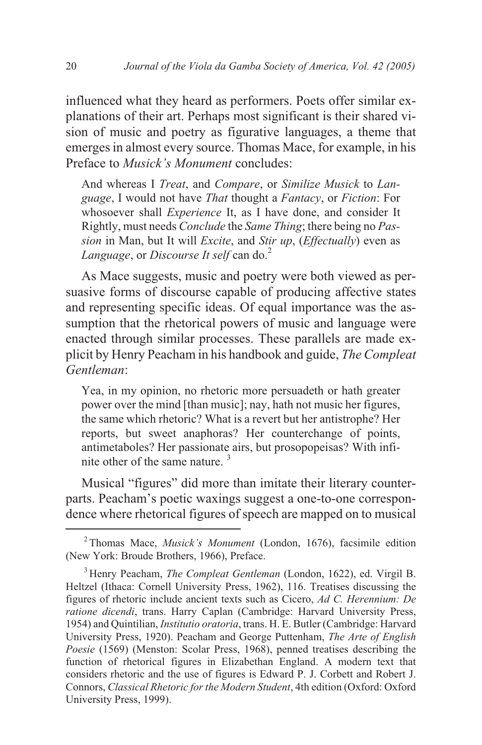influenced what they heard as performers. Poets offer similar explanations of their art. Perhaps most significant is their shared vision of music and poetry as figurative languages, a theme that emerges in almost every source. Thomas Mace, for example, in his Preface to *Musick's Monument* concludes:

And whereas I *Treat*, and *Compare*, or *Similize Musick* to *Language*, I would not have *That* thought a *Fantacy*, or *Fiction*: For whosoever shall *Experience* It, as I have done, and consider It Rightly, must needs *Conclude* the *Same Thing*; there being no *Passion* in Man, but It will *Excite*, and *Stir up*, (*Effectually*) even as *Language*, or *Discourse It self* can do.<sup>2</sup>

As Mace suggests, music and poetry were both viewed as persuasive forms of discourse capable of producing affective states and representing specific ideas. Of equal importance was the assumption that the rhetorical powers of music and language were enacted through similar processes. These parallels are made explicit by Henry Peacham in his handbook and guide, *The Compleat Gentleman*:

Yea, in my opinion, no rhetoric more persuadeth or hath greater power over the mind [than music]; nay, hath not music her figures, the same which rhetoric? What is a revert but her antistrophe? Her reports, but sweet anaphoras? Her counterchange of points, antimetaboles? Her passionate airs, but prosopopeisas? With infinite other of the same nature.<sup>3</sup>

Musical "figures" did more than imitate their literary counterparts. Peacham's poetic waxings suggest a one-to-one correspondence where rhetorical figures of speech are mapped on to musical

<sup>2</sup> Thomas Mace, *Musick's Monument* (London, 1676), facsimile edition (New York: Broude Brothers, 1966), Preface.

<sup>3</sup> Henry Peacham, *The Compleat Gentleman* (London, 1622), ed. Virgil B. Heltzel (Ithaca: Cornell University Press, 1962), 116. Treatises discussing the figures of rhetoric include ancient texts such as Cicero, *Ad C. Herennium: De ratione dicendi*, trans. Harry Caplan (Cambridge: Harvard University Press, 1954) and Quintilian, *Institutio oratoria*, trans. H. E. Butler (Cambridge: Harvard University Press, 1920). Peacham and George Puttenham, *The Arte of English Poesie* (1569) (Menston: Scolar Press, 1968), penned treatises describing the function of rhetorical figures in Elizabethan England. A modern text that considers rhetoric and the use of figures is Edward P. J. Corbett and Robert J. Connors, *Classical Rhetoric for the Modern Student*, 4th edition (Oxford: Oxford University Press, 1999).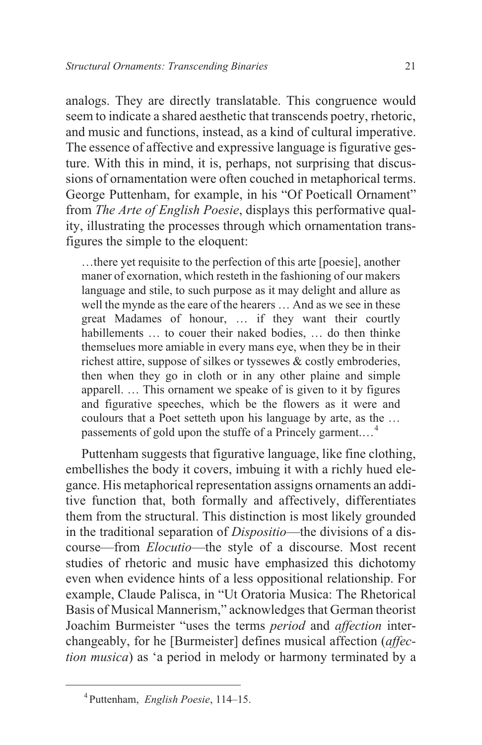analogs. They are directly translatable. This congruence would seem to indicate a shared aesthetic that transcends poetry, rhetoric, and music and functions, instead, as a kind of cultural imperative. The essence of affective and expressive language is figurative gesture. With this in mind, it is, perhaps, not surprising that discussions of ornamentation were often couched in metaphorical terms. George Puttenham, for example, in his "Of Poeticall Ornament" from *The Arte of English Poesie*, displays this performative quality, illustrating the processes through which ornamentation transfigures the simple to the eloquent:

…there yet requisite to the perfection of this arte [poesie], another maner of exornation, which resteth in the fashioning of our makers language and stile, to such purpose as it may delight and allure as well the mynde as the eare of the hearers … And as we see in these great Madames of honour, … if they want their courtly habillements ... to couer their naked bodies, ... do then thinke themselues more amiable in every mans eye, when they be in their richest attire, suppose of silkes or tyssewes & costly embroderies, then when they go in cloth or in any other plaine and simple apparell. … This ornament we speake of is given to it by figures and figurative speeches, which be the flowers as it were and coulours that a Poet setteth upon his language by arte, as the … passements of gold upon the stuffe of a Princely garment.…<sup>4</sup>

Puttenham suggests that figurative language, like fine clothing, embellishes the body it covers, imbuing it with a richly hued elegance. His metaphorical representation assigns ornaments an additive function that, both formally and affectively, differentiates them from the structural. This distinction is most likely grounded in the traditional separation of *Dispositio*—the divisions of a discourse—from *Elocutio*—the style of a discourse. Most recent studies of rhetoric and music have emphasized this dichotomy even when evidence hints of a less oppositional relationship. For example, Claude Palisca, in "Ut Oratoria Musica: The Rhetorical Basis of Musical Mannerism," acknowledges that German theorist Joachim Burmeister "uses the terms *period* and *affection* interchangeably, for he [Burmeister] defines musical affection (*affection musica*) as 'a period in melody or harmony terminated by a

<sup>4</sup> Puttenham, *English Poesie*, 114–15.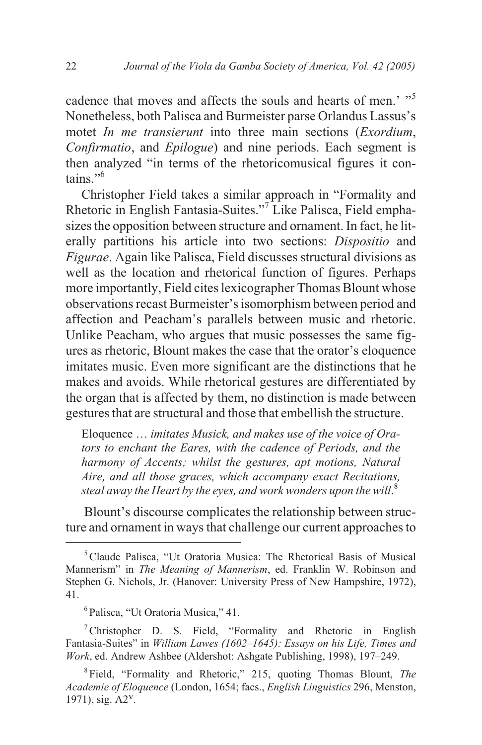cadence that moves and affects the souls and hearts of men.' "<sup>5</sup> Nonetheless, both Palisca and Burmeister parse Orlandus Lassus's motet *In me transierunt* into three main sections (*Exordium*, *Confirmatio*, and *Epilogue*) and nine periods. Each segment is then analyzed "in terms of the rhetoricomusical figures it contains."<sup>6</sup>

Christopher Field takes a similar approach in "Formality and Rhetoric in English Fantasia-Suites."<sup>7</sup> Like Palisca, Field emphasizes the opposition between structure and ornament. In fact, he literally partitions his article into two sections: *Dispositio* and *Figurae*. Again like Palisca, Field discusses structural divisions as well as the location and rhetorical function of figures. Perhaps more importantly, Field cites lexicographer Thomas Blount whose observations recast Burmeister's isomorphism between period and affection and Peacham's parallels between music and rhetoric. Unlike Peacham, who argues that music possesses the same figures as rhetoric, Blount makes the case that the orator's eloquence imitates music. Even more significant are the distinctions that he makes and avoids. While rhetorical gestures are differentiated by the organ that is affected by them, no distinction is made between gestures that are structural and those that embellish the structure.

Eloquence … *imitates Musick, and makes use of the voice of Orators to enchant the Eares, with the cadence of Periods, and the harmony of Accents; whilst the gestures, apt motions, Natural Aire, and all those graces, which accompany exact Recitations, steal away the Heart by the eyes, and work wonders upon the will*. 8

Blount's discourse complicates the relationship between structure and ornament in ways that challenge our current approaches to

<sup>&</sup>lt;sup>5</sup> Claude Palisca, "Ut Oratoria Musica: The Rhetorical Basis of Musical Mannerism" in *The Meaning of Mannerism*, ed. Franklin W. Robinson and Stephen G. Nichols, Jr. (Hanover: University Press of New Hampshire, 1972), 41.

<sup>6</sup> Palisca, "Ut Oratoria Musica," 41.

 $7$ Christopher D. S. Field, "Formality and Rhetoric in English Fantasia-Suites" in *William Lawes (1602–1645): Essays on his Life, Times and Work*, ed. Andrew Ashbee (Aldershot: Ashgate Publishing, 1998), 197–249.

<sup>8</sup> Field, "Formality and Rhetoric," 215, quoting Thomas Blount, *The Academie of Eloquence* (London, 1654; facs., *English Linguistics* 296, Menston, 1971), sig. A2v.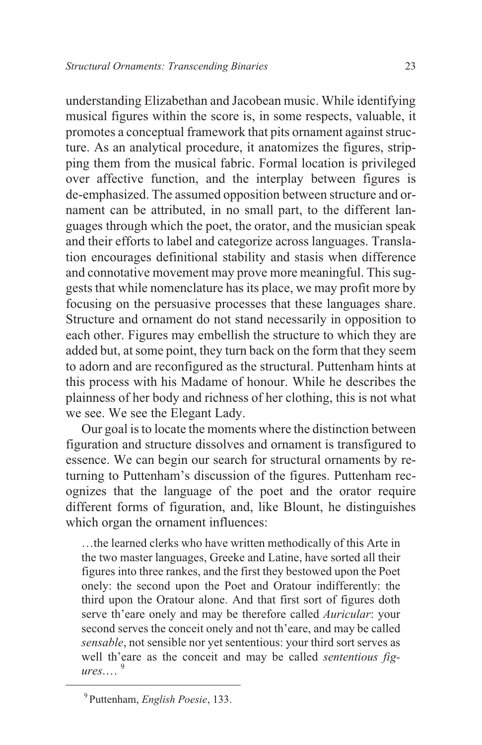understanding Elizabethan and Jacobean music. While identifying musical figures within the score is, in some respects, valuable, it promotes a conceptual framework that pits ornament against structure. As an analytical procedure, it anatomizes the figures, stripping them from the musical fabric. Formal location is privileged over affective function, and the interplay between figures is de-emphasized. The assumed opposition between structure and ornament can be attributed, in no small part, to the different languages through which the poet, the orator, and the musician speak and their efforts to label and categorize across languages. Translation encourages definitional stability and stasis when difference and connotative movement may prove more meaningful. This suggests that while nomenclature has its place, we may profit more by focusing on the persuasive processes that these languages share. Structure and ornament do not stand necessarily in opposition to each other. Figures may embellish the structure to which they are added but, at some point, they turn back on the form that they seem to adorn and are reconfigured as the structural. Puttenham hints at this process with his Madame of honour. While he describes the plainness of her body and richness of her clothing, this is not what we see. We see the Elegant Lady.

Our goal is to locate the moments where the distinction between figuration and structure dissolves and ornament is transfigured to essence. We can begin our search for structural ornaments by returning to Puttenham's discussion of the figures. Puttenham recognizes that the language of the poet and the orator require different forms of figuration, and, like Blount, he distinguishes which organ the ornament influences:

…the learned clerks who have written methodically of this Arte in the two master languages, Greeke and Latine, have sorted all their figures into three rankes, and the first they bestowed upon the Poet onely: the second upon the Poet and Oratour indifferently: the third upon the Oratour alone. And that first sort of figures doth serve th'eare onely and may be therefore called *Auricular*: your second serves the conceit onely and not th'eare, and may be called *sensable*, not sensible nor yet sententious: your third sort serves as well th'eare as the conceit and may be called *sententious figures*.… <sup>9</sup>

<sup>9</sup> Puttenham, *English Poesie*, 133.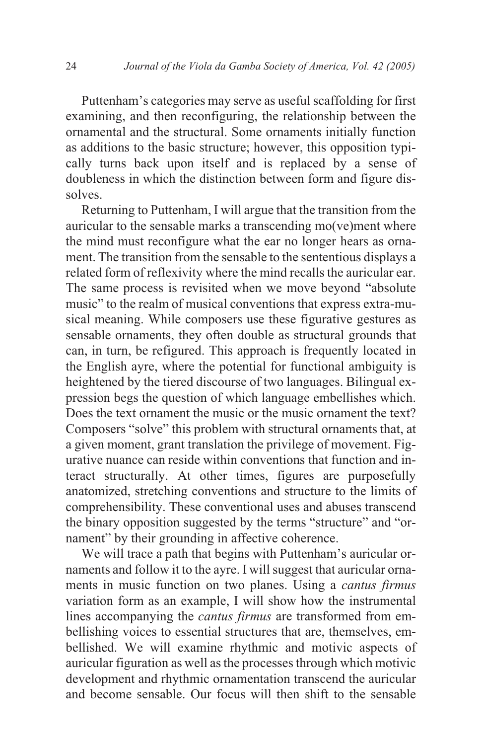Puttenham's categories may serve as useful scaffolding for first examining, and then reconfiguring, the relationship between the ornamental and the structural. Some ornaments initially function as additions to the basic structure; however, this opposition typically turns back upon itself and is replaced by a sense of doubleness in which the distinction between form and figure dissolves.

Returning to Puttenham, I will argue that the transition from the auricular to the sensable marks a transcending mo(ve)ment where the mind must reconfigure what the ear no longer hears as ornament. The transition from the sensable to the sententious displays a related form of reflexivity where the mind recalls the auricular ear. The same process is revisited when we move beyond "absolute music" to the realm of musical conventions that express extra-musical meaning. While composers use these figurative gestures as sensable ornaments, they often double as structural grounds that can, in turn, be refigured. This approach is frequently located in the English ayre, where the potential for functional ambiguity is heightened by the tiered discourse of two languages. Bilingual expression begs the question of which language embellishes which. Does the text ornament the music or the music ornament the text? Composers "solve" this problem with structural ornaments that, at a given moment, grant translation the privilege of movement. Figurative nuance can reside within conventions that function and interact structurally. At other times, figures are purposefully anatomized, stretching conventions and structure to the limits of comprehensibility. These conventional uses and abuses transcend the binary opposition suggested by the terms "structure" and "ornament" by their grounding in affective coherence.

We will trace a path that begins with Puttenham's auricular ornaments and follow it to the ayre. I will suggest that auricular ornaments in music function on two planes. Using a *cantus firmus* variation form as an example, I will show how the instrumental lines accompanying the *cantus firmus* are transformed from embellishing voices to essential structures that are, themselves, embellished. We will examine rhythmic and motivic aspects of auricular figuration as well as the processes through which motivic development and rhythmic ornamentation transcend the auricular and become sensable. Our focus will then shift to the sensable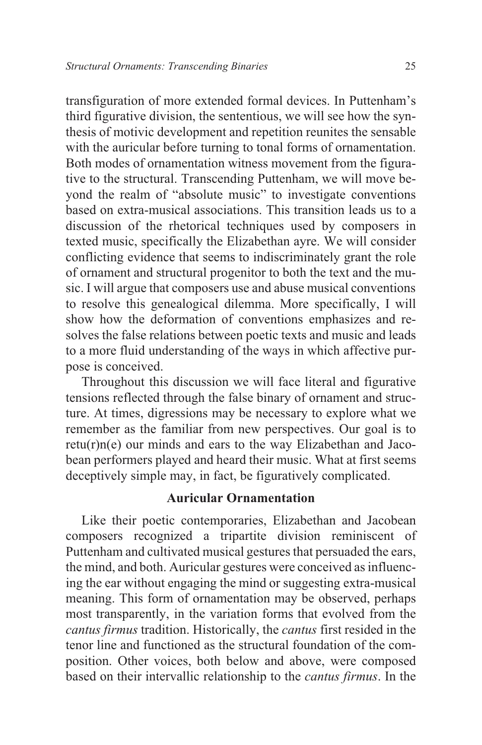transfiguration of more extended formal devices. In Puttenham's third figurative division, the sententious, we will see how the synthesis of motivic development and repetition reunites the sensable with the auricular before turning to tonal forms of ornamentation. Both modes of ornamentation witness movement from the figurative to the structural. Transcending Puttenham, we will move beyond the realm of "absolute music" to investigate conventions based on extra-musical associations. This transition leads us to a discussion of the rhetorical techniques used by composers in texted music, specifically the Elizabethan ayre. We will consider conflicting evidence that seems to indiscriminately grant the role of ornament and structural progenitor to both the text and the music. I will argue that composers use and abuse musical conventions to resolve this genealogical dilemma. More specifically, I will show how the deformation of conventions emphasizes and resolves the false relations between poetic texts and music and leads to a more fluid understanding of the ways in which affective purpose is conceived.

Throughout this discussion we will face literal and figurative tensions reflected through the false binary of ornament and structure. At times, digressions may be necessary to explore what we remember as the familiar from new perspectives. Our goal is to  $retu(r)$ n(e) our minds and ears to the way Elizabethan and Jacobean performers played and heard their music. What at first seems deceptively simple may, in fact, be figuratively complicated.

### **Auricular Ornamentation**

Like their poetic contemporaries, Elizabethan and Jacobean composers recognized a tripartite division reminiscent of Puttenham and cultivated musical gestures that persuaded the ears, the mind, and both. Auricular gestures were conceived as influencing the ear without engaging the mind or suggesting extra-musical meaning. This form of ornamentation may be observed, perhaps most transparently, in the variation forms that evolved from the *cantus firmus* tradition. Historically, the *cantus* first resided in the tenor line and functioned as the structural foundation of the composition. Other voices, both below and above, were composed based on their intervallic relationship to the *cantus firmus*. In the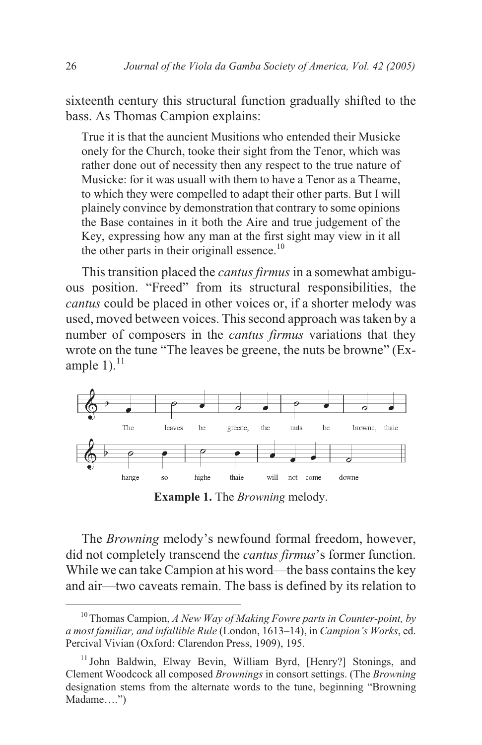sixteenth century this structural function gradually shifted to the bass. As Thomas Campion explains:

True it is that the auncient Musitions who entended their Musicke onely for the Church, tooke their sight from the Tenor, which was rather done out of necessity then any respect to the true nature of Musicke: for it was usuall with them to have a Tenor as a Theame, to which they were compelled to adapt their other parts. But I will plainely convince by demonstration that contrary to some opinions the Base containes in it both the Aire and true judgement of the Key, expressing how any man at the first sight may view in it all the other parts in their originall essence. $10$ 

This transition placed the *cantus firmus* in a somewhat ambiguous position. "Freed" from its structural responsibilities, the *cantus* could be placed in other voices or, if a shorter melody was used, moved between voices. This second approach was taken by a number of composers in the *cantus firmus* variations that they wrote on the tune "The leaves be greene, the nuts be browne" (Example  $1$ ).<sup>11</sup>



**Example 1.** The *Browning* melody.

The *Browning* melody's newfound formal freedom, however, did not completely transcend the *cantus firmus*'s former function. While we can take Campion at his word—the bass contains the key and air—two caveats remain. The bass is defined by its relation to

<sup>10</sup> Thomas Campion, *A New Way of Making Fowre parts in Counter-point, by a most familiar, and infallible Rule* (London, 1613–14), in *Campion's Works*, ed. Percival Vivian (Oxford: Clarendon Press, 1909), 195.

<sup>&</sup>lt;sup>11</sup> John Baldwin, Elway Bevin, William Byrd, [Henry?] Stonings, and Clement Woodcock all composed *Brownings* in consort settings. (The *Browning* designation stems from the alternate words to the tune, beginning "Browning Madame….")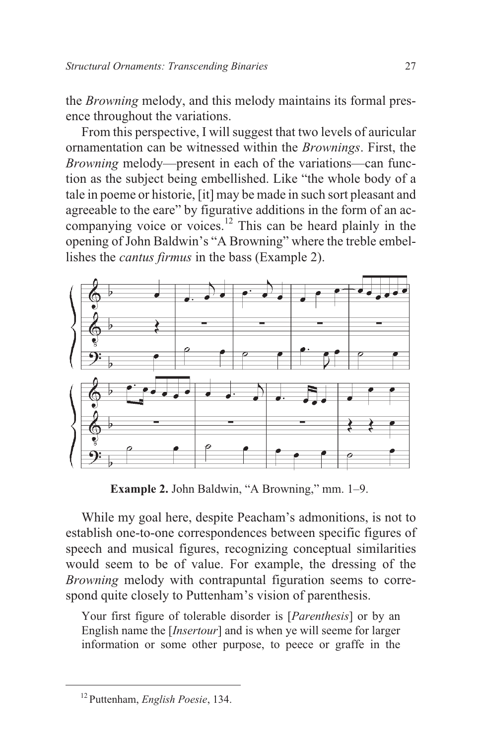the *Browning* melody, and this melody maintains its formal presence throughout the variations.

From this perspective, I will suggest that two levels of auricular ornamentation can be witnessed within the *Brownings*. First, the *Browning* melody—present in each of the variations—can function as the subject being embellished. Like "the whole body of a tale in poeme or historie, [it] may be made in such sort pleasant and agreeable to the eare" by figurative additions in the form of an accompanying voice or voices.<sup>12</sup> This can be heard plainly in the opening of John Baldwin's "A Browning" where the treble embellishes the *cantus firmus* in the bass (Example 2).



**Example 2.** John Baldwin, "A Browning," mm. 1–9.

While my goal here, despite Peacham's admonitions, is not to establish one-to-one correspondences between specific figures of speech and musical figures, recognizing conceptual similarities would seem to be of value. For example, the dressing of the *Browning* melody with contrapuntal figuration seems to correspond quite closely to Puttenham's vision of parenthesis.

Your first figure of tolerable disorder is [*Parenthesis*] or by an English name the [*Insertour*] and is when ye will seeme for larger information or some other purpose, to peece or graffe in the

<sup>12</sup> Puttenham, *English Poesie*, 134.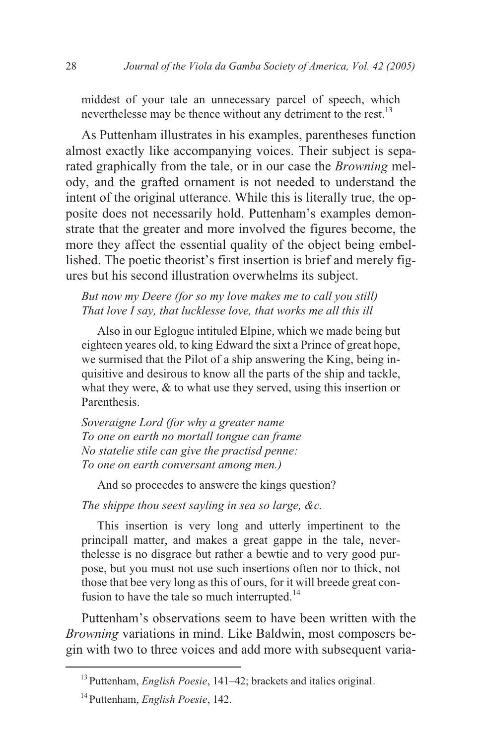middest of your tale an unnecessary parcel of speech, which neverthelesse may be thence without any detriment to the rest.<sup>13</sup>

As Puttenham illustrates in his examples, parentheses function almost exactly like accompanying voices. Their subject is separated graphically from the tale, or in our case the *Browning* melody, and the grafted ornament is not needed to understand the intent of the original utterance. While this is literally true, the opposite does not necessarily hold. Puttenham's examples demonstrate that the greater and more involved the figures become, the more they affect the essential quality of the object being embellished. The poetic theorist's first insertion is brief and merely figures but his second illustration overwhelms its subject.

*But now my Deere (for so my love makes me to call you still) That love I say, that lucklesse love, that works me all this ill*

Also in our Eglogue intituled Elpine, which we made being but eighteen yeares old, to king Edward the sixt a Prince of great hope, we surmised that the Pilot of a ship answering the King, being inquisitive and desirous to know all the parts of the ship and tackle, what they were,  $\&$  to what use they served, using this insertion or Parenthesis.

*Soveraigne Lord (for why a greater name To one on earth no mortall tongue can frame No statelie stile can give the practisd penne: To one on earth conversant among men.)*

And so proceedes to answere the kings question?

*The shippe thou seest sayling in sea so large, &c.*

This insertion is very long and utterly impertinent to the principall matter, and makes a great gappe in the tale, neverthelesse is no disgrace but rather a bewtie and to very good purpose, but you must not use such insertions often nor to thick, not those that bee very long as this of ours, for it will breede great confusion to have the tale so much interrupted. $^{14}$ 

Puttenham's observations seem to have been written with the *Browning* variations in mind. Like Baldwin, most composers begin with two to three voices and add more with subsequent varia-

<sup>13</sup> Puttenham, *English Poesie*, 141–42; brackets and italics original.

<sup>14</sup> Puttenham, *English Poesie*, 142.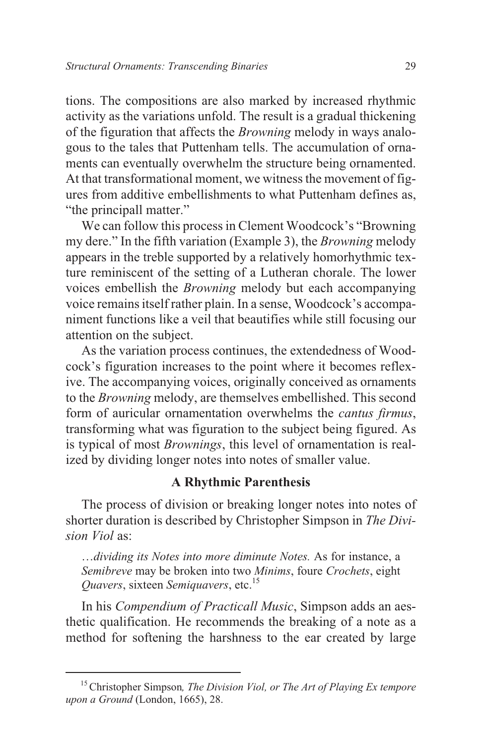tions. The compositions are also marked by increased rhythmic activity as the variations unfold. The result is a gradual thickening of the figuration that affects the *Browning* melody in ways analogous to the tales that Puttenham tells. The accumulation of ornaments can eventually overwhelm the structure being ornamented. At that transformational moment, we witness the movement of figures from additive embellishments to what Puttenham defines as, "the principall matter."

We can follow this process in Clement Woodcock's "Browning my dere." In the fifth variation (Example 3), the *Browning* melody appears in the treble supported by a relatively homorhythmic texture reminiscent of the setting of a Lutheran chorale. The lower voices embellish the *Browning* melody but each accompanying voice remains itself rather plain. In a sense, Woodcock's accompaniment functions like a veil that beautifies while still focusing our attention on the subject.

As the variation process continues, the extendedness of Woodcock's figuration increases to the point where it becomes reflexive. The accompanying voices, originally conceived as ornaments to the *Browning* melody, are themselves embellished. This second form of auricular ornamentation overwhelms the *cantus firmus*, transforming what was figuration to the subject being figured. As is typical of most *Brownings*, this level of ornamentation is realized by dividing longer notes into notes of smaller value.

## **A Rhythmic Parenthesis**

The process of division or breaking longer notes into notes of shorter duration is described by Christopher Simpson in *The Division Viol* as:

…*dividing its Notes into more diminute Notes.* As for instance, a *Semibreve* may be broken into two *Minims*, foure *Crochets*, eight *Quavers*, sixteen *Semiquavers*, etc.<sup>15</sup>

In his *Compendium of Practicall Music*, Simpson adds an aesthetic qualification. He recommends the breaking of a note as a method for softening the harshness to the ear created by large

<sup>15</sup>Christopher Simpson*, The Division Viol, or The Art of Playing Ex tempore upon a Ground* (London, 1665), 28.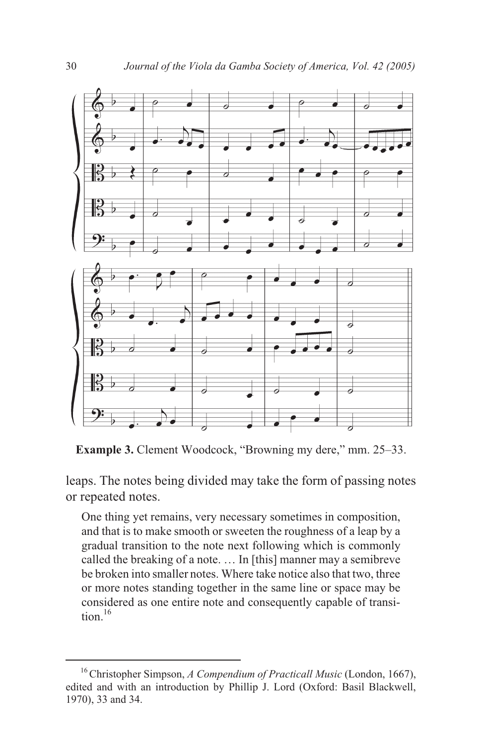

**Example 3.** Clement Woodcock, "Browning my dere," mm. 25–33.

leaps. The notes being divided may take the form of passing notes or repeated notes.

One thing yet remains, very necessary sometimes in composition, and that is to make smooth or sweeten the roughness of a leap by a gradual transition to the note next following which is commonly called the breaking of a note. … In [this] manner may a semibreve be broken into smaller notes. Where take notice also that two, three or more notes standing together in the same line or space may be considered as one entire note and consequently capable of transi $tion$ <sup>16</sup>

<sup>16</sup>Christopher Simpson, *A Compendium of Practicall Music* (London, 1667), edited and with an introduction by Phillip J. Lord (Oxford: Basil Blackwell, 1970), 33 and 34.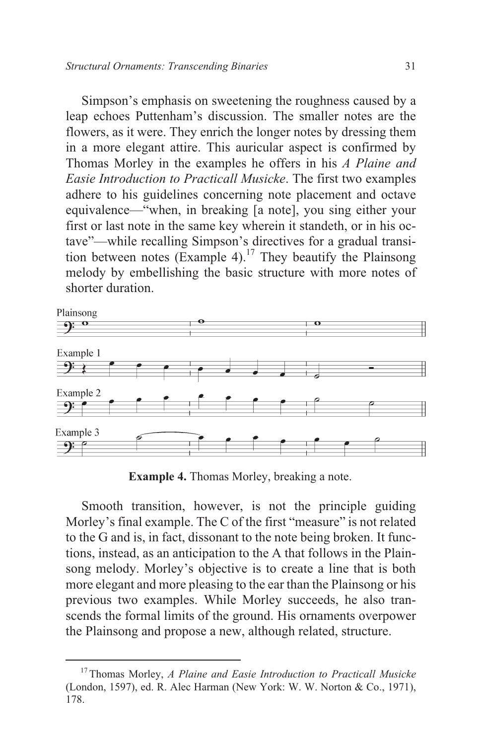Simpson's emphasis on sweetening the roughness caused by a leap echoes Puttenham's discussion. The smaller notes are the flowers, as it were. They enrich the longer notes by dressing them in a more elegant attire. This auricular aspect is confirmed by Thomas Morley in the examples he offers in his *A Plaine and Easie Introduction to Practicall Musicke*. The first two examples adhere to his guidelines concerning note placement and octave equivalence—"when, in breaking [a note], you sing either your first or last note in the same key wherein it standeth, or in his octave"—while recalling Simpson's directives for a gradual transition between notes (Example 4).<sup>17</sup> They beautify the Plainsong melody by embellishing the basic structure with more notes of shorter duration.



**Example 4.** Thomas Morley, breaking a note.

Smooth transition, however, is not the principle guiding Morley's final example. The C of the first "measure" is not related to the G and is, in fact, dissonant to the note being broken. It functions, instead, as an anticipation to the A that follows in the Plainsong melody. Morley's objective is to create a line that is both more elegant and more pleasing to the ear than the Plainsong or his previous two examples. While Morley succeeds, he also transcends the formal limits of the ground. His ornaments overpower the Plainsong and propose a new, although related, structure.

<sup>17</sup> Thomas Morley, *A Plaine and Easie Introduction to Practicall Musicke* (London, 1597), ed. R. Alec Harman (New York: W. W. Norton & Co., 1971), 178.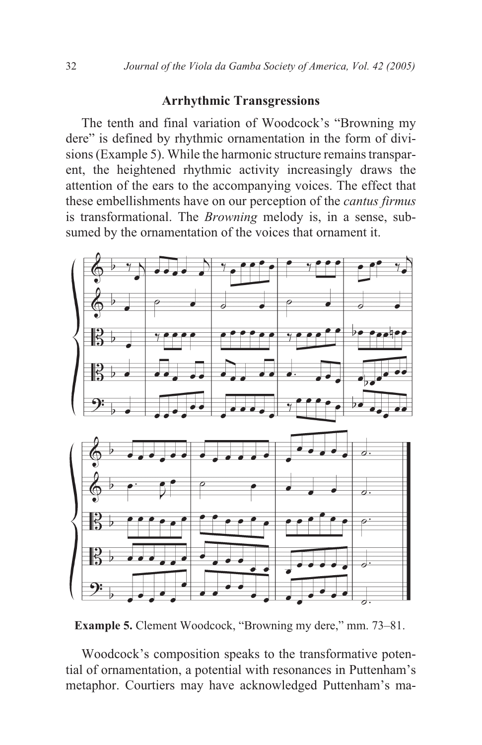#### **Arrhythmic Transgressions**

The tenth and final variation of Woodcock's "Browning my dere" is defined by rhythmic ornamentation in the form of divisions (Example 5). While the harmonic structure remains transparent, the heightened rhythmic activity increasingly draws the attention of the ears to the accompanying voices. The effect that these embellishments have on our perception of the *cantus firmus* is transformational. The *Browning* melody is, in a sense, subsumed by the ornamentation of the voices that ornament it.



**Example 5.** Clement Woodcock, "Browning my dere," mm. 73–81.

Woodcock's composition speaks to the transformative potential of ornamentation, a potential with resonances in Puttenham's metaphor. Courtiers may have acknowledged Puttenham's ma-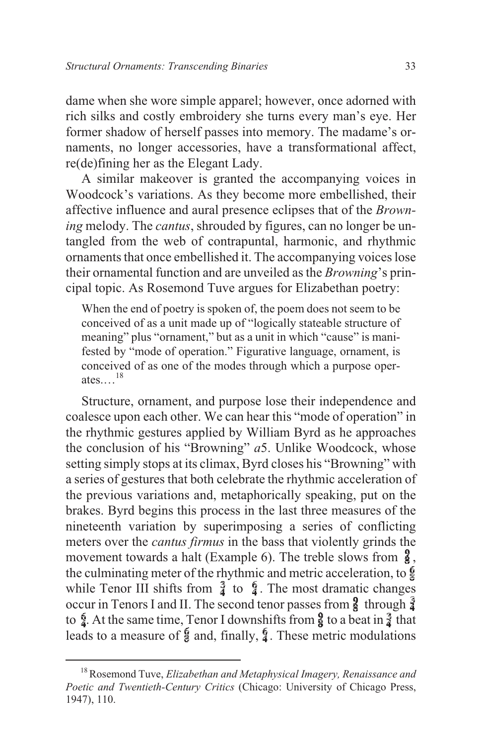dame when she wore simple apparel; however, once adorned with rich silks and costly embroidery she turns every man's eye. Her former shadow of herself passes into memory. The madame's ornaments, no longer accessories, have a transformational affect, re(de)fining her as the Elegant Lady.

A similar makeover is granted the accompanying voices in Woodcock's variations. As they become more embellished, their affective influence and aural presence eclipses that of the *Browning* melody. The *cantus*, shrouded by figures, can no longer be untangled from the web of contrapuntal, harmonic, and rhythmic ornaments that once embellished it. The accompanying voices lose their ornamental function and are unveiled as the *Browning*'s principal topic. As Rosemond Tuve argues for Elizabethan poetry:

When the end of poetry is spoken of, the poem does not seem to be conceived of as a unit made up of "logically stateable structure of meaning" plus "ornament," but as a unit in which "cause" is manifested by "mode of operation." Figurative language, ornament, is conceived of as one of the modes through which a purpose operates.…<sup>18</sup>

Structure, ornament, and purpose lose their independence and coalesce upon each other. We can hear this "mode of operation" in the rhythmic gestures applied by William Byrd as he approaches the conclusion of his "Browning" *a*5. Unlike Woodcock, whose setting simply stops at its climax, Byrd closes his "Browning" with a series of gestures that both celebrate the rhythmic acceleration of the previous variations and, metaphorically speaking, put on the brakes. Byrd begins this process in the last three measures of the nineteenth variation by superimposing a series of conflicting meters over the *cantus firmus* in the bass that violently grinds the movement towards a halt (Example 6). The treble slows from  $\frac{9}{8}$ , the culminating meter of the rhythmic and metric acceleration, to  $\oint$ while Tenor III shifts from  $\frac{3}{2}$  to  $\frac{6}{2}$ . The most dramatic changes occur in Tenors I and II. The second tenor passes from  $\frac{3}{4}$  through  $\frac{3}{4}$ to  $\oint$ . At the same time, Tenor I downshifts from  $\oint$  to a beat in  $\oint$  that leads to a measure of  $\oint$  and, finally,  $\oint$ . These metric modulations

<sup>18</sup>Rosemond Tuve, *Elizabethan and Metaphysical Imagery, Renaissance and Poetic and Twentieth-Century Critics* (Chicago: University of Chicago Press, 1947), 110.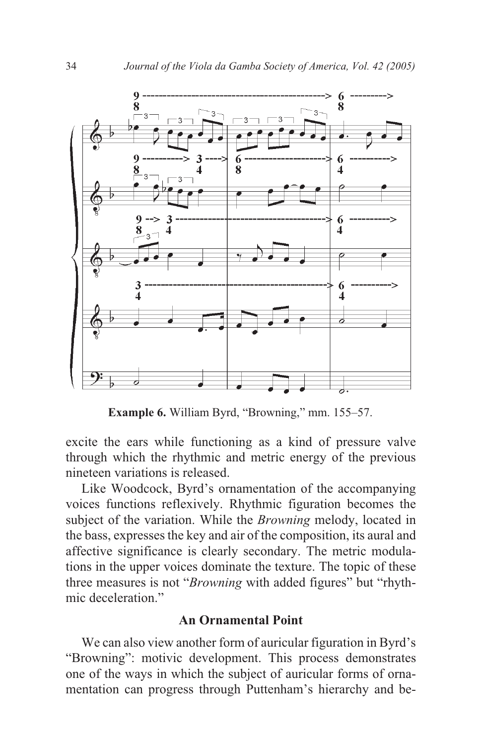

**Example 6.** William Byrd, "Browning," mm. 155–57.

excite the ears while functioning as a kind of pressure valve through which the rhythmic and metric energy of the previous nineteen variations is released.

Like Woodcock, Byrd's ornamentation of the accompanying voices functions reflexively. Rhythmic figuration becomes the subject of the variation. While the *Browning* melody, located in the bass, expresses the key and air of the composition, its aural and affective significance is clearly secondary. The metric modulations in the upper voices dominate the texture. The topic of these three measures is not "*Browning* with added figures" but "rhythmic deceleration."

#### **An Ornamental Point**

We can also view another form of auricular figuration in Byrd's "Browning": motivic development. This process demonstrates one of the ways in which the subject of auricular forms of ornamentation can progress through Puttenham's hierarchy and be-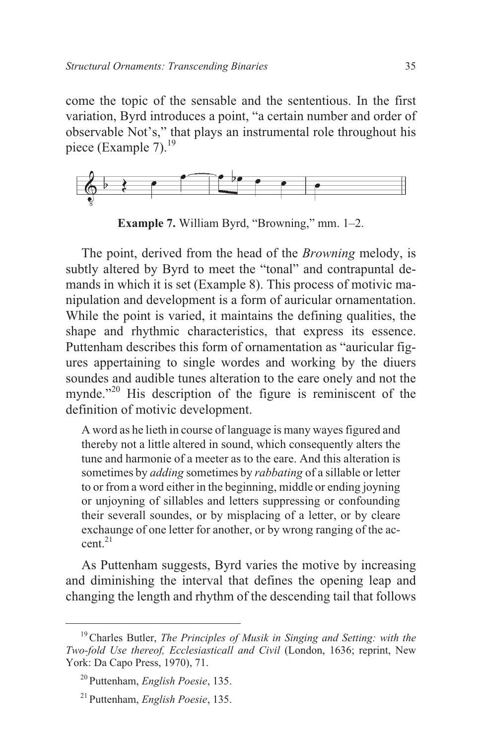come the topic of the sensable and the sententious. In the first variation, Byrd introduces a point, "a certain number and order of observable Not's," that plays an instrumental role throughout his piece (Example 7). $^{19}$ 



**Example 7.** William Byrd, "Browning," mm. 1–2.

The point, derived from the head of the *Browning* melody, is subtly altered by Byrd to meet the "tonal" and contrapuntal demands in which it is set (Example 8). This process of motivic manipulation and development is a form of auricular ornamentation. While the point is varied, it maintains the defining qualities, the shape and rhythmic characteristics, that express its essence. Puttenham describes this form of ornamentation as "auricular figures appertaining to single wordes and working by the diuers soundes and audible tunes alteration to the eare onely and not the mynde."<sup>20</sup> His description of the figure is reminiscent of the definition of motivic development.

A word as he lieth in course of language is many wayes figured and thereby not a little altered in sound, which consequently alters the tune and harmonie of a meeter as to the eare. And this alteration is sometimes by *adding* sometimes by *rabbating* of a sillable or letter to or from a word either in the beginning, middle or ending joyning or unjoyning of sillables and letters suppressing or confounding their severall soundes, or by misplacing of a letter, or by cleare exchaunge of one letter for another, or by wrong ranging of the accent $^{21}$ 

As Puttenham suggests, Byrd varies the motive by increasing and diminishing the interval that defines the opening leap and changing the length and rhythm of the descending tail that follows

<sup>19</sup>Charles Butler, *The Principles of Musik in Singing and Setting: with the Two-fold Use thereof, Ecclesiasticall and Civil* (London, 1636; reprint, New York: Da Capo Press, 1970), 71.

<sup>20</sup> Puttenham, *English Poesie*, 135.

<sup>21</sup> Puttenham, *English Poesie*, 135.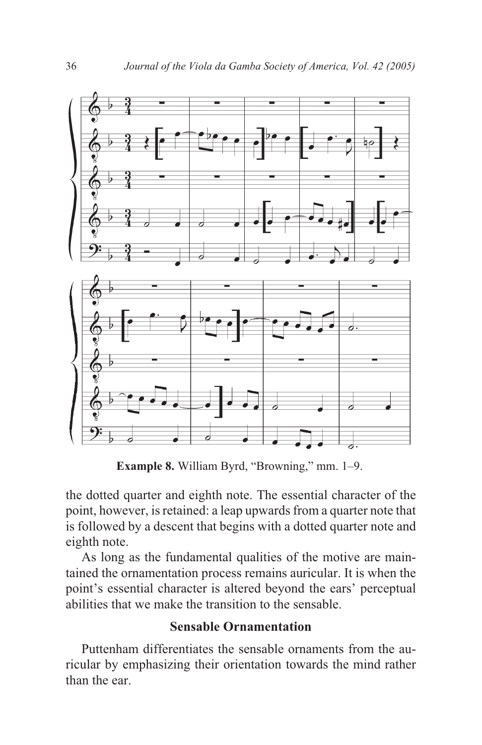

**Example 8.** William Byrd, "Browning," mm. 1–9.

the dotted quarter and eighth note. The essential character of the point, however, is retained: a leap upwards from a quarter note that is followed by a descent that begins with a dotted quarter note and eighth note.

As long as the fundamental qualities of the motive are maintained the ornamentation process remains auricular. It is when the point's essential character is altered beyond the ears' perceptual abilities that we make the transition to the sensable.

## **Sensable Ornamentation**

Puttenham differentiates the sensable ornaments from the auricular by emphasizing their orientation towards the mind rather than the ear.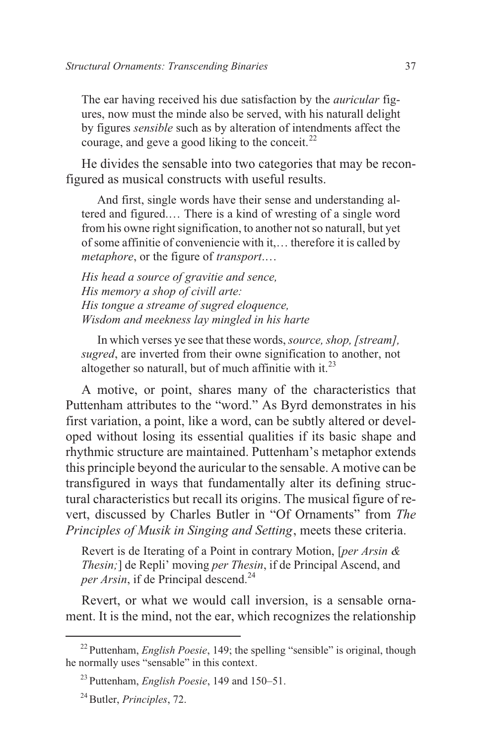The ear having received his due satisfaction by the *auricular* figures, now must the minde also be served, with his naturall delight by figures *sensible* such as by alteration of intendments affect the courage, and geve a good liking to the conceit.<sup>22</sup>

He divides the sensable into two categories that may be reconfigured as musical constructs with useful results.

And first, single words have their sense and understanding altered and figured.… There is a kind of wresting of a single word from his owne right signification, to another not so naturall, but yet of some affinitie of conveniencie with it,… therefore it is called by *metaphore*, or the figure of *transport*.…

*His head a source of gravitie and sence, His memory a shop of civill arte: His tongue a streame of sugred eloquence, Wisdom and meekness lay mingled in his harte*

In which verses ye see that these words,*source, shop, [stream], sugred*, are inverted from their owne signification to another, not altogether so naturall, but of much affinitie with it. $^{23}$ 

A motive, or point, shares many of the characteristics that Puttenham attributes to the "word." As Byrd demonstrates in his first variation, a point, like a word, can be subtly altered or developed without losing its essential qualities if its basic shape and rhythmic structure are maintained. Puttenham's metaphor extends this principle beyond the auricular to the sensable. A motive can be transfigured in ways that fundamentally alter its defining structural characteristics but recall its origins. The musical figure of revert, discussed by Charles Butler in "Of Ornaments" from *The Principles of Musik in Singing and Setting*, meets these criteria.

Revert is de Iterating of a Point in contrary Motion, [*per Arsin & Thesin;*] de Repli' moving *per Thesin*, if de Principal Ascend, and *per Arsin*, if de Principal descend.<sup>24</sup>

Revert, or what we would call inversion, is a sensable ornament. It is the mind, not the ear, which recognizes the relationship

<sup>22</sup> Puttenham, *English Poesie*, 149; the spelling "sensible" is original, though he normally uses "sensable" in this context.

<sup>23</sup> Puttenham, *English Poesie*, 149 and 150–51.

<sup>24</sup>Butler, *Principles*, 72.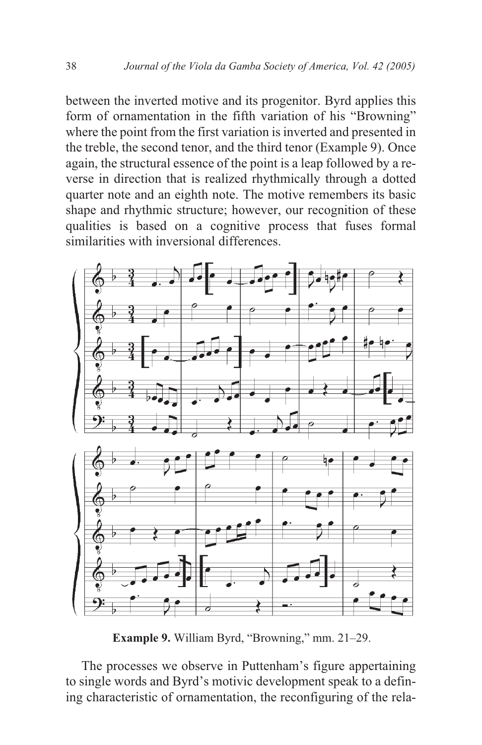between the inverted motive and its progenitor. Byrd applies this form of ornamentation in the fifth variation of his "Browning" where the point from the first variation is inverted and presented in the treble, the second tenor, and the third tenor (Example 9). Once again, the structural essence of the point is a leap followed by a reverse in direction that is realized rhythmically through a dotted quarter note and an eighth note. The motive remembers its basic shape and rhythmic structure; however, our recognition of these qualities is based on a cognitive process that fuses formal similarities with inversional differences.



**Example 9.** William Byrd, "Browning," mm. 21–29.

The processes we observe in Puttenham's figure appertaining to single words and Byrd's motivic development speak to a defining characteristic of ornamentation, the reconfiguring of the rela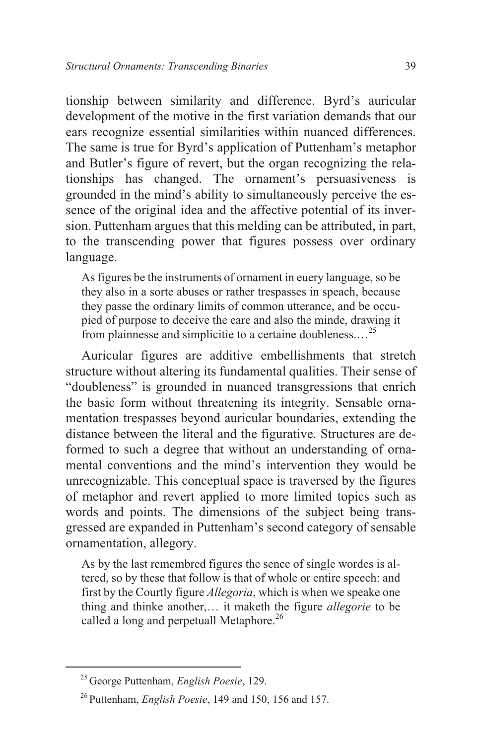tionship between similarity and difference. Byrd's auricular development of the motive in the first variation demands that our ears recognize essential similarities within nuanced differences. The same is true for Byrd's application of Puttenham's metaphor and Butler's figure of revert, but the organ recognizing the relationships has changed. The ornament's persuasiveness is grounded in the mind's ability to simultaneously perceive the essence of the original idea and the affective potential of its inversion. Puttenham argues that this melding can be attributed, in part, to the transcending power that figures possess over ordinary language.

As figures be the instruments of ornament in euery language, so be they also in a sorte abuses or rather trespasses in speach, because they passe the ordinary limits of common utterance, and be occupied of purpose to deceive the eare and also the minde, drawing it from plainnesse and simplicitie to a certaine doubleness.…<sup>25</sup>

Auricular figures are additive embellishments that stretch structure without altering its fundamental qualities. Their sense of "doubleness" is grounded in nuanced transgressions that enrich the basic form without threatening its integrity. Sensable ornamentation trespasses beyond auricular boundaries, extending the distance between the literal and the figurative. Structures are deformed to such a degree that without an understanding of ornamental conventions and the mind's intervention they would be unrecognizable. This conceptual space is traversed by the figures of metaphor and revert applied to more limited topics such as words and points. The dimensions of the subject being transgressed are expanded in Puttenham's second category of sensable ornamentation, allegory.

As by the last remembred figures the sence of single wordes is altered, so by these that follow is that of whole or entire speech: and first by the Courtly figure *Allegoria*, which is when we speake one thing and thinke another,… it maketh the figure *allegorie* to be called a long and perpetuall Metaphore.<sup>26</sup>

<sup>25</sup> George Puttenham, *English Poesie*, 129.

<sup>26</sup> Puttenham, *English Poesie*, 149 and 150, 156 and 157.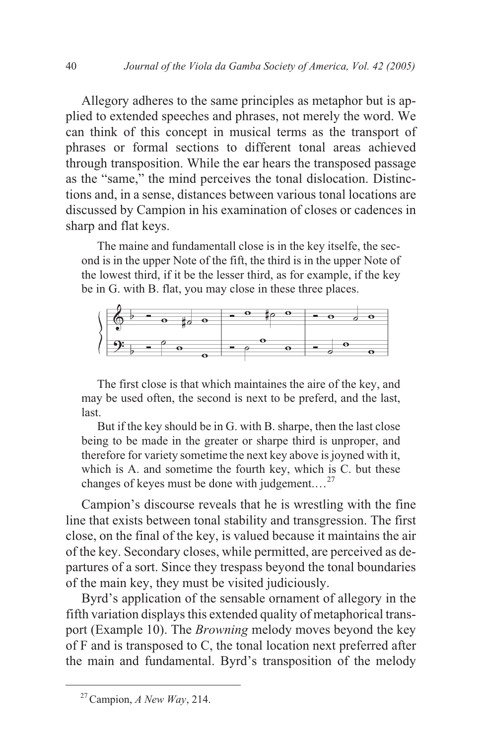Allegory adheres to the same principles as metaphor but is applied to extended speeches and phrases, not merely the word. We can think of this concept in musical terms as the transport of phrases or formal sections to different tonal areas achieved through transposition. While the ear hears the transposed passage as the "same," the mind perceives the tonal dislocation. Distinctions and, in a sense, distances between various tonal locations are discussed by Campion in his examination of closes or cadences in sharp and flat keys.

The maine and fundamentall close is in the key itselfe, the second is in the upper Note of the fift, the third is in the upper Note of the lowest third, if it be the lesser third, as for example, if the key be in G. with B. flat, you may close in these three places.



The first close is that which maintaines the aire of the key, and may be used often, the second is next to be preferd, and the last, last.

But if the key should be in G. with B. sharpe, then the last close being to be made in the greater or sharpe third is unproper, and therefore for variety sometime the next key above is joyned with it, which is A. and sometime the fourth key, which is C. but these changes of keyes must be done with judgement.…<sup>27</sup>

Campion's discourse reveals that he is wrestling with the fine line that exists between tonal stability and transgression. The first close, on the final of the key, is valued because it maintains the air of the key. Secondary closes, while permitted, are perceived as departures of a sort. Since they trespass beyond the tonal boundaries of the main key, they must be visited judiciously.

Byrd's application of the sensable ornament of allegory in the fifth variation displays this extended quality of metaphorical transport (Example 10). The *Browning* melody moves beyond the key of F and is transposed to C, the tonal location next preferred after the main and fundamental. Byrd's transposition of the melody

<sup>27</sup>Campion, *A New Way*, 214.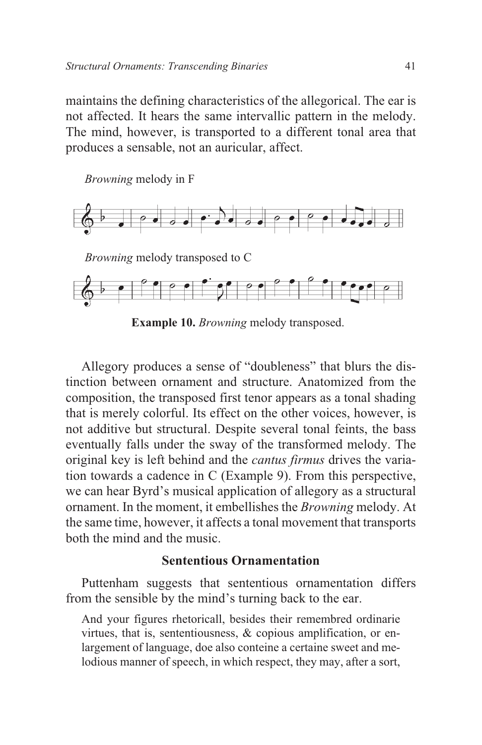maintains the defining characteristics of the allegorical. The ear is not affected. It hears the same intervallic pattern in the melody. The mind, however, is transported to a different tonal area that produces a sensable, not an auricular, affect.

*Browning* melody in F





**Example 10.** *Browning* melody transposed.

Allegory produces a sense of "doubleness" that blurs the distinction between ornament and structure. Anatomized from the composition, the transposed first tenor appears as a tonal shading that is merely colorful. Its effect on the other voices, however, is not additive but structural. Despite several tonal feints, the bass eventually falls under the sway of the transformed melody. The original key is left behind and the *cantus firmus* drives the variation towards a cadence in C (Example 9). From this perspective, we can hear Byrd's musical application of allegory as a structural ornament. In the moment, it embellishes the *Browning* melody. At the same time, however, it affects a tonal movement that transports both the mind and the music.

## **Sententious Ornamentation**

Puttenham suggests that sententious ornamentation differs from the sensible by the mind's turning back to the ear.

And your figures rhetoricall, besides their remembred ordinarie virtues, that is, sententiousness, & copious amplification, or enlargement of language, doe also conteine a certaine sweet and melodious manner of speech, in which respect, they may, after a sort,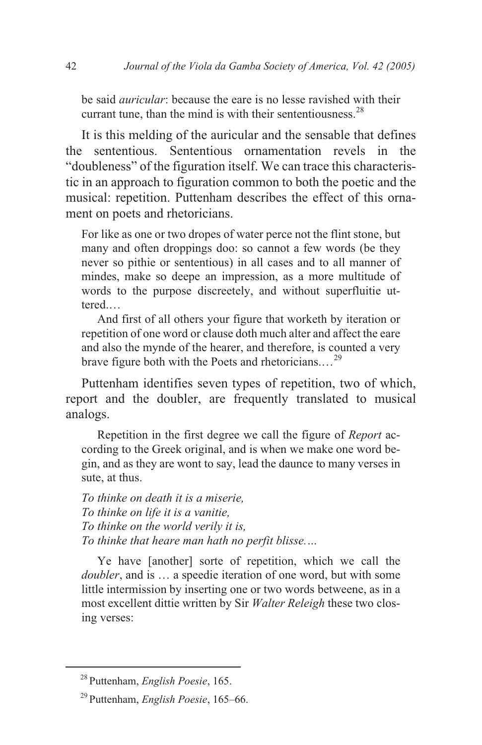be said *auricular*: because the eare is no lesse ravished with their currant tune, than the mind is with their sententiousness. $^{28}$ 

It is this melding of the auricular and the sensable that defines the sententious. Sententious ornamentation revels in the "doubleness" of the figuration itself. We can trace this characteristic in an approach to figuration common to both the poetic and the musical: repetition. Puttenham describes the effect of this ornament on poets and rhetoricians.

For like as one or two dropes of water perce not the flint stone, but many and often droppings doo: so cannot a few words (be they never so pithie or sententious) in all cases and to all manner of mindes, make so deepe an impression, as a more multitude of words to the purpose discreetely, and without superfluitie uttered.…

And first of all others your figure that worketh by iteration or repetition of one word or clause doth much alter and affect the eare and also the mynde of the hearer, and therefore, is counted a very brave figure both with the Poets and rhetoricians....<sup>29</sup>

Puttenham identifies seven types of repetition, two of which, report and the doubler, are frequently translated to musical analogs.

Repetition in the first degree we call the figure of *Report* according to the Greek original, and is when we make one word begin, and as they are wont to say, lead the daunce to many verses in sute, at thus.

*To thinke on death it is a miserie, To thinke on life it is a vanitie, To thinke on the world verily it is, To thinke that heare man hath no perfit blisse.…*

Ye have [another] sorte of repetition, which we call the *doubler*, and is … a speedie iteration of one word, but with some little intermission by inserting one or two words betweene, as in a most excellent dittie written by Sir *Walter Releigh* these two closing verses:

<sup>28</sup> Puttenham, *English Poesie*, 165.

<sup>29</sup> Puttenham, *English Poesie*, 165–66.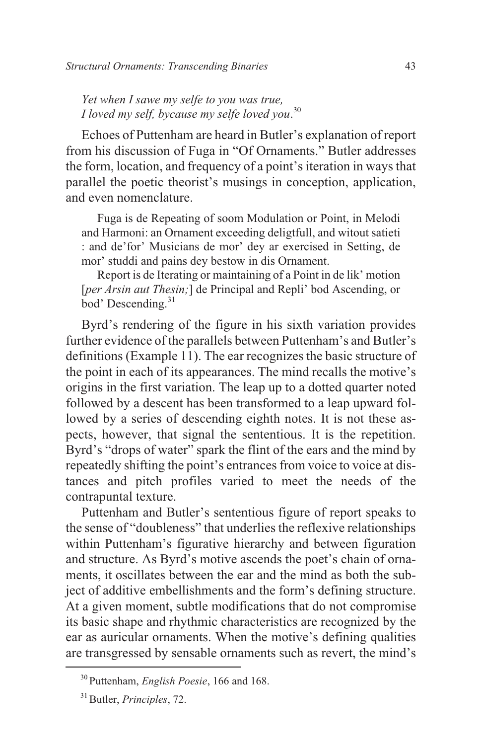*Yet when I sawe my selfe to you was true, I loved my self, bycause my selfe loved you*. 30

Echoes of Puttenham are heard in Butler's explanation of report from his discussion of Fuga in "Of Ornaments." Butler addresses the form, location, and frequency of a point's iteration in ways that parallel the poetic theorist's musings in conception, application, and even nomenclature.

Fuga is de Repeating of soom Modulation or Point, in Melodi and Harmoni: an Ornament exceeding deligtfull, and witout satieti : and de'for' Musicians de mor' dey ar exercised in Setting, de mor' studdi and pains dey bestow in dis Ornament.

Report is de Iterating or maintaining of a Point in de lik' motion [*per Arsin aut Thesin*;] de Principal and Repli' bod Ascending, or bod' Descending.<sup>31</sup>

Byrd's rendering of the figure in his sixth variation provides further evidence of the parallels between Puttenham's and Butler's definitions (Example 11). The ear recognizes the basic structure of the point in each of its appearances. The mind recalls the motive's origins in the first variation. The leap up to a dotted quarter noted followed by a descent has been transformed to a leap upward followed by a series of descending eighth notes. It is not these aspects, however, that signal the sententious. It is the repetition. Byrd's "drops of water" spark the flint of the ears and the mind by repeatedly shifting the point's entrances from voice to voice at distances and pitch profiles varied to meet the needs of the contrapuntal texture.

Puttenham and Butler's sententious figure of report speaks to the sense of "doubleness" that underlies the reflexive relationships within Puttenham's figurative hierarchy and between figuration and structure. As Byrd's motive ascends the poet's chain of ornaments, it oscillates between the ear and the mind as both the subject of additive embellishments and the form's defining structure. At a given moment, subtle modifications that do not compromise its basic shape and rhythmic characteristics are recognized by the ear as auricular ornaments. When the motive's defining qualities are transgressed by sensable ornaments such as revert, the mind's

<sup>30</sup> Puttenham, *English Poesie*, 166 and 168.

<sup>31</sup>Butler, *Principles*, 72.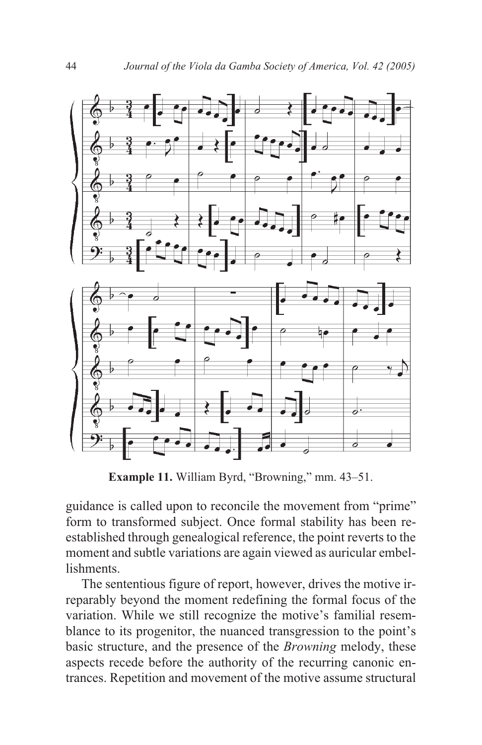

**Example 11.** William Byrd, "Browning," mm. 43–51.

guidance is called upon to reconcile the movement from "prime" form to transformed subject. Once formal stability has been reestablished through genealogical reference, the point reverts to the moment and subtle variations are again viewed as auricular embellishments.

The sententious figure of report, however, drives the motive irreparably beyond the moment redefining the formal focus of the variation. While we still recognize the motive's familial resemblance to its progenitor, the nuanced transgression to the point's basic structure, and the presence of the *Browning* melody, these aspects recede before the authority of the recurring canonic entrances. Repetition and movement of the motive assume structural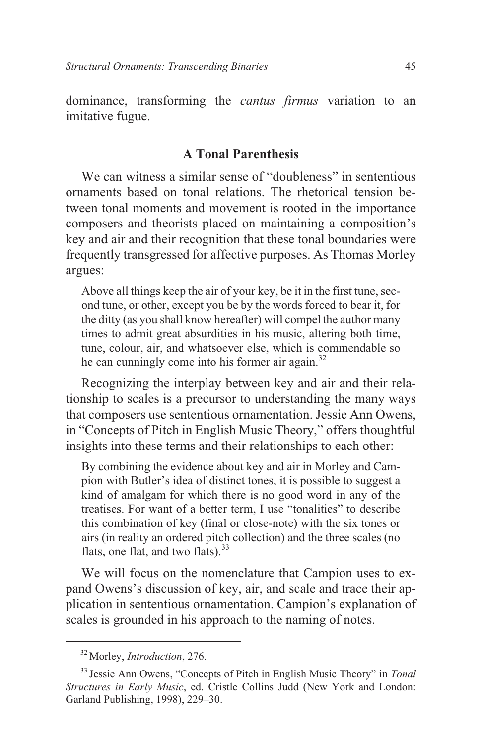dominance, transforming the *cantus firmus* variation to an imitative fugue.

## **A Tonal Parenthesis**

We can witness a similar sense of "doubleness" in sententious ornaments based on tonal relations. The rhetorical tension between tonal moments and movement is rooted in the importance composers and theorists placed on maintaining a composition's key and air and their recognition that these tonal boundaries were frequently transgressed for affective purposes. As Thomas Morley argues:

Above all things keep the air of your key, be it in the first tune, second tune, or other, except you be by the words forced to bear it, for the ditty (as you shall know hereafter) will compel the author many times to admit great absurdities in his music, altering both time, tune, colour, air, and whatsoever else, which is commendable so he can cunningly come into his former air again.<sup>32</sup>

Recognizing the interplay between key and air and their relationship to scales is a precursor to understanding the many ways that composers use sententious ornamentation. Jessie Ann Owens, in "Concepts of Pitch in English Music Theory," offers thoughtful insights into these terms and their relationships to each other:

By combining the evidence about key and air in Morley and Campion with Butler's idea of distinct tones, it is possible to suggest a kind of amalgam for which there is no good word in any of the treatises. For want of a better term, I use "tonalities" to describe this combination of key (final or close-note) with the six tones or airs (in reality an ordered pitch collection) and the three scales (no flats, one flat, and two flats). $33$ 

We will focus on the nomenclature that Campion uses to expand Owens's discussion of key, air, and scale and trace their application in sententious ornamentation. Campion's explanation of scales is grounded in his approach to the naming of notes.

<sup>32</sup> Morley, *Introduction*, 276.

<sup>33</sup> Jessie Ann Owens, "Concepts of Pitch in English Music Theory" in *Tonal Structures in Early Music*, ed. Cristle Collins Judd (New York and London: Garland Publishing, 1998), 229–30.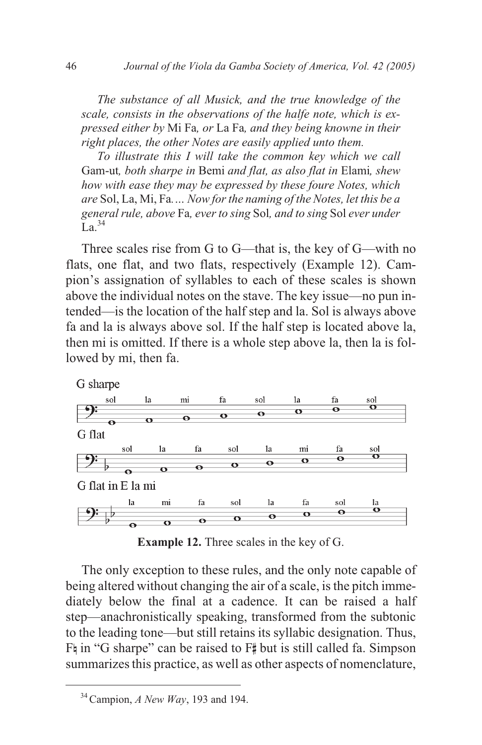*The substance of all Musick, and the true knowledge of the scale, consists in the observations of the halfe note, which is expressed either by* Mi Fa*, or* La Fa*, and they being knowne in their right places, the other Notes are easily applied unto them.*

*To illustrate this I will take the common key which we call* Gam-ut*, both sharpe in* Bemi *and flat, as also flat in* Elami*, shew how with ease they may be expressed by these foure Notes, which are* Sol, La, Mi, Fa*.… Now for the naming of the Notes, let this be a general rule, above* Fa*, ever to sing* Sol*, and to sing* Sol *ever under*  $\overline{L}$  a 34

Three scales rise from G to G—that is, the key of G—with no flats, one flat, and two flats, respectively (Example 12). Campion's assignation of syllables to each of these scales is shown above the individual notes on the stave. The key issue—no pun intended—is the location of the half step and la. Sol is always above fa and la is always above sol. If the half step is located above la, then mi is omitted. If there is a whole step above la, then la is followed by mi, then fa.



**Example 12.** Three scales in the key of G.

The only exception to these rules, and the only note capable of being altered without changing the air of a scale, is the pitch immediately below the final at a cadence. It can be raised a half step—anachronistically speaking, transformed from the subtonic to the leading tone—but still retains its syllabic designation. Thus, Fh in "G sharpe" can be raised to F# but is still called fa. Simpson summarizes this practice, as well as other aspects of nomenclature,

<sup>34</sup>Campion, *A New Way*, 193 and 194.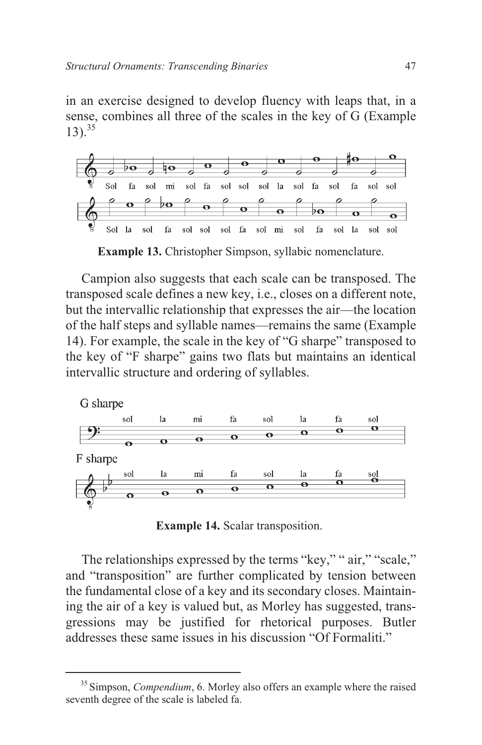in an exercise designed to develop fluency with leaps that, in a sense, combines all three of the scales in the key of G (Example  $13)$ .<sup>35</sup>



**Example 13.** Christopher Simpson, syllabic nomenclature.

Campion also suggests that each scale can be transposed. The transposed scale defines a new key, i.e., closes on a different note, but the intervallic relationship that expresses the air—the location of the half steps and syllable names—remains the same (Example 14). For example, the scale in the key of "G sharpe" transposed to the key of "F sharpe" gains two flats but maintains an identical intervallic structure and ordering of syllables.



**Example 14.** Scalar transposition.

The relationships expressed by the terms "key," " air," "scale," and "transposition" are further complicated by tension between the fundamental close of a key and its secondary closes. Maintaining the air of a key is valued but, as Morley has suggested, transgressions may be justified for rhetorical purposes. Butler addresses these same issues in his discussion "Of Formaliti."

<sup>&</sup>lt;sup>35</sup> Simpson, *Compendium*, 6. Morley also offers an example where the raised seventh degree of the scale is labeled fa.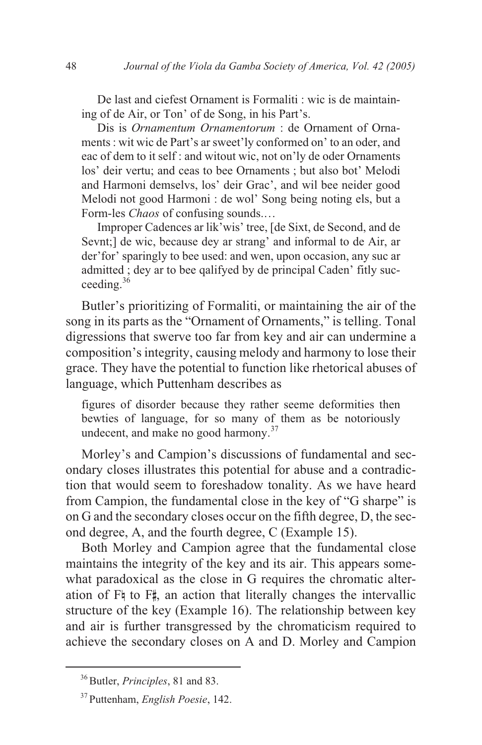De last and ciefest Ornament is Formaliti : wic is de maintaining of de Air, or Ton' of de Song, in his Part's.

Dis is *Ornamentum Ornamentorum* : de Ornament of Ornaments : wit wic de Part's ar sweet'ly conformed on' to an oder, and eac of dem to it self : and witout wic, not on'ly de oder Ornaments los' deir vertu; and ceas to bee Ornaments ; but also bot' Melodi and Harmoni demselvs, los' deir Grac', and wil bee neider good Melodi not good Harmoni : de wol' Song being noting els, but a Form-les *Chaos* of confusing sounds.…

Improper Cadences ar lik'wis' tree, [de Sixt, de Second, and de Sevnt;] de wic, because dey ar strang' and informal to de Air, ar der'for' sparingly to bee used: and wen, upon occasion, any suc ar admitted ; dey ar to bee qalifyed by de principal Caden' fitly succeeding. $36$ 

Butler's prioritizing of Formaliti, or maintaining the air of the song in its parts as the "Ornament of Ornaments," is telling. Tonal digressions that swerve too far from key and air can undermine a composition's integrity, causing melody and harmony to lose their grace. They have the potential to function like rhetorical abuses of language, which Puttenham describes as

figures of disorder because they rather seeme deformities then bewties of language, for so many of them as be notoriously undecent, and make no good harmony.<sup>37</sup>

Morley's and Campion's discussions of fundamental and secondary closes illustrates this potential for abuse and a contradiction that would seem to foreshadow tonality. As we have heard from Campion, the fundamental close in the key of "G sharpe" is on G and the secondary closes occur on the fifth degree, D, the second degree, A, and the fourth degree, C (Example 15).

Both Morley and Campion agree that the fundamental close maintains the integrity of the key and its air. This appears somewhat paradoxical as the close in G requires the chromatic alteration of F<sub>4</sub> to F<sub>#</sub>, an action that literally changes the intervallic structure of the key (Example 16). The relationship between key and air is further transgressed by the chromaticism required to achieve the secondary closes on A and D. Morley and Campion

<sup>&</sup>lt;sup>36</sup> Butler, *Principles*, 81 and 83.

<sup>37</sup> Puttenham, *English Poesie*, 142.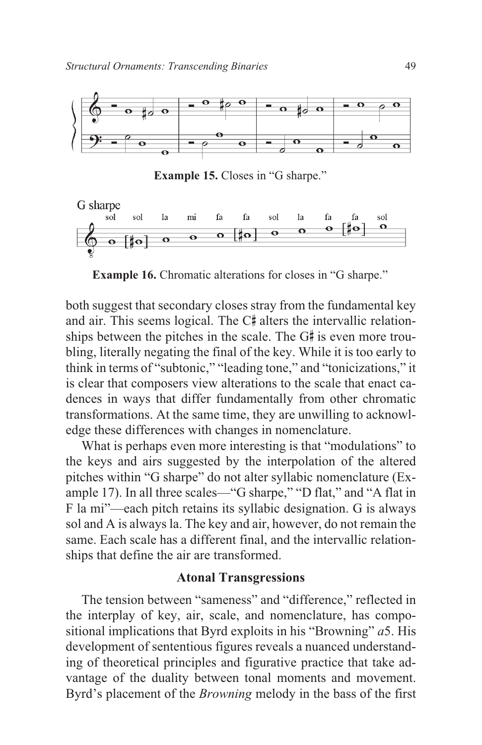

**Example 15.** Closes in "G sharpe."



**Example 16.** Chromatic alterations for closes in "G sharpe."

both suggest that secondary closes stray from the fundamental key and air. This seems logical. The C# alters the intervallic relationships between the pitches in the scale. The G# is even more troubling, literally negating the final of the key. While it is too early to think in terms of "subtonic," "leading tone," and "tonicizations," it is clear that composers view alterations to the scale that enact cadences in ways that differ fundamentally from other chromatic transformations. At the same time, they are unwilling to acknowledge these differences with changes in nomenclature.

What is perhaps even more interesting is that "modulations" to the keys and airs suggested by the interpolation of the altered pitches within "G sharpe" do not alter syllabic nomenclature (Example 17). In all three scales—"G sharpe," "D flat," and "A flat in F la mi"—each pitch retains its syllabic designation. G is always sol and A is always la. The key and air, however, do not remain the same. Each scale has a different final, and the intervallic relationships that define the air are transformed.

## **Atonal Transgressions**

The tension between "sameness" and "difference," reflected in the interplay of key, air, scale, and nomenclature, has compositional implications that Byrd exploits in his "Browning" *a*5. His development of sententious figures reveals a nuanced understanding of theoretical principles and figurative practice that take advantage of the duality between tonal moments and movement. Byrd's placement of the *Browning* melody in the bass of the first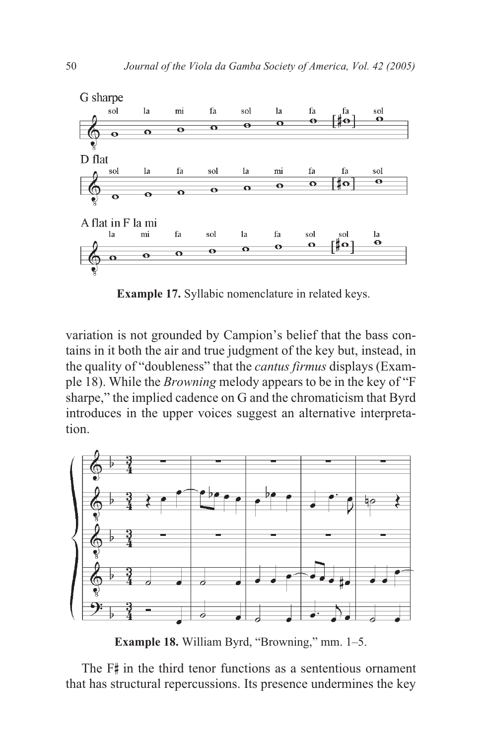

**Example 17.** Syllabic nomenclature in related keys.

variation is not grounded by Campion's belief that the bass contains in it both the air and true judgment of the key but, instead, in the quality of "doubleness" that the *cantus firmus* displays (Example 18). While the *Browning* melody appears to be in the key of "F sharpe," the implied cadence on G and the chromaticism that Byrd introduces in the upper voices suggest an alternative interpretation.



**Example 18.** William Byrd, "Browning," mm. 1–5.

The F# in the third tenor functions as a sententious ornament that has structural repercussions. Its presence undermines the key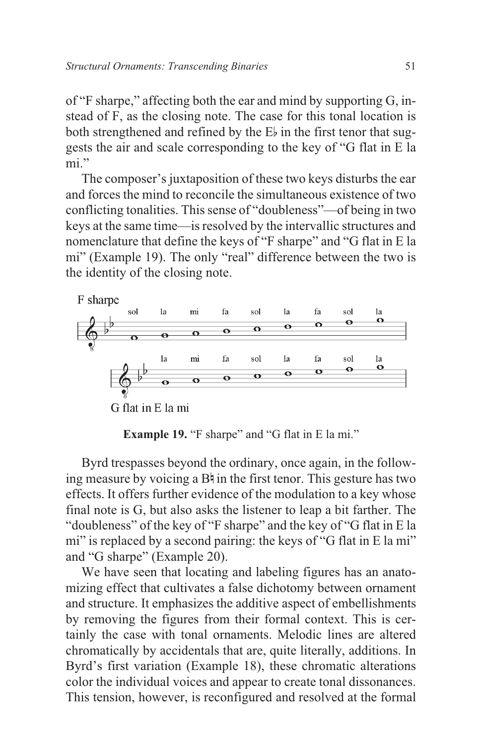of "F sharpe," affecting both the ear and mind by supporting G, instead of F, as the closing note. The case for this tonal location is both strengthened and refined by the  $E_{\nu}$  in the first tenor that suggests the air and scale corresponding to the key of "G flat in E la mi"

The composer's juxtaposition of these two keys disturbs the ear and forces the mind to reconcile the simultaneous existence of two conflicting tonalities. This sense of "doubleness"—of being in two keys at the same time—is resolved by the intervallic structures and nomenclature that define the keys of "F sharpe" and "G flat in E la mi" (Example 19). The only "real" difference between the two is the identity of the closing note.



**Example 19.** "F sharpe" and "G flat in E la mi."

Byrd trespasses beyond the ordinary, once again, in the following measure by voicing a  $B^{\frac{1}{2}}$  in the first tenor. This gesture has two effects. It offers further evidence of the modulation to a key whose final note is G, but also asks the listener to leap a bit farther. The "doubleness" of the key of "F sharpe" and the key of "G flat in E la mi" is replaced by a second pairing: the keys of "G flat in E la mi" and "G sharpe" (Example 20).

We have seen that locating and labeling figures has an anatomizing effect that cultivates a false dichotomy between ornament and structure. It emphasizes the additive aspect of embellishments by removing the figures from their formal context. This is certainly the case with tonal ornaments. Melodic lines are altered chromatically by accidentals that are, quite literally, additions. In Byrd's first variation (Example 18), these chromatic alterations color the individual voices and appear to create tonal dissonances. This tension, however, is reconfigured and resolved at the formal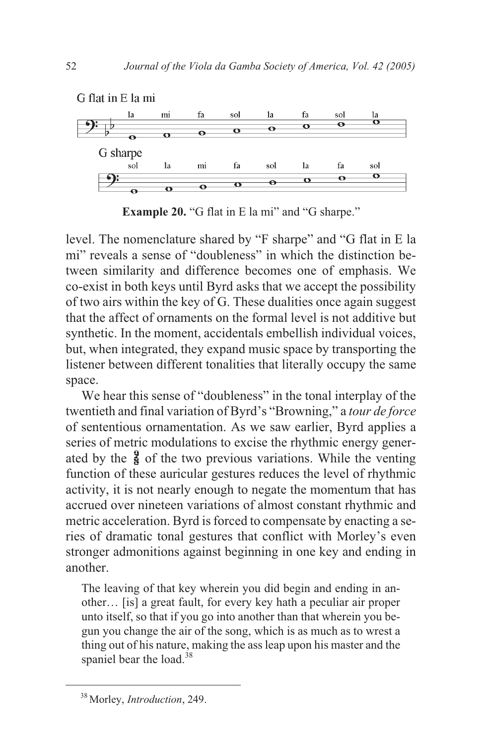

**Example 20.** "G flat in E la mi" and "G sharpe."

level. The nomenclature shared by "F sharpe" and "G flat in E la mi" reveals a sense of "doubleness" in which the distinction between similarity and difference becomes one of emphasis. We co-exist in both keys until Byrd asks that we accept the possibility of two airs within the key of G. These dualities once again suggest that the affect of ornaments on the formal level is not additive but synthetic. In the moment, accidentals embellish individual voices, but, when integrated, they expand music space by transporting the listener between different tonalities that literally occupy the same space.

We hear this sense of "doubleness" in the tonal interplay of the twentieth and final variation of Byrd's "Browning," a *tour de force* of sententious ornamentation. As we saw earlier, Byrd applies a series of metric modulations to excise the rhythmic energy generated by the  $\frac{9}{8}$  of the two previous variations. While the venting function of these auricular gestures reduces the level of rhythmic activity, it is not nearly enough to negate the momentum that has accrued over nineteen variations of almost constant rhythmic and metric acceleration. Byrd is forced to compensate by enacting a series of dramatic tonal gestures that conflict with Morley's even stronger admonitions against beginning in one key and ending in another.

The leaving of that key wherein you did begin and ending in another… [is] a great fault, for every key hath a peculiar air proper unto itself, so that if you go into another than that wherein you begun you change the air of the song, which is as much as to wrest a thing out of his nature, making the ass leap upon his master and the spaniel bear the load. $38$ 

<sup>38</sup> Morley, *Introduction*, 249.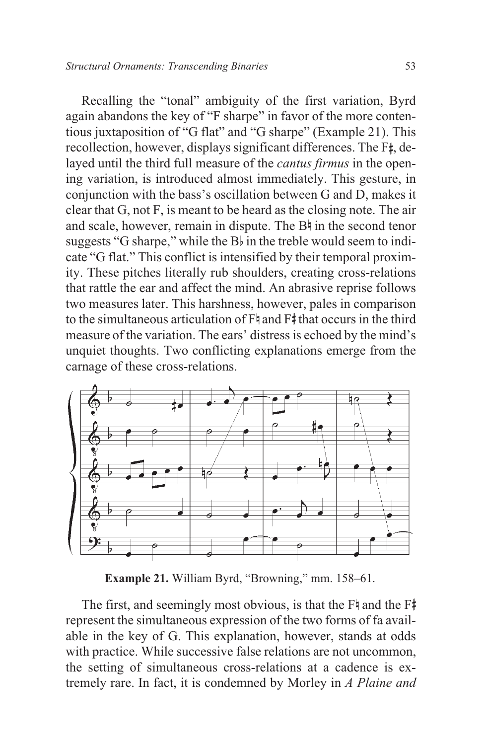Recalling the "tonal" ambiguity of the first variation, Byrd again abandons the key of "F sharpe" in favor of the more contentious juxtaposition of "G flat" and "G sharpe" (Example 21). This recollection, however, displays significant differences. The F<sup>#</sup>, delayed until the third full measure of the *cantus firmus* in the opening variation, is introduced almost immediately. This gesture, in conjunction with the bass's oscillation between G and D, makes it clear that G, not F, is meant to be heard as the closing note. The air and scale, however, remain in dispute. The Bh in the second tenor suggests "G sharpe," while the  $B_{\nu}$  in the treble would seem to indicate "G flat." This conflict is intensified by their temporal proximity. These pitches literally rub shoulders, creating cross-relations that rattle the ear and affect the mind. An abrasive reprise follows two measures later. This harshness, however, pales in comparison to the simultaneous articulation of  $F^{\sharp}$  and  $F^{\sharp}$  that occurs in the third measure of the variation. The ears' distress is echoed by the mind's unquiet thoughts. Two conflicting explanations emerge from the carnage of these cross-relations.



**Example 21.** William Byrd, "Browning," mm. 158–61.

The first, and seemingly most obvious, is that the  $F^*$  and the  $F^*$ represent the simultaneous expression of the two forms of fa available in the key of G. This explanation, however, stands at odds with practice. While successive false relations are not uncommon, the setting of simultaneous cross-relations at a cadence is extremely rare. In fact, it is condemned by Morley in *A Plaine and*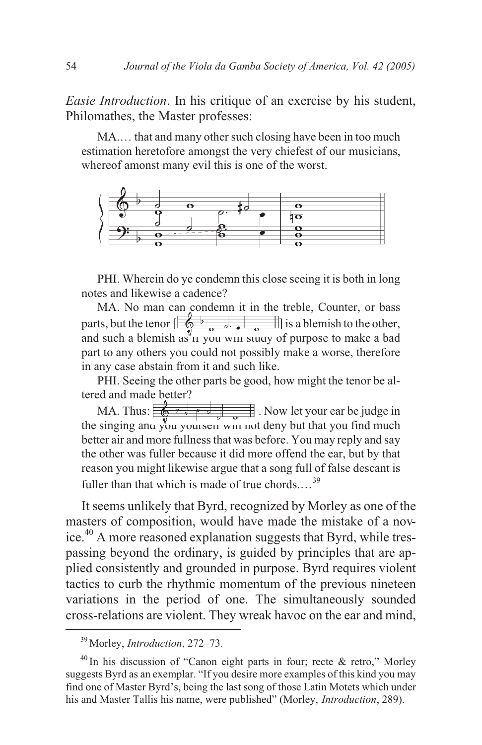*Easie Introduction*. In his critique of an exercise by his student, Philomathes, the Master professes:

MA.… that and many other such closing have been in too much estimation heretofore amongst the very chiefest of our musicians, whereof amonst many evil this is one of the worst.



PHI. Wherein do ye condemn this close seeing it is both in long notes and likewise a cadence?

MA. No man can condemn it in the treble, Counter, or bass parts, but the tenor  $\begin{bmatrix} 1 & 1 \\ 0 & 1 \end{bmatrix}$  is a blemish to the other, and such a blemish as <sup>y</sup><sub>11</sub> you will study of purpose to make a bad part to any others you could not possibly make a worse, therefore in any case abstain from it and such like.

PHI. Seeing the other parts be good, how might the tenor be altered and made better?

MA. Thus:  $\left( \bigotimes^{\frac{1}{2}} \frac{1}{e} \circ \bigotimes^{\frac{1}{2}} \frac{1}{e} \right)$ . Now let your ear be judge in the singing and you yourself will not deny but that you find much better air and more fullness that was before. You may reply and say the other was fuller because it did more offend the ear, but by that reason you might likewise argue that a song full of false descant is fuller than that which is made of true chords... $^{39}$ 

It seems unlikely that Byrd, recognized by Morley as one of the masters of composition, would have made the mistake of a novice.<sup>40</sup> A more reasoned explanation suggests that Byrd, while trespassing beyond the ordinary, is guided by principles that are applied consistently and grounded in purpose. Byrd requires violent tactics to curb the rhythmic momentum of the previous nineteen variations in the period of one. The simultaneously sounded cross-relations are violent. They wreak havoc on the ear and mind,

<sup>39</sup> Morley, *Introduction*, 272–73.

 $40$  In his discussion of "Canon eight parts in four; recte & retro," Morley suggests Byrd as an exemplar. "If you desire more examples of this kind you may find one of Master Byrd's, being the last song of those Latin Motets which under his and Master Tallis his name, were published" (Morley, *Introduction*, 289).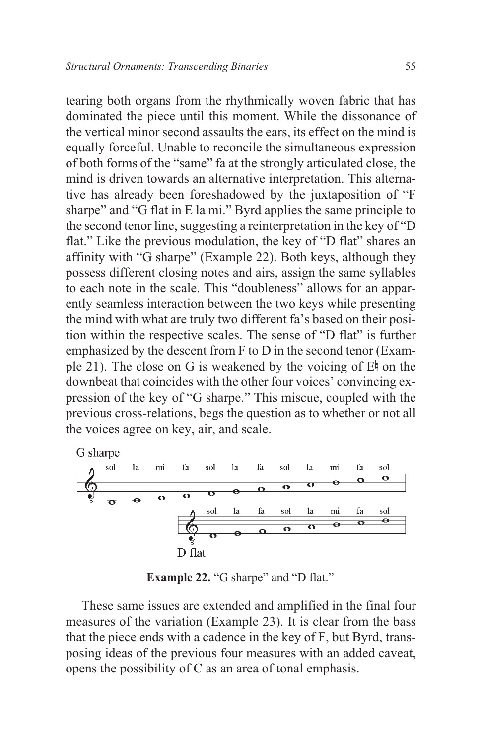tearing both organs from the rhythmically woven fabric that has dominated the piece until this moment. While the dissonance of the vertical minor second assaults the ears, its effect on the mind is equally forceful. Unable to reconcile the simultaneous expression of both forms of the "same" fa at the strongly articulated close, the mind is driven towards an alternative interpretation. This alternative has already been foreshadowed by the juxtaposition of "F sharpe" and "G flat in E la mi." Byrd applies the same principle to the second tenor line, suggesting a reinterpretation in the key of "D flat." Like the previous modulation, the key of "D flat" shares an affinity with "G sharpe" (Example 22). Both keys, although they possess different closing notes and airs, assign the same syllables to each note in the scale. This "doubleness" allows for an apparently seamless interaction between the two keys while presenting the mind with what are truly two different fa's based on their position within the respective scales. The sense of "D flat" is further emphasized by the descent from F to D in the second tenor (Example 21). The close on G is weakened by the voicing of  $E_1$  on the downbeat that coincides with the other four voices' convincing expression of the key of "G sharpe." This miscue, coupled with the previous cross-relations, begs the question as to whether or not all the voices agree on key, air, and scale.



**Example 22.** "G sharpe" and "D flat."

These same issues are extended and amplified in the final four measures of the variation (Example 23). It is clear from the bass that the piece ends with a cadence in the key of F, but Byrd, transposing ideas of the previous four measures with an added caveat, opens the possibility of C as an area of tonal emphasis.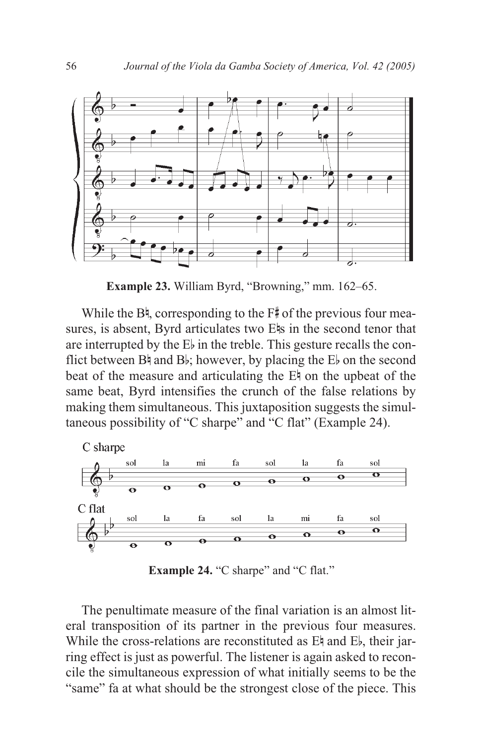

**Example 23.** William Byrd, "Browning," mm. 162–65.

While the  $B^{\natural}$ , corresponding to the  $F^{\sharp}$  of the previous four measures, is absent, Byrd articulates two E<sup>l</sup>s in the second tenor that are interrupted by the  $E<sub>b</sub>$  in the treble. This gesture recalls the conflict between  $B\natural$  and  $B\natural$ ; however, by placing the  $E\natural$  on the second beat of the measure and articulating the  $E<sup>†</sup>$  on the upbeat of the same beat, Byrd intensifies the crunch of the false relations by making them simultaneous. This juxtaposition suggests the simultaneous possibility of "C sharpe" and "C flat" (Example 24).



Example 24. "C sharpe" and "C flat."

The penultimate measure of the final variation is an almost literal transposition of its partner in the previous four measures. While the cross-relations are reconstituted as E<sup> $\uparrow$ </sup> and E<sub>b</sub>, their jarring effect is just as powerful. The listener is again asked to reconcile the simultaneous expression of what initially seems to be the "same" fa at what should be the strongest close of the piece. This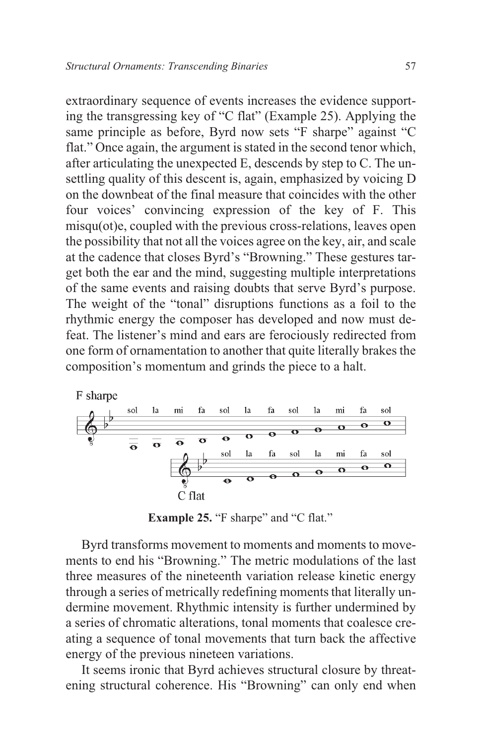extraordinary sequence of events increases the evidence supporting the transgressing key of "C flat" (Example 25). Applying the same principle as before, Byrd now sets "F sharpe" against "C flat." Once again, the argument is stated in the second tenor which, after articulating the unexpected E, descends by step to C. The unsettling quality of this descent is, again, emphasized by voicing D on the downbeat of the final measure that coincides with the other four voices' convincing expression of the key of F. This misqu(ot)e, coupled with the previous cross-relations, leaves open the possibility that not all the voices agree on the key, air, and scale at the cadence that closes Byrd's "Browning." These gestures target both the ear and the mind, suggesting multiple interpretations of the same events and raising doubts that serve Byrd's purpose. The weight of the "tonal" disruptions functions as a foil to the rhythmic energy the composer has developed and now must defeat. The listener's mind and ears are ferociously redirected from one form of ornamentation to another that quite literally brakes the composition's momentum and grinds the piece to a halt.



**Example 25.** "F sharpe" and "C flat."

Byrd transforms movement to moments and moments to movements to end his "Browning." The metric modulations of the last three measures of the nineteenth variation release kinetic energy through a series of metrically redefining moments that literally undermine movement. Rhythmic intensity is further undermined by a series of chromatic alterations, tonal moments that coalesce creating a sequence of tonal movements that turn back the affective energy of the previous nineteen variations.

It seems ironic that Byrd achieves structural closure by threatening structural coherence. His "Browning" can only end when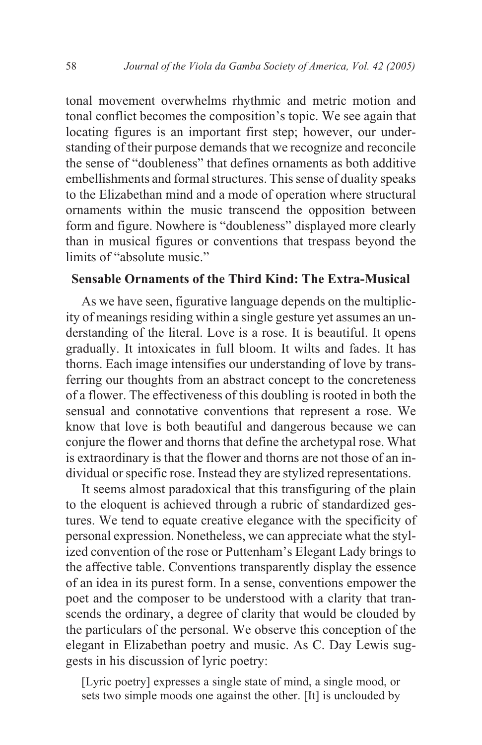tonal movement overwhelms rhythmic and metric motion and tonal conflict becomes the composition's topic. We see again that locating figures is an important first step; however, our understanding of their purpose demands that we recognize and reconcile the sense of "doubleness" that defines ornaments as both additive embellishments and formal structures. This sense of duality speaks to the Elizabethan mind and a mode of operation where structural ornaments within the music transcend the opposition between form and figure. Nowhere is "doubleness" displayed more clearly than in musical figures or conventions that trespass beyond the limits of "absolute music."

# **Sensable Ornaments of the Third Kind: The Extra-Musical**

As we have seen, figurative language depends on the multiplicity of meanings residing within a single gesture yet assumes an understanding of the literal. Love is a rose. It is beautiful. It opens gradually. It intoxicates in full bloom. It wilts and fades. It has thorns. Each image intensifies our understanding of love by transferring our thoughts from an abstract concept to the concreteness of a flower. The effectiveness of this doubling is rooted in both the sensual and connotative conventions that represent a rose. We know that love is both beautiful and dangerous because we can conjure the flower and thorns that define the archetypal rose. What is extraordinary is that the flower and thorns are not those of an individual or specific rose. Instead they are stylized representations.

It seems almost paradoxical that this transfiguring of the plain to the eloquent is achieved through a rubric of standardized gestures. We tend to equate creative elegance with the specificity of personal expression. Nonetheless, we can appreciate what the stylized convention of the rose or Puttenham's Elegant Lady brings to the affective table. Conventions transparently display the essence of an idea in its purest form. In a sense, conventions empower the poet and the composer to be understood with a clarity that transcends the ordinary, a degree of clarity that would be clouded by the particulars of the personal. We observe this conception of the elegant in Elizabethan poetry and music. As C. Day Lewis suggests in his discussion of lyric poetry:

[Lyric poetry] expresses a single state of mind, a single mood, or sets two simple moods one against the other. [It] is unclouded by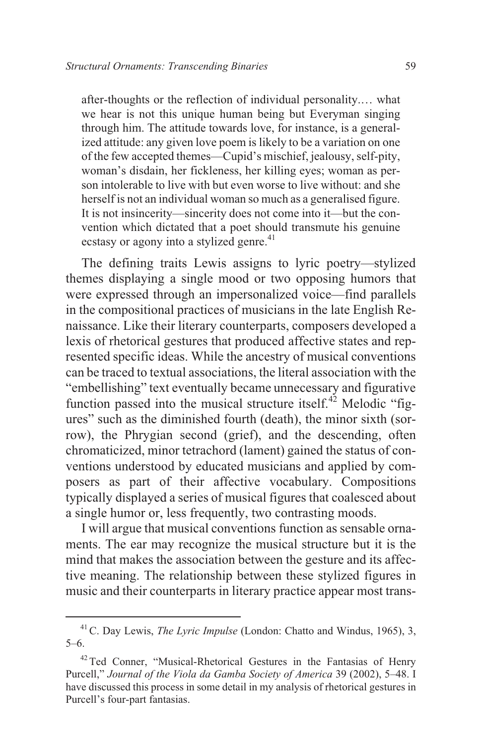after-thoughts or the reflection of individual personality.… what we hear is not this unique human being but Everyman singing through him. The attitude towards love, for instance, is a generalized attitude: any given love poem is likely to be a variation on one of the few accepted themes—Cupid's mischief, jealousy, self-pity, woman's disdain, her fickleness, her killing eyes; woman as person intolerable to live with but even worse to live without: and she herself is not an individual woman so much as a generalised figure. It is not insincerity—sincerity does not come into it—but the convention which dictated that a poet should transmute his genuine ecstasy or agony into a stylized genre.<sup>41</sup>

The defining traits Lewis assigns to lyric poetry—stylized themes displaying a single mood or two opposing humors that were expressed through an impersonalized voice—find parallels in the compositional practices of musicians in the late English Renaissance. Like their literary counterparts, composers developed a lexis of rhetorical gestures that produced affective states and represented specific ideas. While the ancestry of musical conventions can be traced to textual associations, the literal association with the "embellishing" text eventually became unnecessary and figurative function passed into the musical structure itself.<sup> $42$ </sup> Melodic "figures" such as the diminished fourth (death), the minor sixth (sorrow), the Phrygian second (grief), and the descending, often chromaticized, minor tetrachord (lament) gained the status of conventions understood by educated musicians and applied by composers as part of their affective vocabulary. Compositions typically displayed a series of musical figures that coalesced about a single humor or, less frequently, two contrasting moods.

I will argue that musical conventions function as sensable ornaments. The ear may recognize the musical structure but it is the mind that makes the association between the gesture and its affective meaning. The relationship between these stylized figures in music and their counterparts in literary practice appear most trans-

<sup>41</sup>C. Day Lewis, *The Lyric Impulse* (London: Chatto and Windus, 1965), 3, 5–6.

<sup>&</sup>lt;sup>42</sup> Ted Conner, "Musical-Rhetorical Gestures in the Fantasias of Henry Purcell," *Journal of the Viola da Gamba Society of America* 39 (2002), 5–48. I have discussed this process in some detail in my analysis of rhetorical gestures in Purcell's four-part fantasias.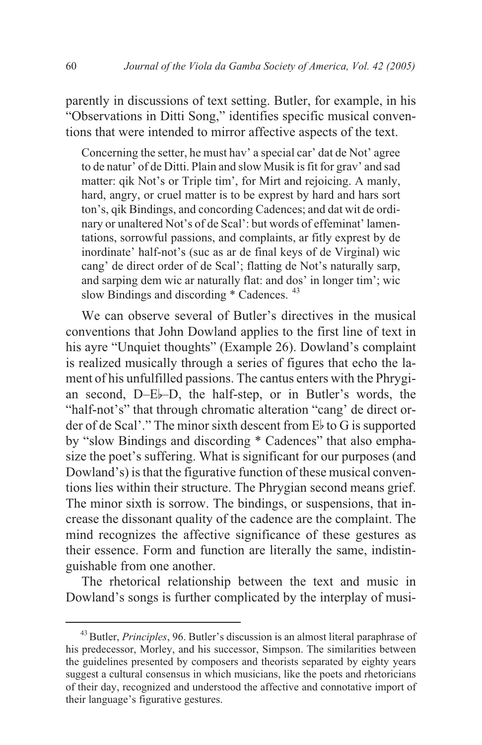parently in discussions of text setting. Butler, for example, in his "Observations in Ditti Song," identifies specific musical conventions that were intended to mirror affective aspects of the text.

Concerning the setter, he must hav' a special car' dat de Not' agree to de natur' of de Ditti. Plain and slow Musik is fit for grav' and sad matter: qik Not's or Triple tim', for Mirt and rejoicing. A manly, hard, angry, or cruel matter is to be exprest by hard and hars sort ton's, qik Bindings, and concording Cadences; and dat wit de ordinary or unaltered Not's of de Scal': but words of effeminat' lamentations, sorrowful passions, and complaints, ar fitly exprest by de inordinate' half-not's (suc as ar de final keys of de Virginal) wic cang' de direct order of de Scal'; flatting de Not's naturally sarp, and sarping dem wic ar naturally flat: and dos' in longer tim'; wic slow Bindings and discording \* Cadences. <sup>43</sup>

We can observe several of Butler's directives in the musical conventions that John Dowland applies to the first line of text in his ayre "Unquiet thoughts" (Example 26). Dowland's complaint is realized musically through a series of figures that echo the lament of his unfulfilled passions. The cantus enters with the Phrygian second, D–Eb–D, the half-step, or in Butler's words, the "half-not's" that through chromatic alteration "cang' de direct order of de Scal'." The minor sixth descent from  $E_{\nu}$  to G is supported by "slow Bindings and discording \* Cadences" that also emphasize the poet's suffering. What is significant for our purposes (and Dowland's) is that the figurative function of these musical conventions lies within their structure. The Phrygian second means grief. The minor sixth is sorrow. The bindings, or suspensions, that increase the dissonant quality of the cadence are the complaint. The mind recognizes the affective significance of these gestures as their essence. Form and function are literally the same, indistinguishable from one another.

The rhetorical relationship between the text and music in Dowland's songs is further complicated by the interplay of musi-

<sup>43</sup>Butler, *Principles*, 96. Butler's discussion is an almost literal paraphrase of his predecessor, Morley, and his successor, Simpson. The similarities between the guidelines presented by composers and theorists separated by eighty years suggest a cultural consensus in which musicians, like the poets and rhetoricians of their day, recognized and understood the affective and connotative import of their language's figurative gestures.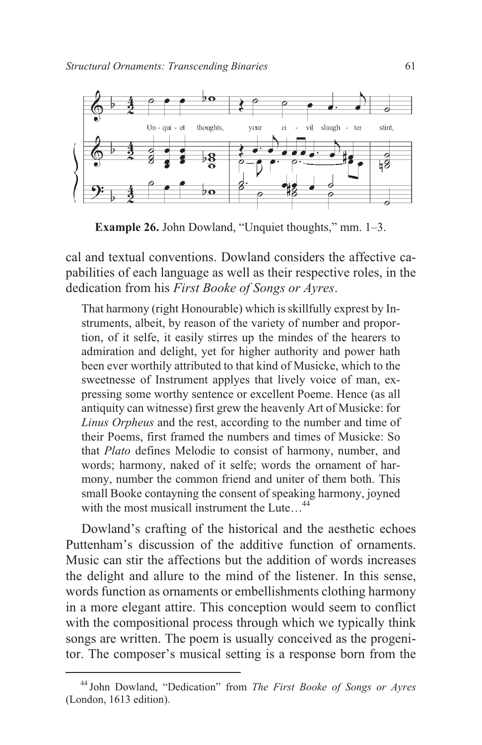

**Example 26.** John Dowland, "Unquiet thoughts," mm. 1–3.

cal and textual conventions. Dowland considers the affective capabilities of each language as well as their respective roles, in the dedication from his *First Booke of Songs or Ayres*.

That harmony (right Honourable) which is skillfully exprest by Instruments, albeit, by reason of the variety of number and proportion, of it selfe, it easily stirres up the mindes of the hearers to admiration and delight, yet for higher authority and power hath been ever worthily attributed to that kind of Musicke, which to the sweetnesse of Instrument applyes that lively voice of man, expressing some worthy sentence or excellent Poeme. Hence (as all antiquity can witnesse) first grew the heavenly Art of Musicke: for *Linus Orpheus* and the rest, according to the number and time of their Poems, first framed the numbers and times of Musicke: So that *Plato* defines Melodie to consist of harmony, number, and words; harmony, naked of it selfe; words the ornament of harmony, number the common friend and uniter of them both. This small Booke contayning the consent of speaking harmony, joyned with the most musicall instrument the Lute  $44$ 

Dowland's crafting of the historical and the aesthetic echoes Puttenham's discussion of the additive function of ornaments. Music can stir the affections but the addition of words increases the delight and allure to the mind of the listener. In this sense, words function as ornaments or embellishments clothing harmony in a more elegant attire. This conception would seem to conflict with the compositional process through which we typically think songs are written. The poem is usually conceived as the progenitor. The composer's musical setting is a response born from the

<sup>44</sup> John Dowland, "Dedication" from *The First Booke of Songs or Ayres* (London, 1613 edition).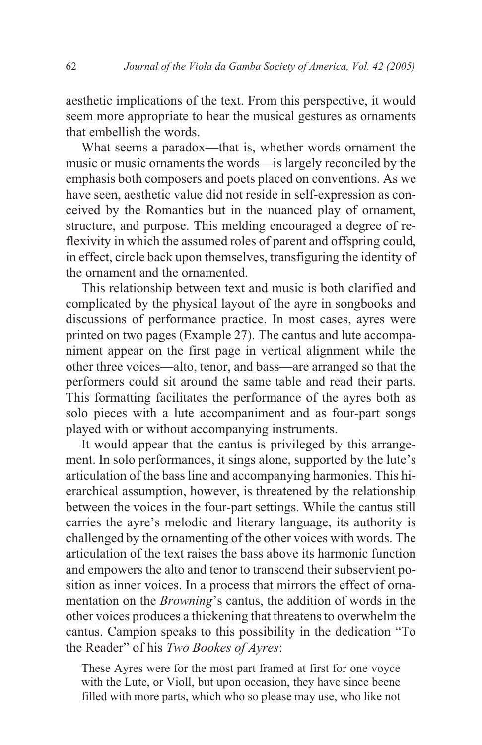aesthetic implications of the text. From this perspective, it would seem more appropriate to hear the musical gestures as ornaments that embellish the words.

What seems a paradox—that is, whether words ornament the music or music ornaments the words—is largely reconciled by the emphasis both composers and poets placed on conventions. As we have seen, aesthetic value did not reside in self-expression as conceived by the Romantics but in the nuanced play of ornament, structure, and purpose. This melding encouraged a degree of reflexivity in which the assumed roles of parent and offspring could, in effect, circle back upon themselves, transfiguring the identity of the ornament and the ornamented.

This relationship between text and music is both clarified and complicated by the physical layout of the ayre in songbooks and discussions of performance practice. In most cases, ayres were printed on two pages (Example 27). The cantus and lute accompaniment appear on the first page in vertical alignment while the other three voices—alto, tenor, and bass—are arranged so that the performers could sit around the same table and read their parts. This formatting facilitates the performance of the ayres both as solo pieces with a lute accompaniment and as four-part songs played with or without accompanying instruments.

It would appear that the cantus is privileged by this arrangement. In solo performances, it sings alone, supported by the lute's articulation of the bass line and accompanying harmonies. This hierarchical assumption, however, is threatened by the relationship between the voices in the four-part settings. While the cantus still carries the ayre's melodic and literary language, its authority is challenged by the ornamenting of the other voices with words. The articulation of the text raises the bass above its harmonic function and empowers the alto and tenor to transcend their subservient position as inner voices. In a process that mirrors the effect of ornamentation on the *Browning*'s cantus, the addition of words in the other voices produces a thickening that threatens to overwhelm the cantus. Campion speaks to this possibility in the dedication "To the Reader" of his *Two Bookes of Ayres*:

These Ayres were for the most part framed at first for one voyce with the Lute, or Violl, but upon occasion, they have since beene filled with more parts, which who so please may use, who like not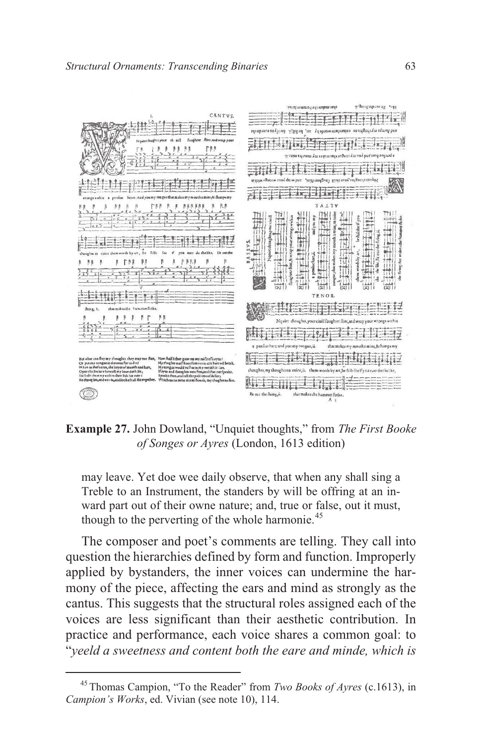

**Example 27.** John Dowland, "Unquiet thoughts," from *The First Booke of Songes or Ayres* (London, 1613 edition)

may leave. Yet doe wee daily observe, that when any shall sing a Treble to an Instrument, the standers by will be offring at an inward part out of their owne nature; and, true or false, out it must, though to the perverting of the whole harmonie.<sup>45</sup>

The composer and poet's comments are telling. They call into question the hierarchies defined by form and function. Improperly applied by bystanders, the inner voices can undermine the harmony of the piece, affecting the ears and mind as strongly as the cantus. This suggests that the structural roles assigned each of the voices are less significant than their aesthetic contribution. In practice and performance, each voice shares a common goal: to "*yeeld a sweetness and content both the eare and minde, which is*

<sup>45</sup> Thomas Campion, "To the Reader" from *Two Books of Ayres* (c.1613), in *Campion's Works*, ed. Vivian (see note 10), 114.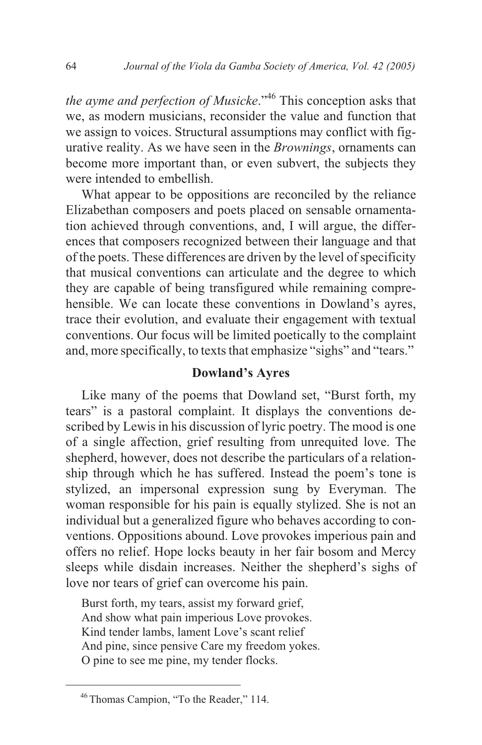*the ayme and perfection of Musicke*.<sup>"46</sup> This conception asks that we, as modern musicians, reconsider the value and function that we assign to voices. Structural assumptions may conflict with figurative reality. As we have seen in the *Brownings*, ornaments can become more important than, or even subvert, the subjects they were intended to embellish.

What appear to be oppositions are reconciled by the reliance Elizabethan composers and poets placed on sensable ornamentation achieved through conventions, and, I will argue, the differences that composers recognized between their language and that of the poets. These differences are driven by the level of specificity that musical conventions can articulate and the degree to which they are capable of being transfigured while remaining comprehensible. We can locate these conventions in Dowland's ayres, trace their evolution, and evaluate their engagement with textual conventions. Our focus will be limited poetically to the complaint and, more specifically, to texts that emphasize "sighs" and "tears."

### **Dowland's Ayres**

Like many of the poems that Dowland set, "Burst forth, my tears" is a pastoral complaint. It displays the conventions described by Lewis in his discussion of lyric poetry. The mood is one of a single affection, grief resulting from unrequited love. The shepherd, however, does not describe the particulars of a relationship through which he has suffered. Instead the poem's tone is stylized, an impersonal expression sung by Everyman. The woman responsible for his pain is equally stylized. She is not an individual but a generalized figure who behaves according to conventions. Oppositions abound. Love provokes imperious pain and offers no relief. Hope locks beauty in her fair bosom and Mercy sleeps while disdain increases. Neither the shepherd's sighs of love nor tears of grief can overcome his pain.

Burst forth, my tears, assist my forward grief, And show what pain imperious Love provokes. Kind tender lambs, lament Love's scant relief And pine, since pensive Care my freedom yokes. O pine to see me pine, my tender flocks.

<sup>46</sup> Thomas Campion, "To the Reader," 114.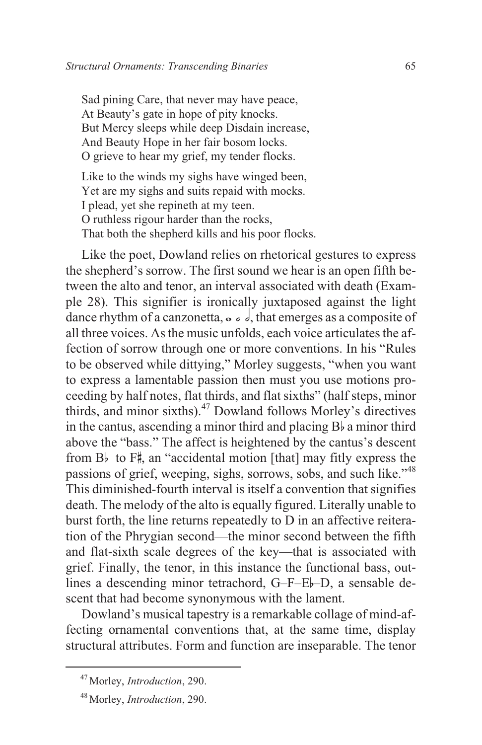Sad pining Care, that never may have peace, At Beauty's gate in hope of pity knocks. But Mercy sleeps while deep Disdain increase, And Beauty Hope in her fair bosom locks. O grieve to hear my grief, my tender flocks.

Like to the winds my sighs have winged been, Yet are my sighs and suits repaid with mocks. I plead, yet she repineth at my teen. O ruthless rigour harder than the rocks, That both the shepherd kills and his poor flocks.

Like the poet, Dowland relies on rhetorical gestures to express the shepherd's sorrow. The first sound we hear is an open fifth between the alto and tenor, an interval associated with death (Example 28). This signifier is ironically juxtaposed against the light dance rhythm of a canzonetta,  $\circ$   $\circ$   $\circ$   $\circ$ , that emerges as a composite of all three voices. As the music unfolds, each voice articulates the affection of sorrow through one or more conventions. In his "Rules to be observed while dittying," Morley suggests, "when you want to express a lamentable passion then must you use motions proceeding by half notes, flat thirds, and flat sixths" (half steps, minor thirds, and minor sixths). $47$  Dowland follows Morley's directives in the cantus, ascending a minor third and placing  $B<sub>b</sub>$  a minor third above the "bass." The affect is heightened by the cantus's descent from B<sub>b</sub> to  $F^*$ , an "accidental motion [that] may fitly express the passions of grief, weeping, sighs, sorrows, sobs, and such like."<sup>48</sup> This diminished-fourth interval is itself a convention that signifies death. The melody of the alto is equally figured. Literally unable to burst forth, the line returns repeatedly to D in an affective reiteration of the Phrygian second—the minor second between the fifth and flat-sixth scale degrees of the key—that is associated with grief. Finally, the tenor, in this instance the functional bass, outlines a descending minor tetrachord, G–F–Eb–D, a sensable descent that had become synonymous with the lament.

Dowland's musical tapestry is a remarkable collage of mind-affecting ornamental conventions that, at the same time, display structural attributes. Form and function are inseparable. The tenor

<sup>47</sup> Morley, *Introduction*, 290.

<sup>48</sup> Morley, *Introduction*, 290.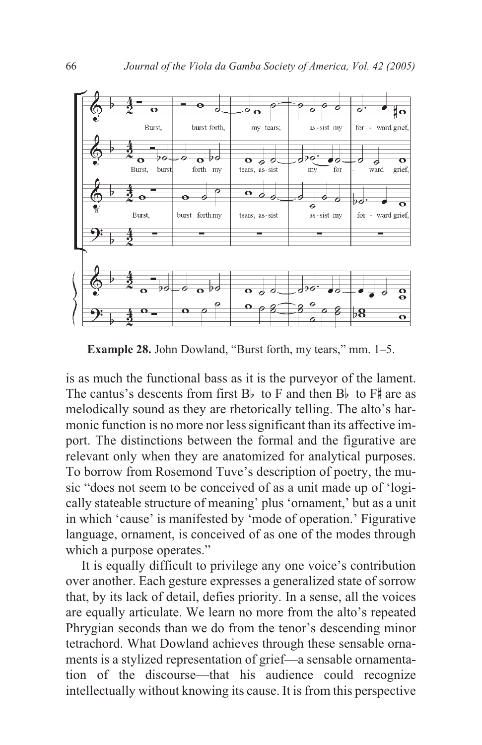

**Example 28.** John Dowland, "Burst forth, my tears," mm. 1–5.

is as much the functional bass as it is the purveyor of the lament. The cantus's descents from first  $B_b$  to F and then  $B_b$  to  $F^*$  are as melodically sound as they are rhetorically telling. The alto's harmonic function is no more nor less significant than its affective import. The distinctions between the formal and the figurative are relevant only when they are anatomized for analytical purposes. To borrow from Rosemond Tuve's description of poetry, the music "does not seem to be conceived of as a unit made up of 'logically stateable structure of meaning' plus 'ornament,' but as a unit in which 'cause' is manifested by 'mode of operation.' Figurative language, ornament, is conceived of as one of the modes through which a purpose operates."

It is equally difficult to privilege any one voice's contribution over another. Each gesture expresses a generalized state of sorrow that, by its lack of detail, defies priority. In a sense, all the voices are equally articulate. We learn no more from the alto's repeated Phrygian seconds than we do from the tenor's descending minor tetrachord. What Dowland achieves through these sensable ornaments is a stylized representation of grief—a sensable ornamentation of the discourse—that his audience could recognize intellectually without knowing its cause. It is from this perspective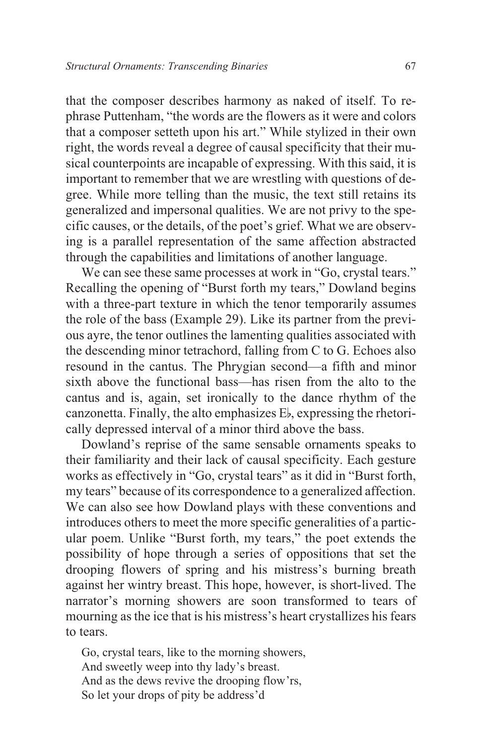that the composer describes harmony as naked of itself. To rephrase Puttenham, "the words are the flowers as it were and colors that a composer setteth upon his art." While stylized in their own right, the words reveal a degree of causal specificity that their musical counterpoints are incapable of expressing. With this said, it is important to remember that we are wrestling with questions of degree. While more telling than the music, the text still retains its generalized and impersonal qualities. We are not privy to the specific causes, or the details, of the poet's grief. What we are observing is a parallel representation of the same affection abstracted through the capabilities and limitations of another language.

We can see these same processes at work in "Go, crystal tears." Recalling the opening of "Burst forth my tears," Dowland begins with a three-part texture in which the tenor temporarily assumes the role of the bass (Example 29). Like its partner from the previous ayre, the tenor outlines the lamenting qualities associated with the descending minor tetrachord, falling from C to G. Echoes also resound in the cantus. The Phrygian second—a fifth and minor sixth above the functional bass—has risen from the alto to the cantus and is, again, set ironically to the dance rhythm of the canzonetta. Finally, the alto emphasizes Eb, expressing the rhetorically depressed interval of a minor third above the bass.

Dowland's reprise of the same sensable ornaments speaks to their familiarity and their lack of causal specificity. Each gesture works as effectively in "Go, crystal tears" as it did in "Burst forth, my tears" because of its correspondence to a generalized affection. We can also see how Dowland plays with these conventions and introduces others to meet the more specific generalities of a particular poem. Unlike "Burst forth, my tears," the poet extends the possibility of hope through a series of oppositions that set the drooping flowers of spring and his mistress's burning breath against her wintry breast. This hope, however, is short-lived. The narrator's morning showers are soon transformed to tears of mourning as the ice that is his mistress's heart crystallizes his fears to tears.

Go, crystal tears, like to the morning showers, And sweetly weep into thy lady's breast. And as the dews revive the drooping flow'rs, So let your drops of pity be address'd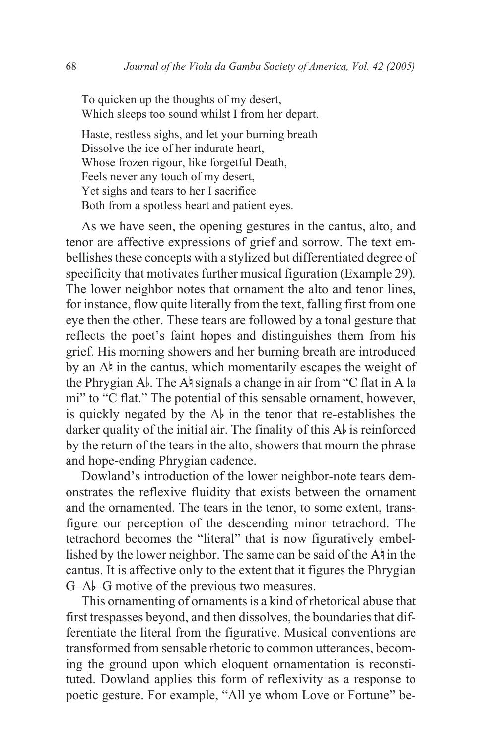To quicken up the thoughts of my desert, Which sleeps too sound whilst I from her depart.

Haste, restless sighs, and let your burning breath Dissolve the ice of her indurate heart, Whose frozen rigour, like forgetful Death, Feels never any touch of my desert, Yet sighs and tears to her I sacrifice Both from a spotless heart and patient eyes.

As we have seen, the opening gestures in the cantus, alto, and tenor are affective expressions of grief and sorrow. The text embellishes these concepts with a stylized but differentiated degree of specificity that motivates further musical figuration (Example 29). The lower neighbor notes that ornament the alto and tenor lines, for instance, flow quite literally from the text, falling first from one eye then the other. These tears are followed by a tonal gesture that reflects the poet's faint hopes and distinguishes them from his grief. His morning showers and her burning breath are introduced by an  $A^{\dagger}$  in the cantus, which momentarily escapes the weight of the Phrygian Ab. The A $\frac{1}{2}$  signals a change in air from "C flat in A la mi" to "C flat." The potential of this sensable ornament, however, is quickly negated by the  $A_{\nu}$  in the tenor that re-establishes the darker quality of the initial air. The finality of this  $A_{\nu}$  is reinforced by the return of the tears in the alto, showers that mourn the phrase and hope-ending Phrygian cadence.

Dowland's introduction of the lower neighbor-note tears demonstrates the reflexive fluidity that exists between the ornament and the ornamented. The tears in the tenor, to some extent, transfigure our perception of the descending minor tetrachord. The tetrachord becomes the "literal" that is now figuratively embellished by the lower neighbor. The same can be said of the  $A\nmid$  in the cantus. It is affective only to the extent that it figures the Phrygian G–Ab–G motive of the previous two measures.

This ornamenting of ornaments is a kind of rhetorical abuse that first trespasses beyond, and then dissolves, the boundaries that differentiate the literal from the figurative. Musical conventions are transformed from sensable rhetoric to common utterances, becoming the ground upon which eloquent ornamentation is reconstituted. Dowland applies this form of reflexivity as a response to poetic gesture. For example, "All ye whom Love or Fortune" be-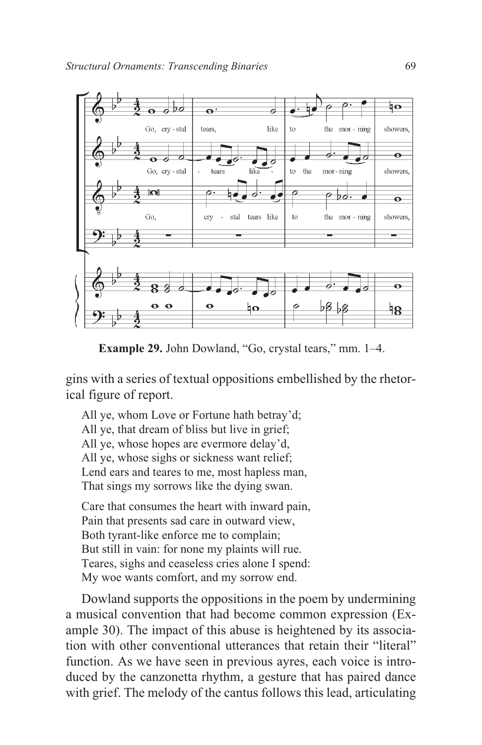

**Example 29.** John Dowland, "Go, crystal tears," mm. 1–4.

gins with a series of textual oppositions embellished by the rhetorical figure of report.

All ye, whom Love or Fortune hath betray'd; All ye, that dream of bliss but live in grief; All ye, whose hopes are evermore delay'd, All ye, whose sighs or sickness want relief; Lend ears and teares to me, most hapless man, That sings my sorrows like the dying swan.

Care that consumes the heart with inward pain, Pain that presents sad care in outward view, Both tyrant-like enforce me to complain; But still in vain: for none my plaints will rue. Teares, sighs and ceaseless cries alone I spend: My woe wants comfort, and my sorrow end.

Dowland supports the oppositions in the poem by undermining a musical convention that had become common expression (Example 30). The impact of this abuse is heightened by its association with other conventional utterances that retain their "literal" function. As we have seen in previous ayres, each voice is introduced by the canzonetta rhythm, a gesture that has paired dance with grief. The melody of the cantus follows this lead, articulating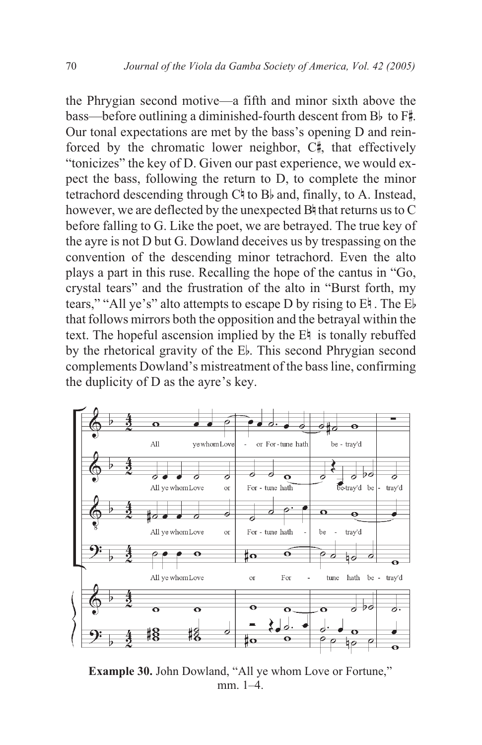the Phrygian second motive—a fifth and minor sixth above the  $\frac{1}{2}$  bass—before outlining a diminished-fourth descent from Bb to F#. Our tonal expectations are met by the bass's opening D and reinforced by the chromatic lower neighbor, C<sup>#</sup>, that effectively "tonicizes" the key of D. Given our past experience, we would expect the bass, following the return to D, to complete the minor tetrachord descending through  $C \nmid$  to B<sub>b</sub> and, finally, to A. Instead, however, we are deflected by the unexpected  $B\sharp$  that returns us to C before falling to G. Like the poet, we are betrayed. The true key of the ayre is not D but G. Dowland deceives us by trespassing on the convention of the descending minor tetrachord. Even the alto plays a part in this ruse. Recalling the hope of the cantus in "Go, crystal tears" and the frustration of the alto in "Burst forth, my tears," "All ye's" alto attempts to escape D by rising to En . The Eb that follows mirrors both the opposition and the betrayal within the text. The hopeful ascension implied by the  $E\nmid$  is tonally rebuffed by the rhetorical gravity of the Eb. This second Phrygian second complements Dowland's mistreatment of the bass line, confirming the duplicity of D as the ayre's key.



**Example 30.** John Dowland, "All ye whom Love or Fortune," mm. 1–4.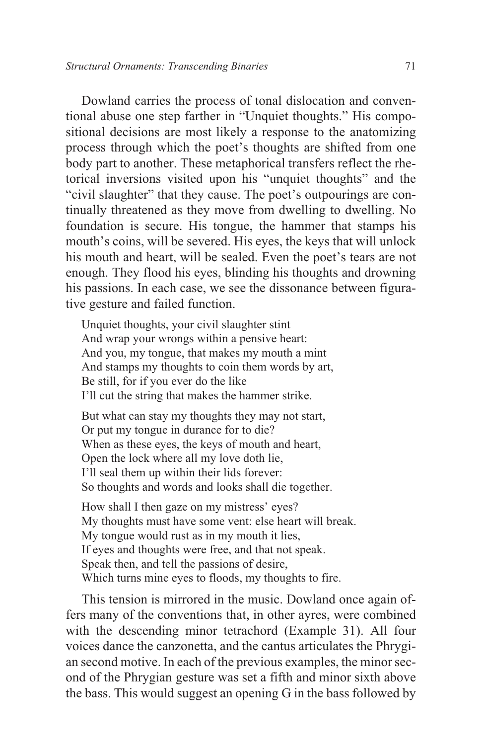Dowland carries the process of tonal dislocation and conventional abuse one step farther in "Unquiet thoughts." His compositional decisions are most likely a response to the anatomizing process through which the poet's thoughts are shifted from one body part to another. These metaphorical transfers reflect the rhetorical inversions visited upon his "unquiet thoughts" and the "civil slaughter" that they cause. The poet's outpourings are continually threatened as they move from dwelling to dwelling. No foundation is secure. His tongue, the hammer that stamps his mouth's coins, will be severed. His eyes, the keys that will unlock his mouth and heart, will be sealed. Even the poet's tears are not enough. They flood his eyes, blinding his thoughts and drowning his passions. In each case, we see the dissonance between figurative gesture and failed function.

Unquiet thoughts, your civil slaughter stint And wrap your wrongs within a pensive heart: And you, my tongue, that makes my mouth a mint And stamps my thoughts to coin them words by art, Be still, for if you ever do the like I'll cut the string that makes the hammer strike.

But what can stay my thoughts they may not start, Or put my tongue in durance for to die? When as these eyes, the keys of mouth and heart, Open the lock where all my love doth lie, I'll seal them up within their lids forever: So thoughts and words and looks shall die together.

How shall I then gaze on my mistress' eyes? My thoughts must have some vent: else heart will break. My tongue would rust as in my mouth it lies, If eyes and thoughts were free, and that not speak. Speak then, and tell the passions of desire, Which turns mine eyes to floods, my thoughts to fire.

This tension is mirrored in the music. Dowland once again offers many of the conventions that, in other ayres, were combined with the descending minor tetrachord (Example 31). All four voices dance the canzonetta, and the cantus articulates the Phrygian second motive. In each of the previous examples, the minor second of the Phrygian gesture was set a fifth and minor sixth above the bass. This would suggest an opening G in the bass followed by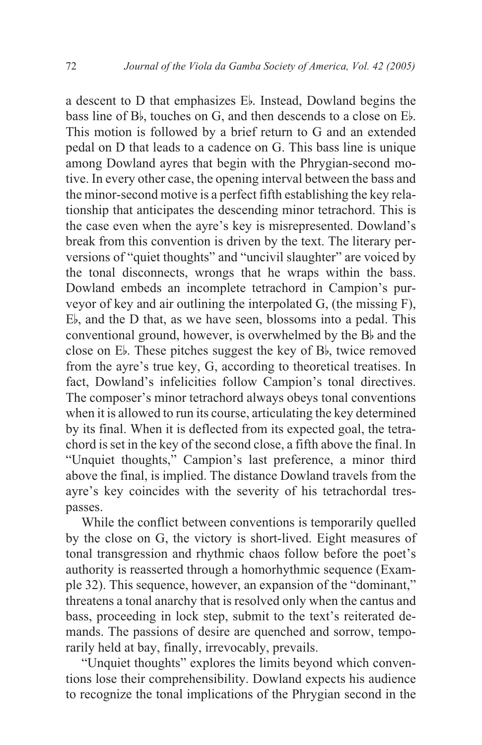a descent to D that emphasizes Eb. Instead, Dowland begins the bass line of  $B_{\nu}$ , touches on G, and then descends to a close on  $E_{\nu}$ . This motion is followed by a brief return to G and an extended pedal on D that leads to a cadence on G. This bass line is unique among Dowland ayres that begin with the Phrygian-second motive. In every other case, the opening interval between the bass and the minor-second motive is a perfect fifth establishing the key relationship that anticipates the descending minor tetrachord. This is the case even when the ayre's key is misrepresented. Dowland's break from this convention is driven by the text. The literary perversions of "quiet thoughts" and "uncivil slaughter" are voiced by the tonal disconnects, wrongs that he wraps within the bass. Dowland embeds an incomplete tetrachord in Campion's purveyor of key and air outlining the interpolated G, (the missing F), Eb, and the D that, as we have seen, blossoms into a pedal. This conventional ground, however, is overwhelmed by the Bb and the close on Eb. These pitches suggest the key of Bb, twice removed from the ayre's true key, G, according to theoretical treatises. In fact, Dowland's infelicities follow Campion's tonal directives. The composer's minor tetrachord always obeys tonal conventions when it is allowed to run its course, articulating the key determined by its final. When it is deflected from its expected goal, the tetrachord is set in the key of the second close, a fifth above the final. In "Unquiet thoughts," Campion's last preference, a minor third above the final, is implied. The distance Dowland travels from the ayre's key coincides with the severity of his tetrachordal trespasses.

While the conflict between conventions is temporarily quelled by the close on G, the victory is short-lived. Eight measures of tonal transgression and rhythmic chaos follow before the poet's authority is reasserted through a homorhythmic sequence (Example 32). This sequence, however, an expansion of the "dominant," threatens a tonal anarchy that is resolved only when the cantus and bass, proceeding in lock step, submit to the text's reiterated demands. The passions of desire are quenched and sorrow, temporarily held at bay, finally, irrevocably, prevails.

"Unquiet thoughts" explores the limits beyond which conventions lose their comprehensibility. Dowland expects his audience to recognize the tonal implications of the Phrygian second in the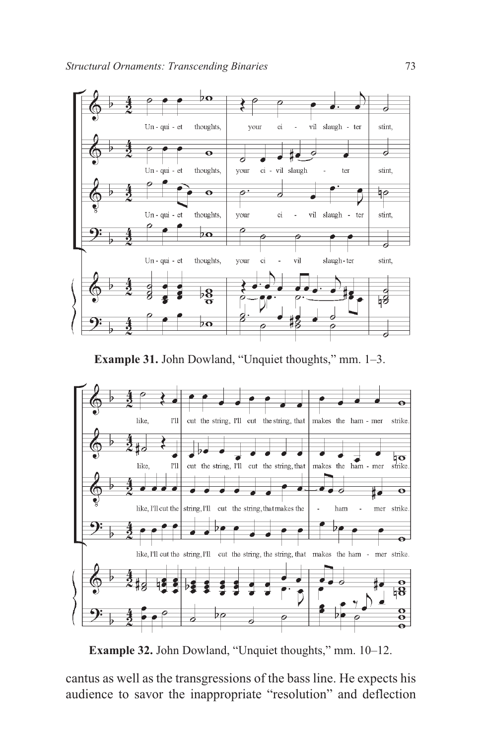

**Example 31.** John Dowland, "Unquiet thoughts," mm. 1–3.



**Example 32.** John Dowland, "Unquiet thoughts," mm. 10–12.

cantus as well as the transgressions of the bass line. He expects his audience to savor the inappropriate "resolution" and deflection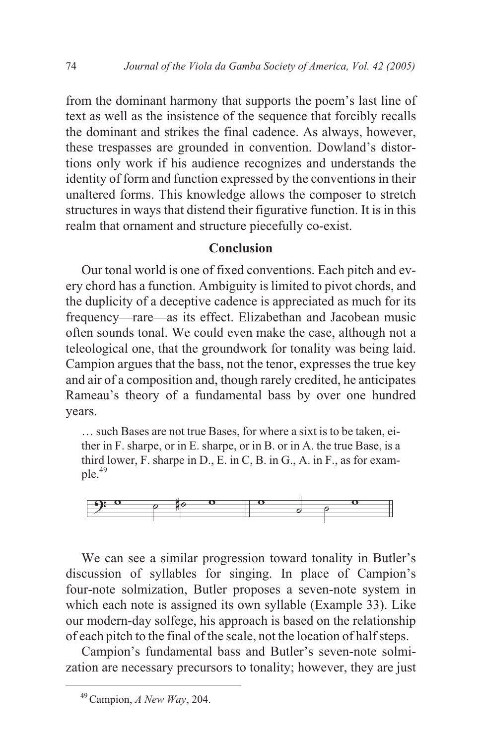from the dominant harmony that supports the poem's last line of text as well as the insistence of the sequence that forcibly recalls the dominant and strikes the final cadence. As always, however, these trespasses are grounded in convention. Dowland's distortions only work if his audience recognizes and understands the identity of form and function expressed by the conventions in their unaltered forms. This knowledge allows the composer to stretch structures in ways that distend their figurative function. It is in this realm that ornament and structure piecefully co-exist.

#### **Conclusion**

Our tonal world is one of fixed conventions. Each pitch and every chord has a function. Ambiguity is limited to pivot chords, and the duplicity of a deceptive cadence is appreciated as much for its frequency—rare—as its effect. Elizabethan and Jacobean music often sounds tonal. We could even make the case, although not a teleological one, that the groundwork for tonality was being laid. Campion argues that the bass, not the tenor, expresses the true key and air of a composition and, though rarely credited, he anticipates Rameau's theory of a fundamental bass by over one hundred years.

… such Bases are not true Bases, for where a sixt is to be taken, either in F. sharpe, or in E. sharpe, or in B. or in A. the true Base, is a third lower, F. sharpe in D., E. in C, B. in G., A. in F., as for exam $ple.49$ 



We can see a similar progression toward tonality in Butler's discussion of syllables for singing. In place of Campion's four-note solmization, Butler proposes a seven-note system in which each note is assigned its own syllable (Example 33). Like our modern-day solfege, his approach is based on the relationship of each pitch to the final of the scale, not the location of half steps.

Campion's fundamental bass and Butler's seven-note solmization are necessary precursors to tonality; however, they are just

<sup>49</sup>Campion, *A New Way*, 204.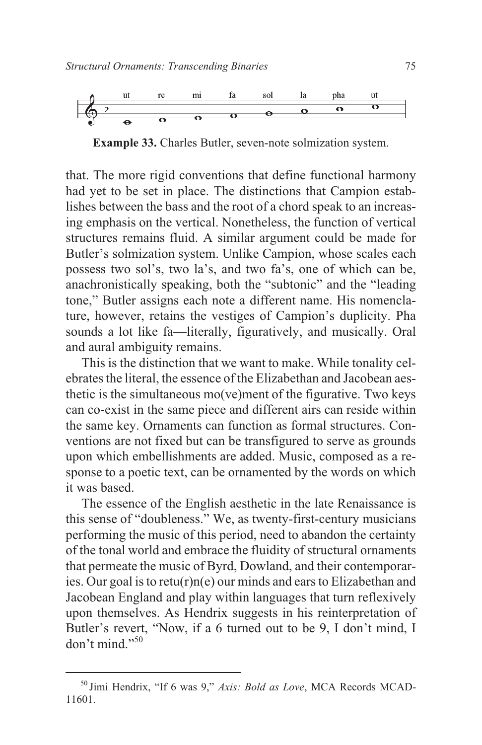

**Example 33.** Charles Butler, seven-note solmization system.

that. The more rigid conventions that define functional harmony had yet to be set in place. The distinctions that Campion establishes between the bass and the root of a chord speak to an increasing emphasis on the vertical. Nonetheless, the function of vertical structures remains fluid. A similar argument could be made for Butler's solmization system. Unlike Campion, whose scales each possess two sol's, two la's, and two fa's, one of which can be, anachronistically speaking, both the "subtonic" and the "leading tone," Butler assigns each note a different name. His nomenclature, however, retains the vestiges of Campion's duplicity. Pha sounds a lot like fa—literally, figuratively, and musically. Oral and aural ambiguity remains.

This is the distinction that we want to make. While tonality celebrates the literal, the essence of the Elizabethan and Jacobean aesthetic is the simultaneous mo(ve)ment of the figurative. Two keys can co-exist in the same piece and different airs can reside within the same key. Ornaments can function as formal structures. Conventions are not fixed but can be transfigured to serve as grounds upon which embellishments are added. Music, composed as a response to a poetic text, can be ornamented by the words on which it was based.

The essence of the English aesthetic in the late Renaissance is this sense of "doubleness." We, as twenty-first-century musicians performing the music of this period, need to abandon the certainty of the tonal world and embrace the fluidity of structural ornaments that permeate the music of Byrd, Dowland, and their contemporaries. Our goal is to retu(r)n(e) our minds and ears to Elizabethan and Jacobean England and play within languages that turn reflexively upon themselves. As Hendrix suggests in his reinterpretation of Butler's revert, "Now, if a 6 turned out to be 9, I don't mind, I  $\gamma$  don't mind."<sup>50</sup>

<sup>50</sup> Jimi Hendrix, "If 6 was 9," *Axis: Bold as Love*, MCA Records MCAD-11601.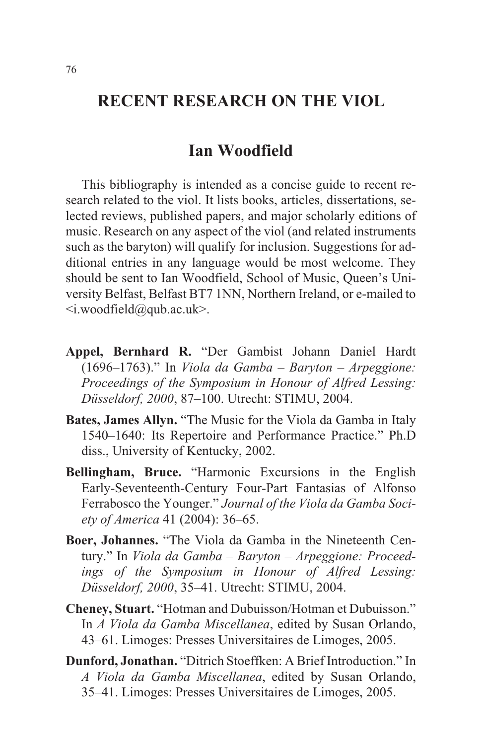## **RECENT RESEARCH ON THE VIOL**

### **Ian Woodfield**

This bibliography is intended as a concise guide to recent research related to the viol. It lists books, articles, dissertations, selected reviews, published papers, and major scholarly editions of music. Research on any aspect of the viol (and related instruments such as the baryton) will qualify for inclusion. Suggestions for additional entries in any language would be most welcome. They should be sent to Ian Woodfield, School of Music, Queen's University Belfast, Belfast BT7 1NN, Northern Ireland, or e-mailed to  $\langle$ i.woodfield@qub.ac.uk>.

- **Appel, Bernhard R.** "Der Gambist Johann Daniel Hardt (1696–1763)." In *Viola da Gamba – Baryton – Arpeggione: Proceedings of the Symposium in Honour of Alfred Lessing: Düsseldorf, 2000*, 87–100. Utrecht: STIMU, 2004.
- **Bates, James Allyn.** "The Music for the Viola da Gamba in Italy 1540–1640: Its Repertoire and Performance Practice." Ph.D diss., University of Kentucky, 2002.
- **Bellingham, Bruce.** "Harmonic Excursions in the English Early-Seventeenth-Century Four-Part Fantasias of Alfonso Ferrabosco the Younger." *Journal of the Viola da Gamba Society of America* 41 (2004): 36–65.
- **Boer, Johannes.** "The Viola da Gamba in the Nineteenth Century." In *Viola da Gamba – Baryton – Arpeggione: Proceedings of the Symposium in Honour of Alfred Lessing: Düsseldorf, 2000*, 35–41. Utrecht: STIMU, 2004.
- **Cheney, Stuart.** "Hotman and Dubuisson/Hotman et Dubuisson." In *A Viola da Gamba Miscellanea*, edited by Susan Orlando, 43–61. Limoges: Presses Universitaires de Limoges, 2005.
- **Dunford, Jonathan.** "Ditrich Stoeffken: A Brief Introduction." In *A Viola da Gamba Miscellanea*, edited by Susan Orlando, 35–41. Limoges: Presses Universitaires de Limoges, 2005.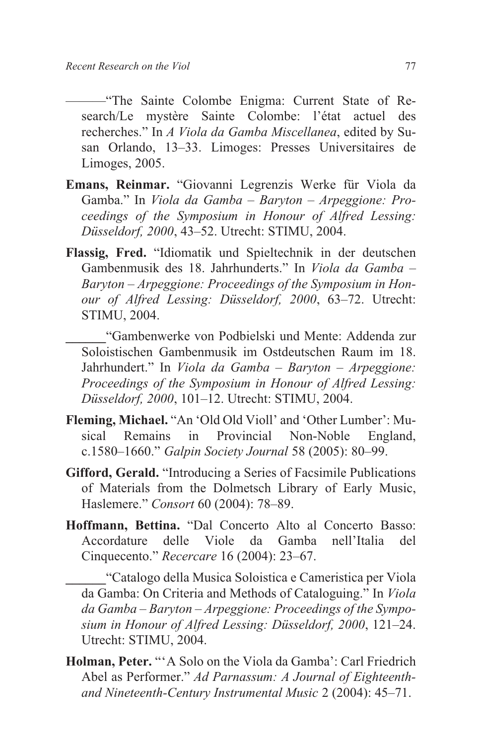———"The Sainte Colombe Enigma: Current State of Research/Le mystère Sainte Colombe: l'état actuel des recherches." In *A Viola da Gamba Miscellanea*, edited by Susan Orlando, 13–33. Limoges: Presses Universitaires de Limoges, 2005.

- **Emans, Reinmar.** "Giovanni Legrenzis Werke für Viola da Gamba." In *Viola da Gamba – Baryton – Arpeggione: Proceedings of the Symposium in Honour of Alfred Lessing: Düsseldorf, 2000*, 43–52. Utrecht: STIMU, 2004.
- **Flassig, Fred.** "Idiomatik und Spieltechnik in der deutschen Gambenmusik des 18. Jahrhunderts." In *Viola da Gamba – Baryton – Arpeggione: Proceedings of the Symposium in Honour of Alfred Lessing: Düsseldorf, 2000*, 63–72. Utrecht: STIMU, 2004.

**\_\_\_\_\_\_**"Gambenwerke von Podbielski und Mente: Addenda zur Soloistischen Gambenmusik im Ostdeutschen Raum im 18. Jahrhundert." In *Viola da Gamba – Baryton – Arpeggione: Proceedings of the Symposium in Honour of Alfred Lessing: Düsseldorf, 2000*, 101–12. Utrecht: STIMU, 2004.

- **Fleming, Michael.** "An 'Old Old Violl' and 'Other Lumber': Musical Remains in Provincial Non-Noble England, c.1580–1660." *Galpin Society Journal* 58 (2005): 80–99.
- **Gifford, Gerald.** "Introducing a Series of Facsimile Publications of Materials from the Dolmetsch Library of Early Music, Haslemere." *Consort* 60 (2004): 78–89.
- **Hoffmann, Bettina.** "Dal Concerto Alto al Concerto Basso: Accordature delle Viole da Gamba nell'Italia del Cinquecento." *Recercare* 16 (2004): 23–67.

**\_\_\_\_\_\_**"Catalogo della Musica Soloistica e Cameristica per Viola da Gamba: On Criteria and Methods of Cataloguing." In *Viola da Gamba – Baryton – Arpeggione: Proceedings of the Symposium in Honour of Alfred Lessing: Düsseldorf, 2000*, 121–24. Utrecht: STIMU, 2004.

**Holman, Peter.** "'A Solo on the Viola da Gamba': Carl Friedrich Abel as Performer." *Ad Parnassum: A Journal of Eighteenthand Nineteenth-Century Instrumental Music* 2 (2004): 45–71.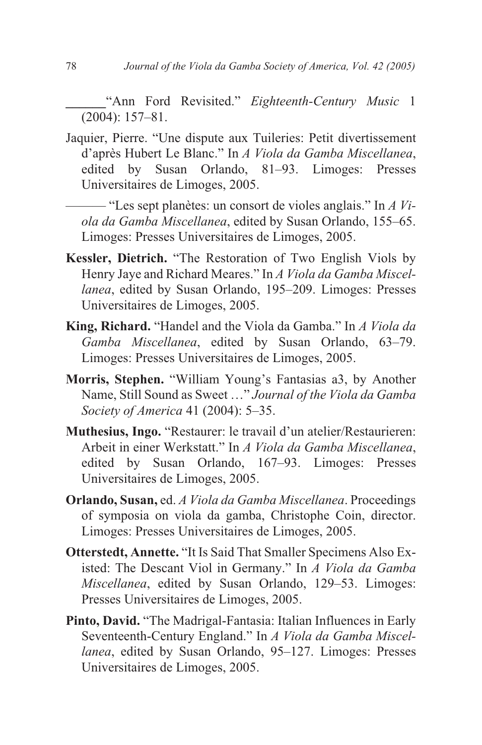**\_\_\_\_\_\_**"Ann Ford Revisited." *Eighteenth-Century Music* 1 (2004): 157–81.

Jaquier, Pierre. "Une dispute aux Tuileries: Petit divertissement d'après Hubert Le Blanc." In *A Viola da Gamba Miscellanea*, edited by Susan Orlando, 81–93. Limoges: Presses Universitaires de Limoges, 2005.

——— "Les sept planètes: un consort de violes anglais." In *A Viola da Gamba Miscellanea*, edited by Susan Orlando, 155–65. Limoges: Presses Universitaires de Limoges, 2005.

- **Kessler, Dietrich.** "The Restoration of Two English Viols by Henry Jaye and Richard Meares." In *A Viola da Gamba Miscellanea*, edited by Susan Orlando, 195–209. Limoges: Presses Universitaires de Limoges, 2005.
- **King, Richard.** "Handel and the Viola da Gamba." In *A Viola da Gamba Miscellanea*, edited by Susan Orlando, 63–79. Limoges: Presses Universitaires de Limoges, 2005.
- **Morris, Stephen.** "William Young's Fantasias a3, by Another Name, Still Sound as Sweet …" *Journal of the Viola da Gamba Society of America* 41 (2004): 5–35.
- **Muthesius, Ingo.** "Restaurer: le travail d'un atelier/Restaurieren: Arbeit in einer Werkstatt." In *A Viola da Gamba Miscellanea*, edited by Susan Orlando, 167–93. Limoges: Presses Universitaires de Limoges, 2005.
- **Orlando, Susan,** ed. *A Viola da Gamba Miscellanea*. Proceedings of symposia on viola da gamba, Christophe Coin, director. Limoges: Presses Universitaires de Limoges, 2005.
- **Otterstedt, Annette.** "It Is Said That Smaller Specimens Also Existed: The Descant Viol in Germany." In *A Viola da Gamba Miscellanea*, edited by Susan Orlando, 129–53. Limoges: Presses Universitaires de Limoges, 2005.
- **Pinto, David.** "The Madrigal-Fantasia: Italian Influences in Early Seventeenth-Century England." In *A Viola da Gamba Miscellanea*, edited by Susan Orlando, 95–127. Limoges: Presses Universitaires de Limoges, 2005.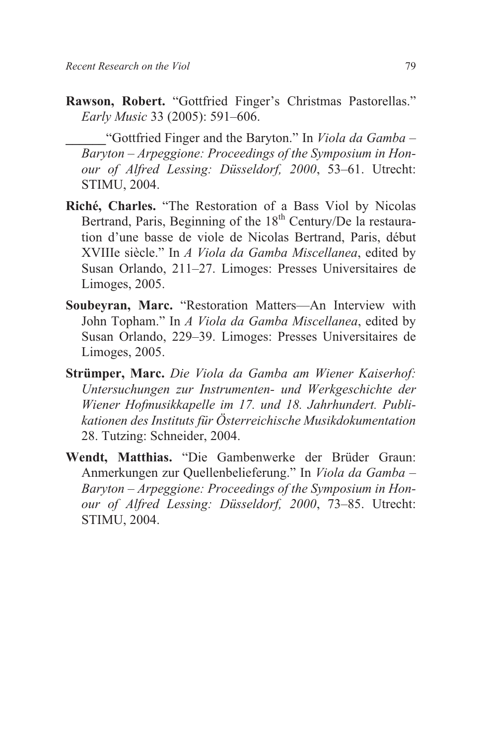**Rawson, Robert.** "Gottfried Finger's Christmas Pastorellas." *Early Music* 33 (2005): 591–606.

**\_\_\_\_\_\_**"Gottfried Finger and the Baryton." In *Viola da Gamba – Baryton – Arpeggione: Proceedings of the Symposium in Honour of Alfred Lessing: Düsseldorf, 2000*, 53–61. Utrecht: STIMU, 2004.

- **Riché, Charles.** "The Restoration of a Bass Viol by Nicolas Bertrand, Paris, Beginning of the 18<sup>th</sup> Century/De la restauration d'une basse de viole de Nicolas Bertrand, Paris, début XVIIIe siècle." In *A Viola da Gamba Miscellanea*, edited by Susan Orlando, 211–27. Limoges: Presses Universitaires de Limoges, 2005.
- **Soubeyran, Marc.** "Restoration Matters—An Interview with John Topham." In *A Viola da Gamba Miscellanea*, edited by Susan Orlando, 229–39. Limoges: Presses Universitaires de Limoges, 2005.
- **Strümper, Marc.** *Die Viola da Gamba am Wiener Kaiserhof: Untersuchungen zur Instrumenten- und Werkgeschichte der Wiener Hofmusikkapelle im 17. und 18. Jahrhundert. Publikationen des Instituts für Österreichische Musikdokumentation* 28. Tutzing: Schneider, 2004.
- **Wendt, Matthias.** "Die Gambenwerke der Brüder Graun: Anmerkungen zur Quellenbelieferung." In *Viola da Gamba – Baryton – Arpeggione: Proceedings of the Symposium in Honour of Alfred Lessing: Düsseldorf, 2000*, 73–85. Utrecht: STIMU, 2004.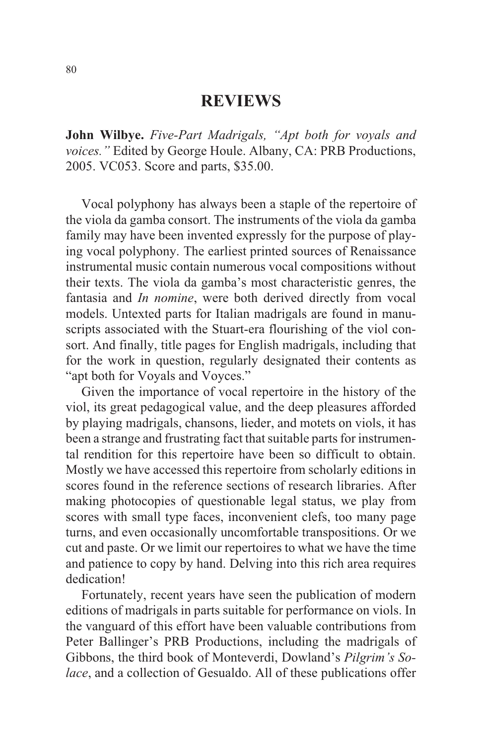### **REVIEWS**

**John Wilbye.** *Five-Part Madrigals, "Apt both for voyals and voices."* Edited by George Houle. Albany, CA: PRB Productions, 2005. VC053. Score and parts, \$35.00.

Vocal polyphony has always been a staple of the repertoire of the viola da gamba consort. The instruments of the viola da gamba family may have been invented expressly for the purpose of playing vocal polyphony. The earliest printed sources of Renaissance instrumental music contain numerous vocal compositions without their texts. The viola da gamba's most characteristic genres, the fantasia and *In nomine*, were both derived directly from vocal models. Untexted parts for Italian madrigals are found in manuscripts associated with the Stuart-era flourishing of the viol consort. And finally, title pages for English madrigals, including that for the work in question, regularly designated their contents as "apt both for Voyals and Voyces."

Given the importance of vocal repertoire in the history of the viol, its great pedagogical value, and the deep pleasures afforded by playing madrigals, chansons, lieder, and motets on viols, it has been a strange and frustrating fact that suitable parts for instrumental rendition for this repertoire have been so difficult to obtain. Mostly we have accessed this repertoire from scholarly editions in scores found in the reference sections of research libraries. After making photocopies of questionable legal status, we play from scores with small type faces, inconvenient clefs, too many page turns, and even occasionally uncomfortable transpositions. Or we cut and paste. Or we limit our repertoires to what we have the time and patience to copy by hand. Delving into this rich area requires dedication!

Fortunately, recent years have seen the publication of modern editions of madrigals in parts suitable for performance on viols. In the vanguard of this effort have been valuable contributions from Peter Ballinger's PRB Productions, including the madrigals of Gibbons, the third book of Monteverdi, Dowland's *Pilgrim's Solace*, and a collection of Gesualdo. All of these publications offer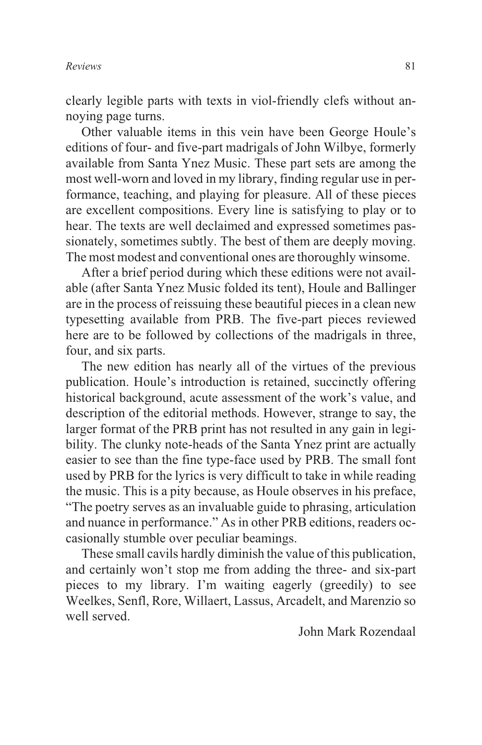clearly legible parts with texts in viol-friendly clefs without annoying page turns.

Other valuable items in this vein have been George Houle's editions of four- and five-part madrigals of John Wilbye, formerly available from Santa Ynez Music. These part sets are among the most well-worn and loved in my library, finding regular use in performance, teaching, and playing for pleasure. All of these pieces are excellent compositions. Every line is satisfying to play or to hear. The texts are well declaimed and expressed sometimes passionately, sometimes subtly. The best of them are deeply moving. The most modest and conventional ones are thoroughly winsome.

After a brief period during which these editions were not available (after Santa Ynez Music folded its tent), Houle and Ballinger are in the process of reissuing these beautiful pieces in a clean new typesetting available from PRB. The five-part pieces reviewed here are to be followed by collections of the madrigals in three, four, and six parts.

The new edition has nearly all of the virtues of the previous publication. Houle's introduction is retained, succinctly offering historical background, acute assessment of the work's value, and description of the editorial methods. However, strange to say, the larger format of the PRB print has not resulted in any gain in legibility. The clunky note-heads of the Santa Ynez print are actually easier to see than the fine type-face used by PRB. The small font used by PRB for the lyrics is very difficult to take in while reading the music. This is a pity because, as Houle observes in his preface, "The poetry serves as an invaluable guide to phrasing, articulation and nuance in performance." As in other PRB editions, readers occasionally stumble over peculiar beamings.

These small cavils hardly diminish the value of this publication, and certainly won't stop me from adding the three- and six-part pieces to my library. I'm waiting eagerly (greedily) to see Weelkes, Senfl, Rore, Willaert, Lassus, Arcadelt, and Marenzio so well served.

John Mark Rozendaal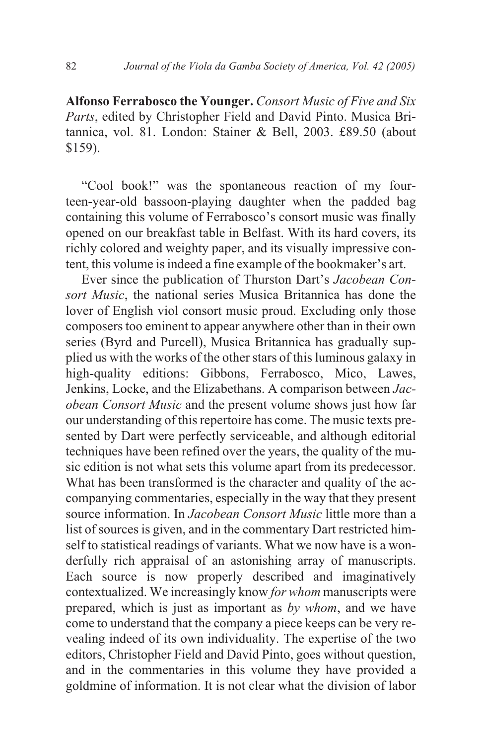**Alfonso Ferrabosco the Younger.** *Consort Music of Five and Six Parts*, edited by Christopher Field and David Pinto. Musica Britannica, vol. 81. London: Stainer & Bell, 2003. £89.50 (about \$159).

"Cool book!" was the spontaneous reaction of my fourteen-year-old bassoon-playing daughter when the padded bag containing this volume of Ferrabosco's consort music was finally opened on our breakfast table in Belfast. With its hard covers, its richly colored and weighty paper, and its visually impressive content, this volume is indeed a fine example of the bookmaker's art.

Ever since the publication of Thurston Dart's *Jacobean Consort Music*, the national series Musica Britannica has done the lover of English viol consort music proud. Excluding only those composers too eminent to appear anywhere other than in their own series (Byrd and Purcell), Musica Britannica has gradually supplied us with the works of the other stars of this luminous galaxy in high-quality editions: Gibbons, Ferrabosco, Mico, Lawes, Jenkins, Locke, and the Elizabethans. A comparison between *Jacobean Consort Music* and the present volume shows just how far our understanding of this repertoire has come. The music texts presented by Dart were perfectly serviceable, and although editorial techniques have been refined over the years, the quality of the music edition is not what sets this volume apart from its predecessor. What has been transformed is the character and quality of the accompanying commentaries, especially in the way that they present source information. In *Jacobean Consort Music* little more than a list of sources is given, and in the commentary Dart restricted himself to statistical readings of variants. What we now have is a wonderfully rich appraisal of an astonishing array of manuscripts. Each source is now properly described and imaginatively contextualized. We increasingly know *for whom* manuscripts were prepared, which is just as important as *by whom*, and we have come to understand that the company a piece keeps can be very revealing indeed of its own individuality. The expertise of the two editors, Christopher Field and David Pinto, goes without question, and in the commentaries in this volume they have provided a goldmine of information. It is not clear what the division of labor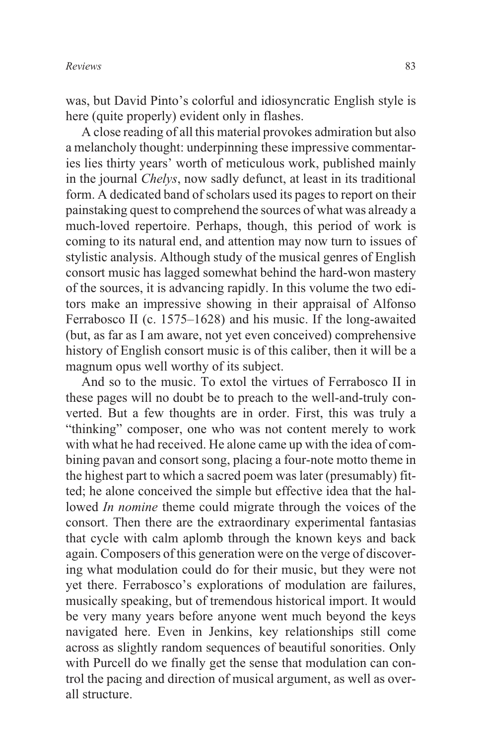was, but David Pinto's colorful and idiosyncratic English style is here (quite properly) evident only in flashes.

A close reading of all this material provokes admiration but also a melancholy thought: underpinning these impressive commentaries lies thirty years' worth of meticulous work, published mainly in the journal *Chelys*, now sadly defunct, at least in its traditional form. A dedicated band of scholars used its pages to report on their painstaking quest to comprehend the sources of what was already a much-loved repertoire. Perhaps, though, this period of work is coming to its natural end, and attention may now turn to issues of stylistic analysis. Although study of the musical genres of English consort music has lagged somewhat behind the hard-won mastery of the sources, it is advancing rapidly. In this volume the two editors make an impressive showing in their appraisal of Alfonso Ferrabosco II (c. 1575–1628) and his music. If the long-awaited (but, as far as I am aware, not yet even conceived) comprehensive history of English consort music is of this caliber, then it will be a magnum opus well worthy of its subject.

And so to the music. To extol the virtues of Ferrabosco II in these pages will no doubt be to preach to the well-and-truly converted. But a few thoughts are in order. First, this was truly a "thinking" composer, one who was not content merely to work with what he had received. He alone came up with the idea of combining pavan and consort song, placing a four-note motto theme in the highest part to which a sacred poem was later (presumably) fitted; he alone conceived the simple but effective idea that the hallowed *In nomine* theme could migrate through the voices of the consort. Then there are the extraordinary experimental fantasias that cycle with calm aplomb through the known keys and back again. Composers of this generation were on the verge of discovering what modulation could do for their music, but they were not yet there. Ferrabosco's explorations of modulation are failures, musically speaking, but of tremendous historical import. It would be very many years before anyone went much beyond the keys navigated here. Even in Jenkins, key relationships still come across as slightly random sequences of beautiful sonorities. Only with Purcell do we finally get the sense that modulation can control the pacing and direction of musical argument, as well as overall structure.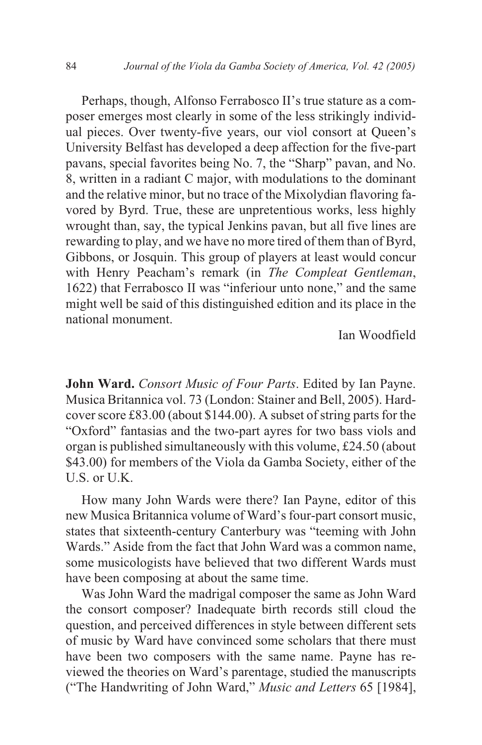Perhaps, though, Alfonso Ferrabosco II's true stature as a composer emerges most clearly in some of the less strikingly individual pieces. Over twenty-five years, our viol consort at Queen's University Belfast has developed a deep affection for the five-part pavans, special favorites being No. 7, the "Sharp" pavan, and No. 8, written in a radiant C major, with modulations to the dominant and the relative minor, but no trace of the Mixolydian flavoring favored by Byrd. True, these are unpretentious works, less highly wrought than, say, the typical Jenkins pavan, but all five lines are rewarding to play, and we have no more tired of them than of Byrd, Gibbons, or Josquin. This group of players at least would concur with Henry Peacham's remark (in *The Compleat Gentleman*, 1622) that Ferrabosco II was "inferiour unto none," and the same might well be said of this distinguished edition and its place in the national monument.

Ian Woodfield

**John Ward.** *Consort Music of Four Parts*. Edited by Ian Payne. Musica Britannica vol. 73 (London: Stainer and Bell, 2005). Hardcover score £83.00 (about \$144.00). A subset of string parts for the "Oxford" fantasias and the two-part ayres for two bass viols and organ is published simultaneously with this volume, £24.50 (about \$43.00) for members of the Viola da Gamba Society, either of the U.S. or U.K.

How many John Wards were there? Ian Payne, editor of this new Musica Britannica volume of Ward's four-part consort music, states that sixteenth-century Canterbury was "teeming with John Wards." Aside from the fact that John Ward was a common name, some musicologists have believed that two different Wards must have been composing at about the same time.

Was John Ward the madrigal composer the same as John Ward the consort composer? Inadequate birth records still cloud the question, and perceived differences in style between different sets of music by Ward have convinced some scholars that there must have been two composers with the same name. Payne has reviewed the theories on Ward's parentage, studied the manuscripts ("The Handwriting of John Ward," *Music and Letters* 65 [1984],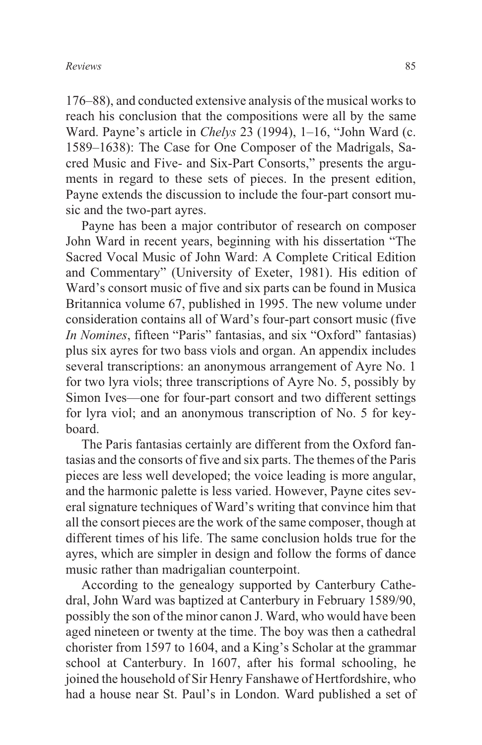176–88), and conducted extensive analysis of the musical works to reach his conclusion that the compositions were all by the same Ward. Payne's article in *Chelys* 23 (1994), 1–16, "John Ward (c. 1589–1638): The Case for One Composer of the Madrigals, Sacred Music and Five- and Six-Part Consorts," presents the arguments in regard to these sets of pieces. In the present edition, Payne extends the discussion to include the four-part consort music and the two-part ayres.

Payne has been a major contributor of research on composer John Ward in recent years, beginning with his dissertation "The Sacred Vocal Music of John Ward: A Complete Critical Edition and Commentary" (University of Exeter, 1981). His edition of Ward's consort music of five and six parts can be found in Musica Britannica volume 67, published in 1995. The new volume under consideration contains all of Ward's four-part consort music (five *In Nomines*, fifteen "Paris" fantasias, and six "Oxford" fantasias) plus six ayres for two bass viols and organ. An appendix includes several transcriptions: an anonymous arrangement of Ayre No. 1 for two lyra viols; three transcriptions of Ayre No. 5, possibly by Simon Ives—one for four-part consort and two different settings for lyra viol; and an anonymous transcription of No. 5 for keyboard.

The Paris fantasias certainly are different from the Oxford fantasias and the consorts of five and six parts. The themes of the Paris pieces are less well developed; the voice leading is more angular, and the harmonic palette is less varied. However, Payne cites several signature techniques of Ward's writing that convince him that all the consort pieces are the work of the same composer, though at different times of his life. The same conclusion holds true for the ayres, which are simpler in design and follow the forms of dance music rather than madrigalian counterpoint.

According to the genealogy supported by Canterbury Cathedral, John Ward was baptized at Canterbury in February 1589/90, possibly the son of the minor canon J. Ward, who would have been aged nineteen or twenty at the time. The boy was then a cathedral chorister from 1597 to 1604, and a King's Scholar at the grammar school at Canterbury. In 1607, after his formal schooling, he joined the household of Sir Henry Fanshawe of Hertfordshire, who had a house near St. Paul's in London. Ward published a set of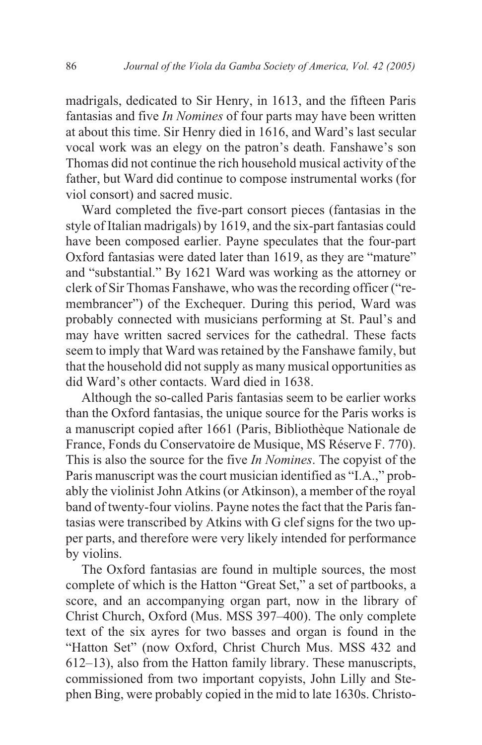madrigals, dedicated to Sir Henry, in 1613, and the fifteen Paris fantasias and five *In Nomines* of four parts may have been written at about this time. Sir Henry died in 1616, and Ward's last secular vocal work was an elegy on the patron's death. Fanshawe's son Thomas did not continue the rich household musical activity of the father, but Ward did continue to compose instrumental works (for viol consort) and sacred music.

Ward completed the five-part consort pieces (fantasias in the style of Italian madrigals) by 1619, and the six-part fantasias could have been composed earlier. Payne speculates that the four-part Oxford fantasias were dated later than 1619, as they are "mature" and "substantial." By 1621 Ward was working as the attorney or clerk of Sir Thomas Fanshawe, who was the recording officer ("remembrancer") of the Exchequer. During this period, Ward was probably connected with musicians performing at St. Paul's and may have written sacred services for the cathedral. These facts seem to imply that Ward was retained by the Fanshawe family, but that the household did not supply as many musical opportunities as did Ward's other contacts. Ward died in 1638.

Although the so-called Paris fantasias seem to be earlier works than the Oxford fantasias, the unique source for the Paris works is a manuscript copied after 1661 (Paris, Bibliothèque Nationale de France, Fonds du Conservatoire de Musique, MS Réserve F. 770). This is also the source for the five *In Nomines*. The copyist of the Paris manuscript was the court musician identified as "I.A.," probably the violinist John Atkins (or Atkinson), a member of the royal band of twenty-four violins. Payne notes the fact that the Paris fantasias were transcribed by Atkins with G clef signs for the two upper parts, and therefore were very likely intended for performance by violins.

The Oxford fantasias are found in multiple sources, the most complete of which is the Hatton "Great Set," a set of partbooks, a score, and an accompanying organ part, now in the library of Christ Church, Oxford (Mus. MSS 397–400). The only complete text of the six ayres for two basses and organ is found in the "Hatton Set" (now Oxford, Christ Church Mus. MSS 432 and 612–13), also from the Hatton family library. These manuscripts, commissioned from two important copyists, John Lilly and Stephen Bing, were probably copied in the mid to late 1630s. Christo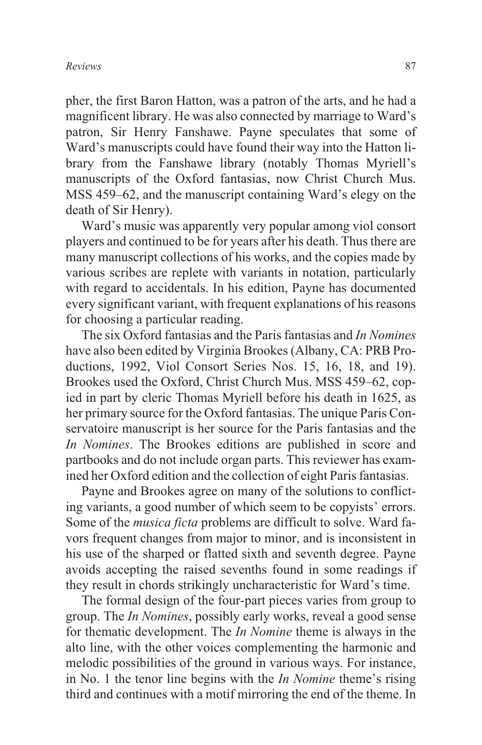pher, the first Baron Hatton, was a patron of the arts, and he had a magnificent library. He was also connected by marriage to Ward's patron, Sir Henry Fanshawe. Payne speculates that some of Ward's manuscripts could have found their way into the Hatton library from the Fanshawe library (notably Thomas Myriell's manuscripts of the Oxford fantasias, now Christ Church Mus. MSS 459–62, and the manuscript containing Ward's elegy on the death of Sir Henry).

Ward's music was apparently very popular among viol consort players and continued to be for years after his death. Thus there are many manuscript collections of his works, and the copies made by various scribes are replete with variants in notation, particularly with regard to accidentals. In his edition, Payne has documented every significant variant, with frequent explanations of his reasons for choosing a particular reading.

The six Oxford fantasias and the Paris fantasias and *In Nomines* have also been edited by Virginia Brookes (Albany, CA: PRB Productions, 1992, Viol Consort Series Nos. 15, 16, 18, and 19). Brookes used the Oxford, Christ Church Mus. MSS 459–62, copied in part by cleric Thomas Myriell before his death in 1625, as her primary source for the Oxford fantasias. The unique Paris Conservatoire manuscript is her source for the Paris fantasias and the *In Nomines*. The Brookes editions are published in score and partbooks and do not include organ parts. This reviewer has examined her Oxford edition and the collection of eight Paris fantasias.

Payne and Brookes agree on many of the solutions to conflicting variants, a good number of which seem to be copyists' errors. Some of the *musica ficta* problems are difficult to solve. Ward favors frequent changes from major to minor, and is inconsistent in his use of the sharped or flatted sixth and seventh degree. Payne avoids accepting the raised sevenths found in some readings if they result in chords strikingly uncharacteristic for Ward's time.

The formal design of the four-part pieces varies from group to group. The *In Nomines*, possibly early works, reveal a good sense for thematic development. The *In Nomine* theme is always in the alto line, with the other voices complementing the harmonic and melodic possibilities of the ground in various ways. For instance, in No. 1 the tenor line begins with the *In Nomine* theme's rising third and continues with a motif mirroring the end of the theme. In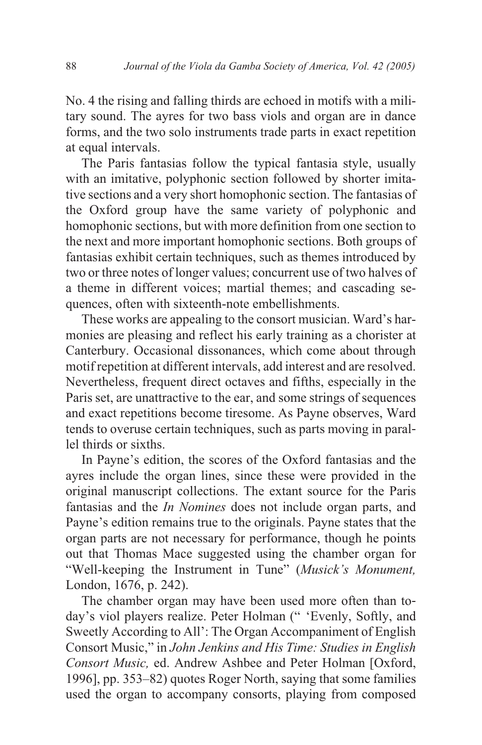No. 4 the rising and falling thirds are echoed in motifs with a military sound. The ayres for two bass viols and organ are in dance forms, and the two solo instruments trade parts in exact repetition at equal intervals.

The Paris fantasias follow the typical fantasia style, usually with an imitative, polyphonic section followed by shorter imitative sections and a very short homophonic section. The fantasias of the Oxford group have the same variety of polyphonic and homophonic sections, but with more definition from one section to the next and more important homophonic sections. Both groups of fantasias exhibit certain techniques, such as themes introduced by two or three notes of longer values; concurrent use of two halves of a theme in different voices; martial themes; and cascading sequences, often with sixteenth-note embellishments.

These works are appealing to the consort musician. Ward's harmonies are pleasing and reflect his early training as a chorister at Canterbury. Occasional dissonances, which come about through motif repetition at different intervals, add interest and are resolved. Nevertheless, frequent direct octaves and fifths, especially in the Paris set, are unattractive to the ear, and some strings of sequences and exact repetitions become tiresome. As Payne observes, Ward tends to overuse certain techniques, such as parts moving in parallel thirds or sixths.

In Payne's edition, the scores of the Oxford fantasias and the ayres include the organ lines, since these were provided in the original manuscript collections. The extant source for the Paris fantasias and the *In Nomines* does not include organ parts, and Payne's edition remains true to the originals. Payne states that the organ parts are not necessary for performance, though he points out that Thomas Mace suggested using the chamber organ for "Well-keeping the Instrument in Tune" (*Musick's Monument,* London, 1676, p. 242).

The chamber organ may have been used more often than today's viol players realize. Peter Holman (" 'Evenly, Softly, and Sweetly According to All': The Organ Accompaniment of English Consort Music," in *John Jenkins and His Time: Studies in English Consort Music,* ed. Andrew Ashbee and Peter Holman [Oxford, 1996], pp. 353–82) quotes Roger North, saying that some families used the organ to accompany consorts, playing from composed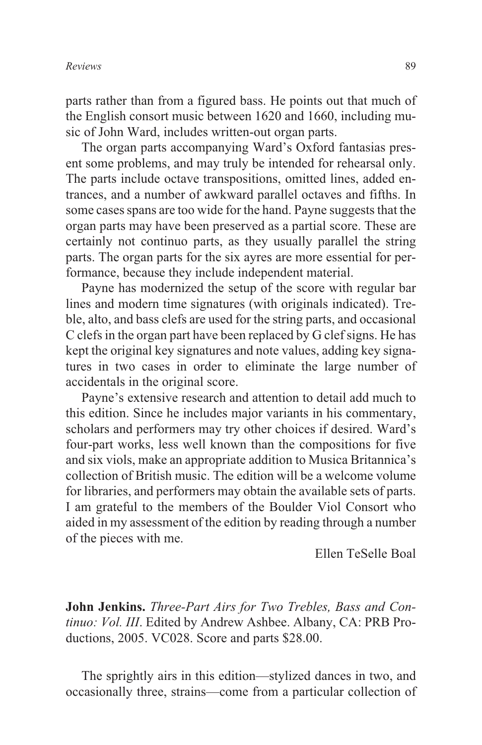parts rather than from a figured bass. He points out that much of the English consort music between 1620 and 1660, including music of John Ward, includes written-out organ parts.

The organ parts accompanying Ward's Oxford fantasias present some problems, and may truly be intended for rehearsal only. The parts include octave transpositions, omitted lines, added entrances, and a number of awkward parallel octaves and fifths. In some cases spans are too wide for the hand. Payne suggests that the organ parts may have been preserved as a partial score. These are certainly not continuo parts, as they usually parallel the string parts. The organ parts for the six ayres are more essential for performance, because they include independent material.

Payne has modernized the setup of the score with regular bar lines and modern time signatures (with originals indicated). Treble, alto, and bass clefs are used for the string parts, and occasional C clefs in the organ part have been replaced by G clef signs. He has kept the original key signatures and note values, adding key signatures in two cases in order to eliminate the large number of accidentals in the original score.

Payne's extensive research and attention to detail add much to this edition. Since he includes major variants in his commentary, scholars and performers may try other choices if desired. Ward's four-part works, less well known than the compositions for five and six viols, make an appropriate addition to Musica Britannica's collection of British music. The edition will be a welcome volume for libraries, and performers may obtain the available sets of parts. I am grateful to the members of the Boulder Viol Consort who aided in my assessment of the edition by reading through a number of the pieces with me.

Ellen TeSelle Boal

**John Jenkins.** *Three-Part Airs for Two Trebles, Bass and Continuo: Vol. III*. Edited by Andrew Ashbee. Albany, CA: PRB Productions, 2005. VC028. Score and parts \$28.00.

The sprightly airs in this edition—stylized dances in two, and occasionally three, strains—come from a particular collection of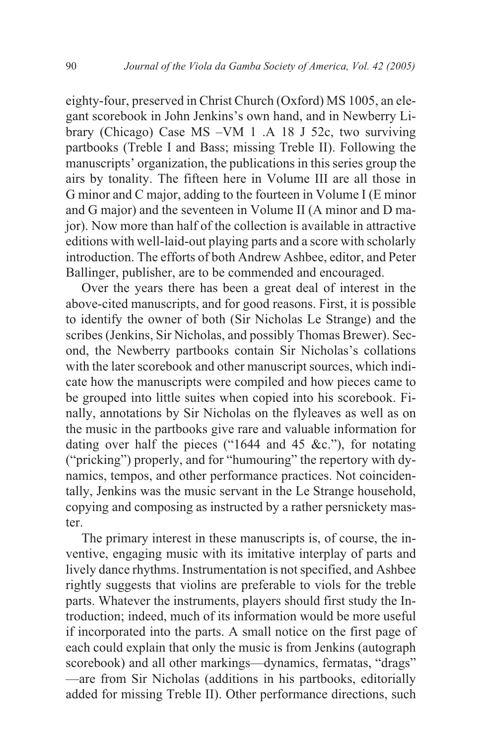eighty-four, preserved in Christ Church (Oxford) MS 1005, an elegant scorebook in John Jenkins's own hand, and in Newberry Library (Chicago) Case MS –VM 1 .A 18 J 52c, two surviving partbooks (Treble I and Bass; missing Treble II). Following the manuscripts' organization, the publications in this series group the airs by tonality. The fifteen here in Volume III are all those in G minor and C major, adding to the fourteen in Volume I (E minor and G major) and the seventeen in Volume II (A minor and D major). Now more than half of the collection is available in attractive editions with well-laid-out playing parts and a score with scholarly introduction. The efforts of both Andrew Ashbee, editor, and Peter Ballinger, publisher, are to be commended and encouraged.

Over the years there has been a great deal of interest in the above-cited manuscripts, and for good reasons. First, it is possible to identify the owner of both (Sir Nicholas Le Strange) and the scribes (Jenkins, Sir Nicholas, and possibly Thomas Brewer). Second, the Newberry partbooks contain Sir Nicholas's collations with the later scorebook and other manuscript sources, which indicate how the manuscripts were compiled and how pieces came to be grouped into little suites when copied into his scorebook. Finally, annotations by Sir Nicholas on the flyleaves as well as on the music in the partbooks give rare and valuable information for dating over half the pieces ("1644 and 45 &c."), for notating ("pricking") properly, and for "humouring" the repertory with dynamics, tempos, and other performance practices. Not coincidentally, Jenkins was the music servant in the Le Strange household, copying and composing as instructed by a rather persnickety master.

The primary interest in these manuscripts is, of course, the inventive, engaging music with its imitative interplay of parts and lively dance rhythms. Instrumentation is not specified, and Ashbee rightly suggests that violins are preferable to viols for the treble parts. Whatever the instruments, players should first study the Introduction; indeed, much of its information would be more useful if incorporated into the parts. A small notice on the first page of each could explain that only the music is from Jenkins (autograph scorebook) and all other markings—dynamics, fermatas, "drags" —are from Sir Nicholas (additions in his partbooks, editorially added for missing Treble II). Other performance directions, such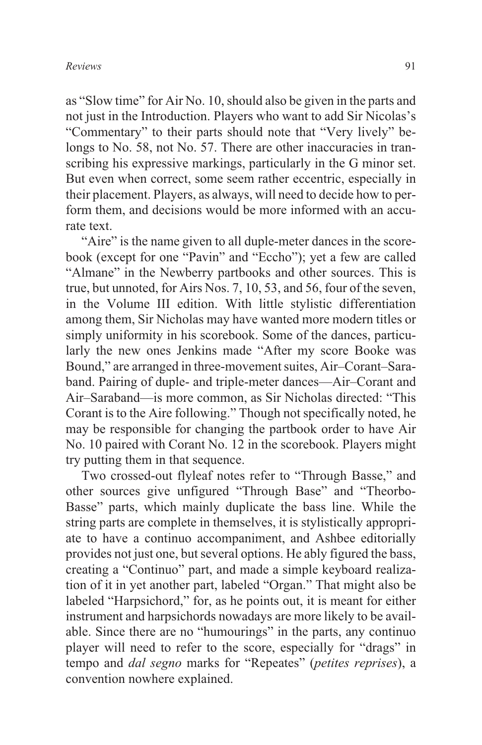as "Slow time" for Air No. 10, should also be given in the parts and not just in the Introduction. Players who want to add Sir Nicolas's "Commentary" to their parts should note that "Very lively" belongs to No. 58, not No. 57. There are other inaccuracies in transcribing his expressive markings, particularly in the G minor set. But even when correct, some seem rather eccentric, especially in their placement. Players, as always, will need to decide how to perform them, and decisions would be more informed with an accurate text.

"Aire" is the name given to all duple-meter dances in the scorebook (except for one "Pavin" and "Eccho"); yet a few are called "Almane" in the Newberry partbooks and other sources. This is true, but unnoted, for Airs Nos. 7, 10, 53, and 56, four of the seven, in the Volume III edition. With little stylistic differentiation among them, Sir Nicholas may have wanted more modern titles or simply uniformity in his scorebook. Some of the dances, particularly the new ones Jenkins made "After my score Booke was Bound," are arranged in three-movement suites, Air–Corant–Saraband. Pairing of duple- and triple-meter dances—Air–Corant and Air–Saraband—is more common, as Sir Nicholas directed: "This Corant is to the Aire following." Though not specifically noted, he may be responsible for changing the partbook order to have Air No. 10 paired with Corant No. 12 in the scorebook. Players might try putting them in that sequence.

Two crossed-out flyleaf notes refer to "Through Basse," and other sources give unfigured "Through Base" and "Theorbo-Basse" parts, which mainly duplicate the bass line. While the string parts are complete in themselves, it is stylistically appropriate to have a continuo accompaniment, and Ashbee editorially provides not just one, but several options. He ably figured the bass, creating a "Continuo" part, and made a simple keyboard realization of it in yet another part, labeled "Organ." That might also be labeled "Harpsichord," for, as he points out, it is meant for either instrument and harpsichords nowadays are more likely to be available. Since there are no "humourings" in the parts, any continuo player will need to refer to the score, especially for "drags" in tempo and *dal segno* marks for "Repeates" (*petites reprises*), a convention nowhere explained.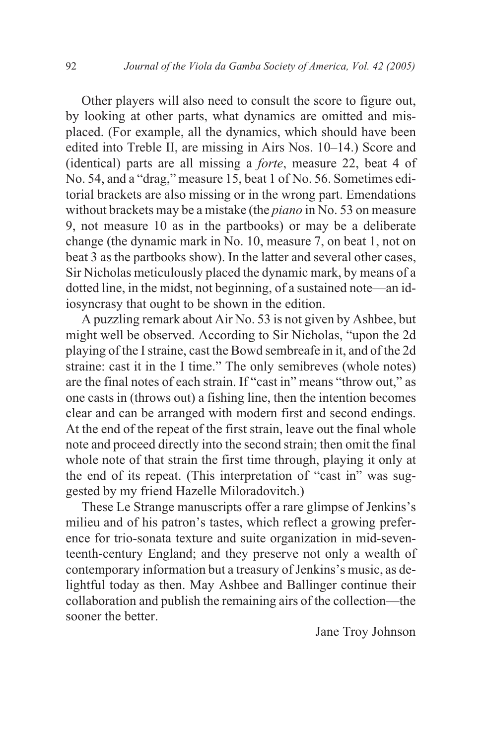Other players will also need to consult the score to figure out, by looking at other parts, what dynamics are omitted and misplaced. (For example, all the dynamics, which should have been edited into Treble II, are missing in Airs Nos. 10–14.) Score and (identical) parts are all missing a *forte*, measure 22, beat 4 of No. 54, and a "drag," measure 15, beat 1 of No. 56. Sometimes editorial brackets are also missing or in the wrong part. Emendations without brackets may be a mistake (the *piano* in No. 53 on measure 9, not measure 10 as in the partbooks) or may be a deliberate change (the dynamic mark in No. 10, measure 7, on beat 1, not on beat 3 as the partbooks show). In the latter and several other cases, Sir Nicholas meticulously placed the dynamic mark, by means of a dotted line, in the midst, not beginning, of a sustained note—an idiosyncrasy that ought to be shown in the edition.

A puzzling remark about Air No. 53 is not given by Ashbee, but might well be observed. According to Sir Nicholas, "upon the 2d playing of the I straine, cast the Bowd sembreafe in it, and of the 2d straine: cast it in the I time." The only semibreves (whole notes) are the final notes of each strain. If "cast in" means "throw out," as one casts in (throws out) a fishing line, then the intention becomes clear and can be arranged with modern first and second endings. At the end of the repeat of the first strain, leave out the final whole note and proceed directly into the second strain; then omit the final whole note of that strain the first time through, playing it only at the end of its repeat. (This interpretation of "cast in" was suggested by my friend Hazelle Miloradovitch.)

These Le Strange manuscripts offer a rare glimpse of Jenkins's milieu and of his patron's tastes, which reflect a growing preference for trio-sonata texture and suite organization in mid-seventeenth-century England; and they preserve not only a wealth of contemporary information but a treasury of Jenkins's music, as delightful today as then. May Ashbee and Ballinger continue their collaboration and publish the remaining airs of the collection—the sooner the better.

Jane Troy Johnson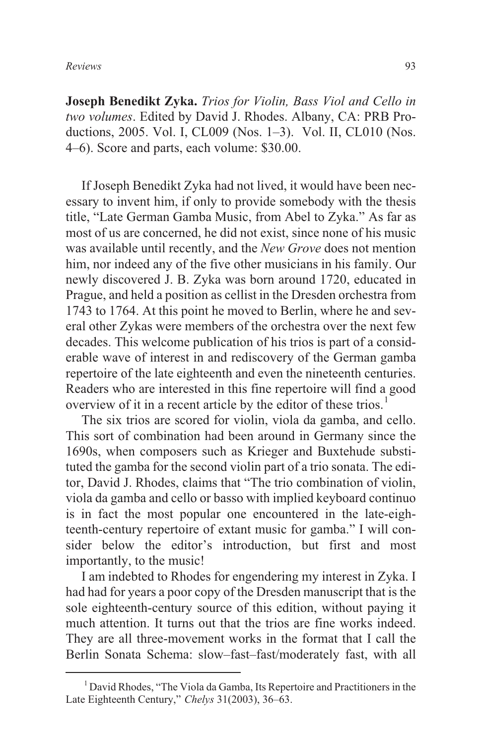**Joseph Benedikt Zyka.** *Trios for Violin, Bass Viol and Cello in two volumes*. Edited by David J. Rhodes. Albany, CA: PRB Productions, 2005. Vol. I, CL009 (Nos. 1–3). Vol. II, CL010 (Nos. 4–6). Score and parts, each volume: \$30.00.

If Joseph Benedikt Zyka had not lived, it would have been necessary to invent him, if only to provide somebody with the thesis title, "Late German Gamba Music, from Abel to Zyka." As far as most of us are concerned, he did not exist, since none of his music was available until recently, and the *New Grove* does not mention him, nor indeed any of the five other musicians in his family. Our newly discovered J. B. Zyka was born around 1720, educated in Prague, and held a position as cellist in the Dresden orchestra from 1743 to 1764. At this point he moved to Berlin, where he and several other Zykas were members of the orchestra over the next few decades. This welcome publication of his trios is part of a considerable wave of interest in and rediscovery of the German gamba repertoire of the late eighteenth and even the nineteenth centuries. Readers who are interested in this fine repertoire will find a good overview of it in a recent article by the editor of these trios.<sup>1</sup>

The six trios are scored for violin, viola da gamba, and cello. This sort of combination had been around in Germany since the 1690s, when composers such as Krieger and Buxtehude substituted the gamba for the second violin part of a trio sonata. The editor, David J. Rhodes, claims that "The trio combination of violin, viola da gamba and cello or basso with implied keyboard continuo is in fact the most popular one encountered in the late-eighteenth-century repertoire of extant music for gamba." I will consider below the editor's introduction, but first and most importantly, to the music!

I am indebted to Rhodes for engendering my interest in Zyka. I had had for years a poor copy of the Dresden manuscript that is the sole eighteenth-century source of this edition, without paying it much attention. It turns out that the trios are fine works indeed. They are all three-movement works in the format that I call the Berlin Sonata Schema: slow–fast–fast/moderately fast, with all

<sup>1</sup> David Rhodes, "The Viola da Gamba, Its Repertoire and Practitioners in the Late Eighteenth Century," *Chelys* 31(2003), 36–63.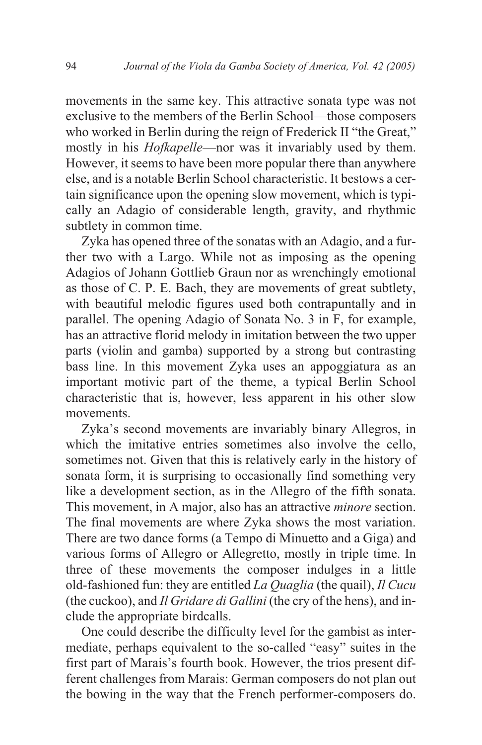movements in the same key. This attractive sonata type was not exclusive to the members of the Berlin School—those composers who worked in Berlin during the reign of Frederick II "the Great," mostly in his *Hofkapelle*—nor was it invariably used by them. However, it seems to have been more popular there than anywhere else, and is a notable Berlin School characteristic. It bestows a certain significance upon the opening slow movement, which is typically an Adagio of considerable length, gravity, and rhythmic subtlety in common time.

Zyka has opened three of the sonatas with an Adagio, and a further two with a Largo. While not as imposing as the opening Adagios of Johann Gottlieb Graun nor as wrenchingly emotional as those of C. P. E. Bach, they are movements of great subtlety, with beautiful melodic figures used both contrapuntally and in parallel. The opening Adagio of Sonata No. 3 in F, for example, has an attractive florid melody in imitation between the two upper parts (violin and gamba) supported by a strong but contrasting bass line. In this movement Zyka uses an appoggiatura as an important motivic part of the theme, a typical Berlin School characteristic that is, however, less apparent in his other slow movements.

Zyka's second movements are invariably binary Allegros, in which the imitative entries sometimes also involve the cello, sometimes not. Given that this is relatively early in the history of sonata form, it is surprising to occasionally find something very like a development section, as in the Allegro of the fifth sonata. This movement, in A major, also has an attractive *minore* section. The final movements are where Zyka shows the most variation. There are two dance forms (a Tempo di Minuetto and a Giga) and various forms of Allegro or Allegretto, mostly in triple time. In three of these movements the composer indulges in a little old-fashioned fun: they are entitled *La Quaglia* (the quail), *Il Cucu* (the cuckoo), and *Il Gridare di Gallini* (the cry of the hens), and include the appropriate birdcalls.

One could describe the difficulty level for the gambist as intermediate, perhaps equivalent to the so-called "easy" suites in the first part of Marais's fourth book. However, the trios present different challenges from Marais: German composers do not plan out the bowing in the way that the French performer-composers do.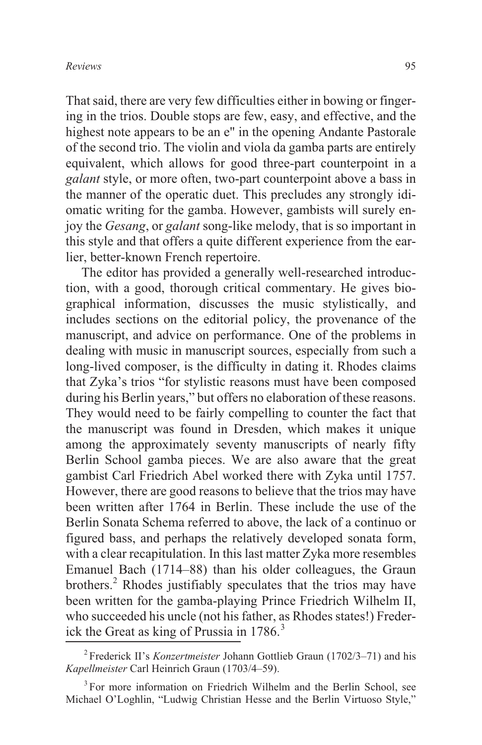That said, there are very few difficulties either in bowing or fingering in the trios. Double stops are few, easy, and effective, and the highest note appears to be an e" in the opening Andante Pastorale of the second trio. The violin and viola da gamba parts are entirely equivalent, which allows for good three-part counterpoint in a *galant* style, or more often, two-part counterpoint above a bass in the manner of the operatic duet. This precludes any strongly idiomatic writing for the gamba. However, gambists will surely enjoy the *Gesang*, or *galant* song-like melody, that is so important in this style and that offers a quite different experience from the earlier, better-known French repertoire.

The editor has provided a generally well-researched introduction, with a good, thorough critical commentary. He gives biographical information, discusses the music stylistically, and includes sections on the editorial policy, the provenance of the manuscript, and advice on performance. One of the problems in dealing with music in manuscript sources, especially from such a long-lived composer, is the difficulty in dating it. Rhodes claims that Zyka's trios "for stylistic reasons must have been composed during his Berlin years," but offers no elaboration of these reasons. They would need to be fairly compelling to counter the fact that the manuscript was found in Dresden, which makes it unique among the approximately seventy manuscripts of nearly fifty Berlin School gamba pieces. We are also aware that the great gambist Carl Friedrich Abel worked there with Zyka until 1757. However, there are good reasons to believe that the trios may have been written after 1764 in Berlin. These include the use of the Berlin Sonata Schema referred to above, the lack of a continuo or figured bass, and perhaps the relatively developed sonata form, with a clear recapitulation. In this last matter Zyka more resembles Emanuel Bach (1714–88) than his older colleagues, the Graun brothers.<sup>2</sup> Rhodes justifiably speculates that the trios may have been written for the gamba-playing Prince Friedrich Wilhelm II, who succeeded his uncle (not his father, as Rhodes states!) Frederick the Great as king of Prussia in  $1786$ <sup>3</sup>

<sup>2</sup> Frederick II's *Konzertmeister* Johann Gottlieb Graun (1702/3–71) and his *Kapellmeister* Carl Heinrich Graun (1703/4–59).

<sup>&</sup>lt;sup>3</sup> For more information on Friedrich Wilhelm and the Berlin School, see Michael O'Loghlin, "Ludwig Christian Hesse and the Berlin Virtuoso Style,"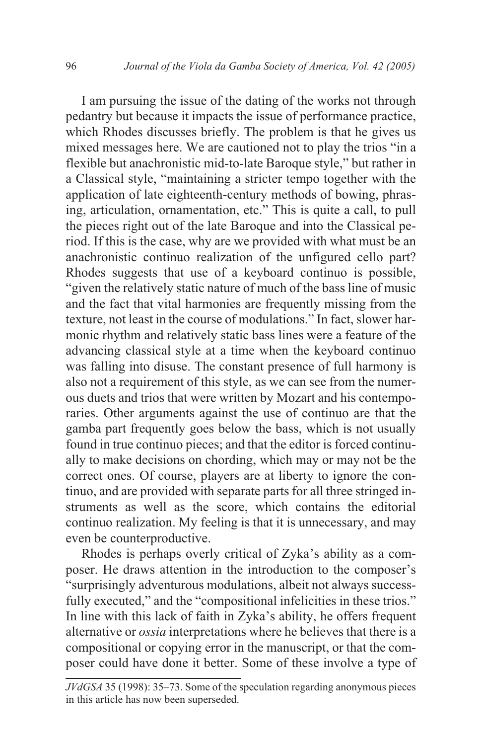I am pursuing the issue of the dating of the works not through pedantry but because it impacts the issue of performance practice, which Rhodes discusses briefly. The problem is that he gives us mixed messages here. We are cautioned not to play the trios "in a flexible but anachronistic mid-to-late Baroque style," but rather in a Classical style, "maintaining a stricter tempo together with the application of late eighteenth-century methods of bowing, phrasing, articulation, ornamentation, etc." This is quite a call, to pull the pieces right out of the late Baroque and into the Classical period. If this is the case, why are we provided with what must be an anachronistic continuo realization of the unfigured cello part? Rhodes suggests that use of a keyboard continuo is possible, "given the relatively static nature of much of the bass line of music and the fact that vital harmonies are frequently missing from the texture, not least in the course of modulations." In fact, slower harmonic rhythm and relatively static bass lines were a feature of the advancing classical style at a time when the keyboard continuo was falling into disuse. The constant presence of full harmony is also not a requirement of this style, as we can see from the numerous duets and trios that were written by Mozart and his contemporaries. Other arguments against the use of continuo are that the gamba part frequently goes below the bass, which is not usually found in true continuo pieces; and that the editor is forced continually to make decisions on chording, which may or may not be the correct ones. Of course, players are at liberty to ignore the continuo, and are provided with separate parts for all three stringed instruments as well as the score, which contains the editorial continuo realization. My feeling is that it is unnecessary, and may even be counterproductive.

Rhodes is perhaps overly critical of Zyka's ability as a composer. He draws attention in the introduction to the composer's "surprisingly adventurous modulations, albeit not always successfully executed," and the "compositional infelicities in these trios." In line with this lack of faith in Zyka's ability, he offers frequent alternative or *ossia* interpretations where he believes that there is a compositional or copying error in the manuscript, or that the composer could have done it better. Some of these involve a type of

*JVdGSA* 35 (1998): 35–73. Some of the speculation regarding anonymous pieces in this article has now been superseded.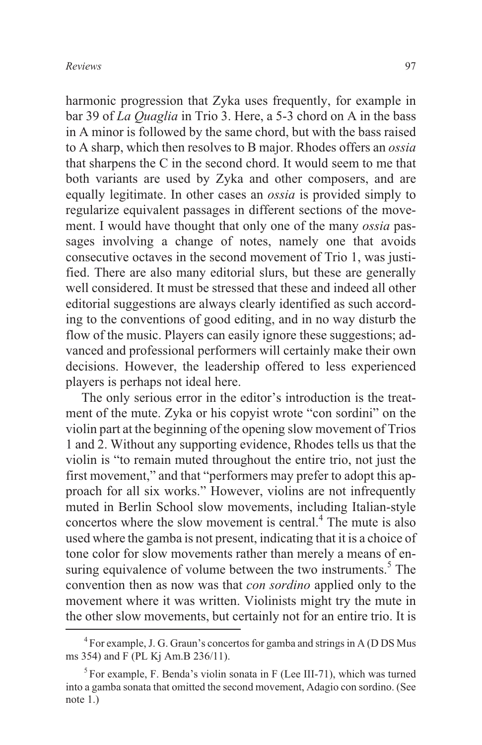harmonic progression that Zyka uses frequently, for example in bar 39 of *La Quaglia* in Trio 3. Here, a 5-3 chord on A in the bass in A minor is followed by the same chord, but with the bass raised to A sharp, which then resolves to B major. Rhodes offers an *ossia* that sharpens the C in the second chord. It would seem to me that both variants are used by Zyka and other composers, and are equally legitimate. In other cases an *ossia* is provided simply to regularize equivalent passages in different sections of the movement. I would have thought that only one of the many *ossia* passages involving a change of notes, namely one that avoids consecutive octaves in the second movement of Trio 1, was justified. There are also many editorial slurs, but these are generally well considered. It must be stressed that these and indeed all other editorial suggestions are always clearly identified as such according to the conventions of good editing, and in no way disturb the flow of the music. Players can easily ignore these suggestions; advanced and professional performers will certainly make their own decisions. However, the leadership offered to less experienced players is perhaps not ideal here.

The only serious error in the editor's introduction is the treatment of the mute. Zyka or his copyist wrote "con sordini" on the violin part at the beginning of the opening slow movement of Trios 1 and 2. Without any supporting evidence, Rhodes tells us that the violin is "to remain muted throughout the entire trio, not just the first movement," and that "performers may prefer to adopt this approach for all six works." However, violins are not infrequently muted in Berlin School slow movements, including Italian-style concertos where the slow movement is central.<sup>4</sup> The mute is also used where the gamba is not present, indicating that it is a choice of tone color for slow movements rather than merely a means of ensuring equivalence of volume between the two instruments.<sup>5</sup> The convention then as now was that *con sordino* applied only to the movement where it was written. Violinists might try the mute in the other slow movements, but certainly not for an entire trio. It is

<sup>&</sup>lt;sup>4</sup> For example, J. G. Graun's concertos for gamba and strings in A (D DS Mus ms 354) and F (PL Kj Am.B 236/11).

<sup>&</sup>lt;sup>5</sup> For example, F. Benda's violin sonata in F (Lee III-71), which was turned into a gamba sonata that omitted the second movement, Adagio con sordino. (See note 1.)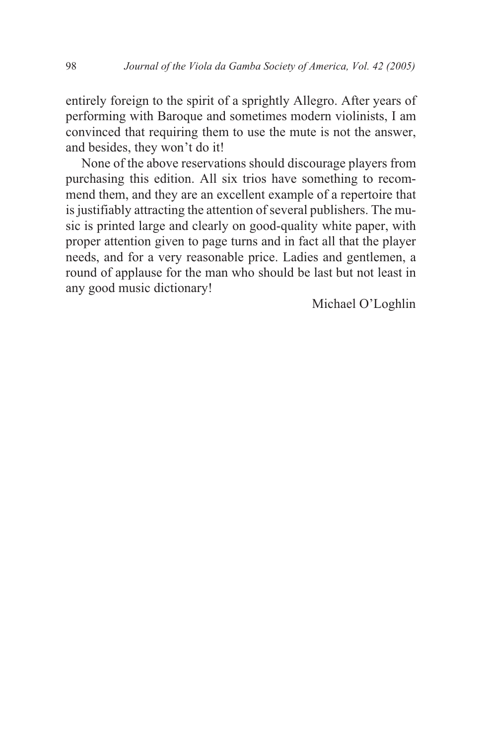entirely foreign to the spirit of a sprightly Allegro. After years of performing with Baroque and sometimes modern violinists, I am convinced that requiring them to use the mute is not the answer, and besides, they won't do it!

None of the above reservations should discourage players from purchasing this edition. All six trios have something to recommend them, and they are an excellent example of a repertoire that is justifiably attracting the attention of several publishers. The music is printed large and clearly on good-quality white paper, with proper attention given to page turns and in fact all that the player needs, and for a very reasonable price. Ladies and gentlemen, a round of applause for the man who should be last but not least in any good music dictionary!

Michael O'Loghlin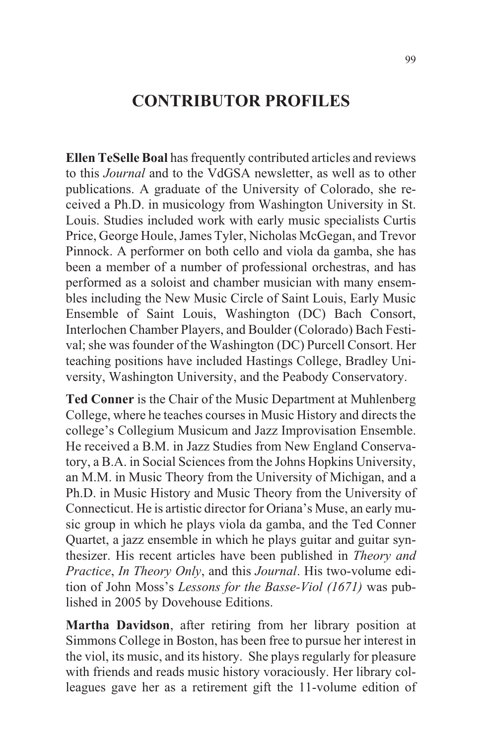# **CONTRIBUTOR PROFILES**

**Ellen TeSelle Boal** has frequently contributed articles and reviews to this *Journal* and to the VdGSA newsletter, as well as to other publications. A graduate of the University of Colorado, she received a Ph.D. in musicology from Washington University in St. Louis. Studies included work with early music specialists Curtis Price, George Houle, James Tyler, Nicholas McGegan, and Trevor Pinnock. A performer on both cello and viola da gamba, she has been a member of a number of professional orchestras, and has performed as a soloist and chamber musician with many ensembles including the New Music Circle of Saint Louis, Early Music Ensemble of Saint Louis, Washington (DC) Bach Consort, Interlochen Chamber Players, and Boulder (Colorado) Bach Festival; she was founder of the Washington (DC) Purcell Consort. Her teaching positions have included Hastings College, Bradley University, Washington University, and the Peabody Conservatory.

**Ted Conner** is the Chair of the Music Department at Muhlenberg College, where he teaches courses in Music History and directs the college's Collegium Musicum and Jazz Improvisation Ensemble. He received a B.M. in Jazz Studies from New England Conservatory, a B.A. in Social Sciences from the Johns Hopkins University, an M.M. in Music Theory from the University of Michigan, and a Ph.D. in Music History and Music Theory from the University of Connecticut. He is artistic director for Oriana's Muse, an early music group in which he plays viola da gamba, and the Ted Conner Quartet, a jazz ensemble in which he plays guitar and guitar synthesizer. His recent articles have been published in *Theory and Practice*, *In Theory Only*, and this *Journal*. His two-volume edition of John Moss's *Lessons for the Basse-Viol (1671)* was published in 2005 by Dovehouse Editions.

**Martha Davidson**, after retiring from her library position at Simmons College in Boston, has been free to pursue her interest in the viol, its music, and its history. She plays regularly for pleasure with friends and reads music history voraciously. Her library colleagues gave her as a retirement gift the 11-volume edition of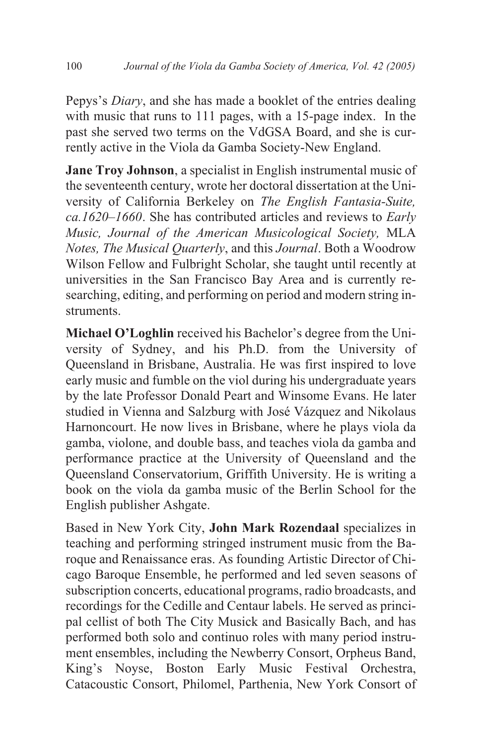Pepys's *Diary*, and she has made a booklet of the entries dealing with music that runs to 111 pages, with a 15-page index. In the past she served two terms on the VdGSA Board, and she is currently active in the Viola da Gamba Society-New England.

**Jane Troy Johnson**, a specialist in English instrumental music of the seventeenth century, wrote her doctoral dissertation at the University of California Berkeley on *The English Fantasia-Suite, ca.1620–1660*. She has contributed articles and reviews to *Early Music, Journal of the American Musicological Society,* MLA *Notes, The Musical Quarterly*, and this *Journal*. Both a Woodrow Wilson Fellow and Fulbright Scholar, she taught until recently at universities in the San Francisco Bay Area and is currently researching, editing, and performing on period and modern string instruments.

**Michael O'Loghlin** received his Bachelor's degree from the University of Sydney, and his Ph.D. from the University of Queensland in Brisbane, Australia. He was first inspired to love early music and fumble on the viol during his undergraduate years by the late Professor Donald Peart and Winsome Evans. He later studied in Vienna and Salzburg with José Vázquez and Nikolaus Harnoncourt. He now lives in Brisbane, where he plays viola da gamba, violone, and double bass, and teaches viola da gamba and performance practice at the University of Queensland and the Queensland Conservatorium, Griffith University. He is writing a book on the viola da gamba music of the Berlin School for the English publisher Ashgate.

Based in New York City, **John Mark Rozendaal** specializes in teaching and performing stringed instrument music from the Baroque and Renaissance eras. As founding Artistic Director of Chicago Baroque Ensemble, he performed and led seven seasons of subscription concerts, educational programs, radio broadcasts, and recordings for the Cedille and Centaur labels. He served as principal cellist of both The City Musick and Basically Bach, and has performed both solo and continuo roles with many period instrument ensembles, including the Newberry Consort, Orpheus Band, King's Noyse, Boston Early Music Festival Orchestra, Catacoustic Consort, Philomel, Parthenia, New York Consort of